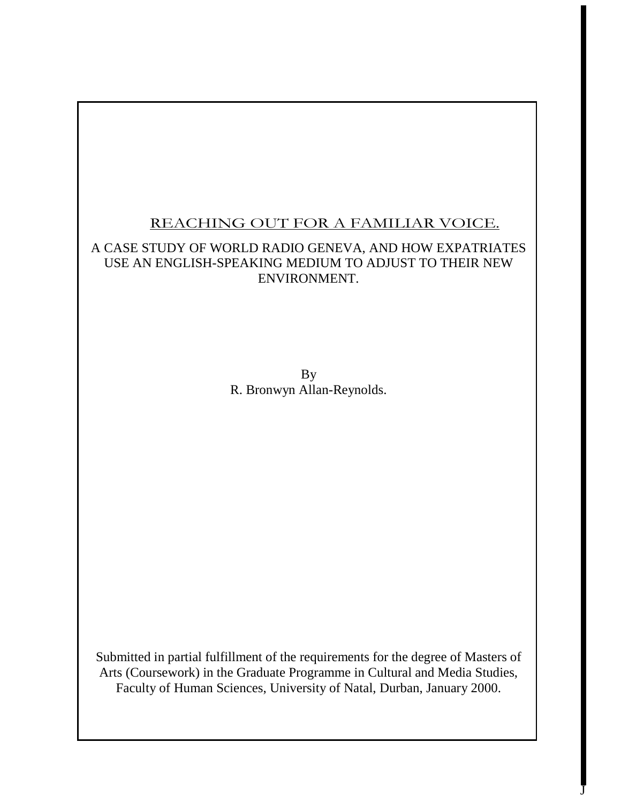# REACHING OUT FOR A FAMILIAR VOICE.

# A CASE STUDY OF WORLD RADIO GENEVA, AND HOW EXPATRIATES USE AN ENGLISH-SPEAKING MEDIUM TO ADJUST TO THEIR NEW ENVIRONMENT.

By R. Bronwyn Allan-Reynolds.

Submitted in partial fulfillment of the requirements for the degree of Masters of Arts (Coursework) in the Graduate Programme in Cultural and Media Studies, Faculty of Human Sciences, University of Natal, Durban, January 2000.

 $\bar{\text{J}}$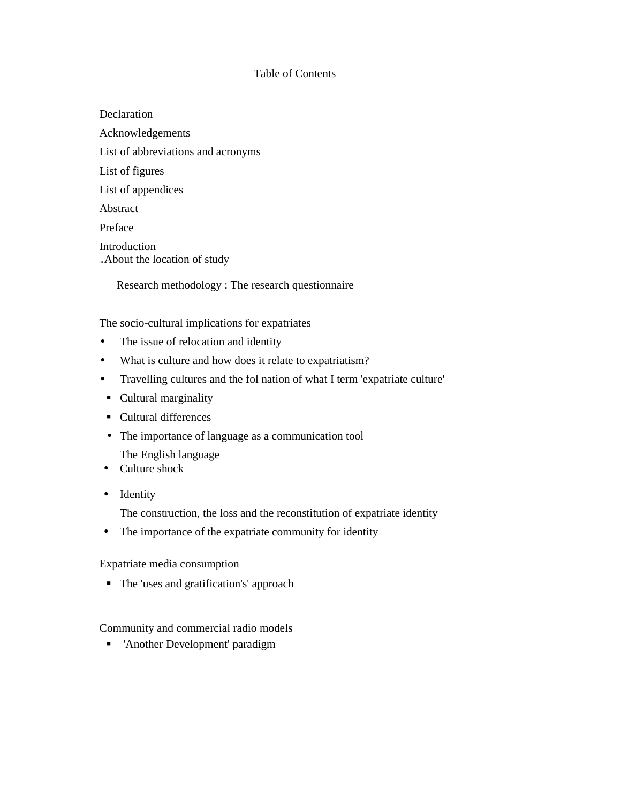## Table of Contents

Declaration Acknowledgements List of abbreviations and acronyms List of figures List of appendices Abstract Preface Introduction <sup>m</sup>About the location of study

Research methodology : The research questionnaire

The socio-cultural implications for expatriates

- The issue of relocation and identity
- What is culture and how does it relate to expatriatism?
- Travelling cultures and the fol nation of what I term 'expatriate culture'
- Cultural marginality
- Cultural differences
- The importance of language as a communication tool

The English language

- Culture shock
- Identity

The construction, the loss and the reconstitution of expatriate identity

• The importance of the expatriate community for identity

Expatriate media consumption

The 'uses and gratification's' approach

Community and commercial radio models

'Another Development' paradigm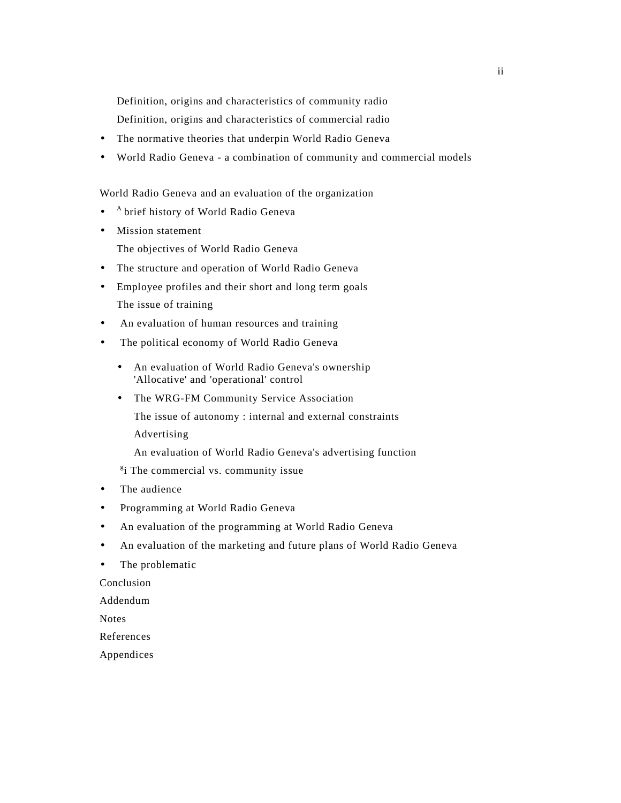Definition, origins and characteristics of community radio

Definition, origins and characteristics of commercial radio

- The normative theories that underpin World Radio Geneva
- World Radio Geneva a combination of community and commercial models

World Radio Geneva and an evaluation of the organization

- <sup>A</sup>brief history of World Radio Geneva
- Mission statement

The objectives of World Radio Geneva

- The structure and operation of World Radio Geneva
- Employee profiles and their short and long term goals The issue of training
- An evaluation of human resources and training
- The political economy of World Radio Geneva
	- An evaluation of World Radio Geneva's ownership 'Allocative' and 'operational' control
	- The WRG-FM Community Service Association

The issue of autonomy : internal and external constraints

Advertising

An evaluation of World Radio Geneva's advertising function

<sup>g</sup>i The commercial vs. community issue

- The audience
- Programming at World Radio Geneva
- An evaluation of the programming at World Radio Geneva
- An evaluation of the marketing and future plans of World Radio Geneva
- The problematic

Conclusion

Addendum

Notes

References

Appendices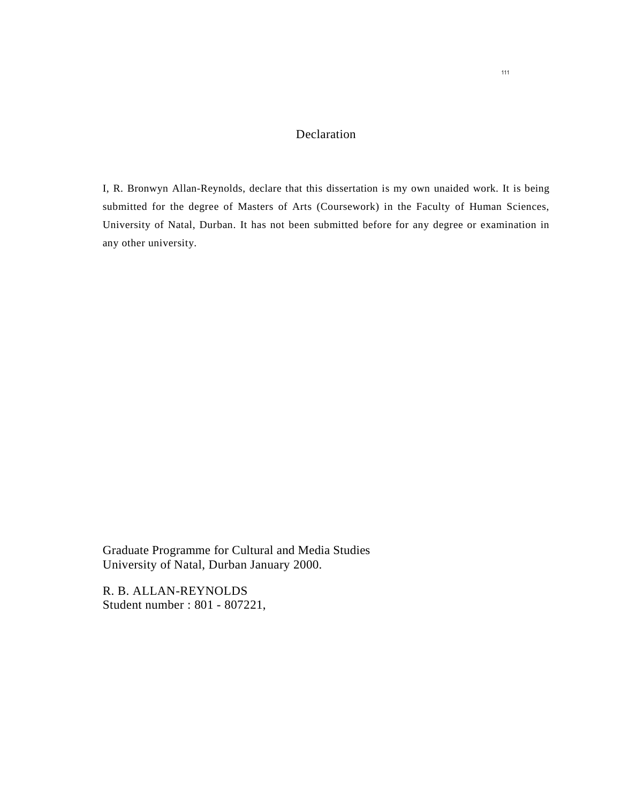## Declaration

I, R. Bronwyn Allan-Reynolds, declare that this dissertation is my own unaided work. It is being submitted for the degree of Masters of Arts (Coursework) in the Faculty of Human Sciences, University of Natal, Durban. It has not been submitted before for any degree or examination in any other university.

Graduate Programme for Cultural and Media Studies University of Natal, Durban January 2000.

R. B. ALLAN-REYNOLDS Student number : 801 - 807221,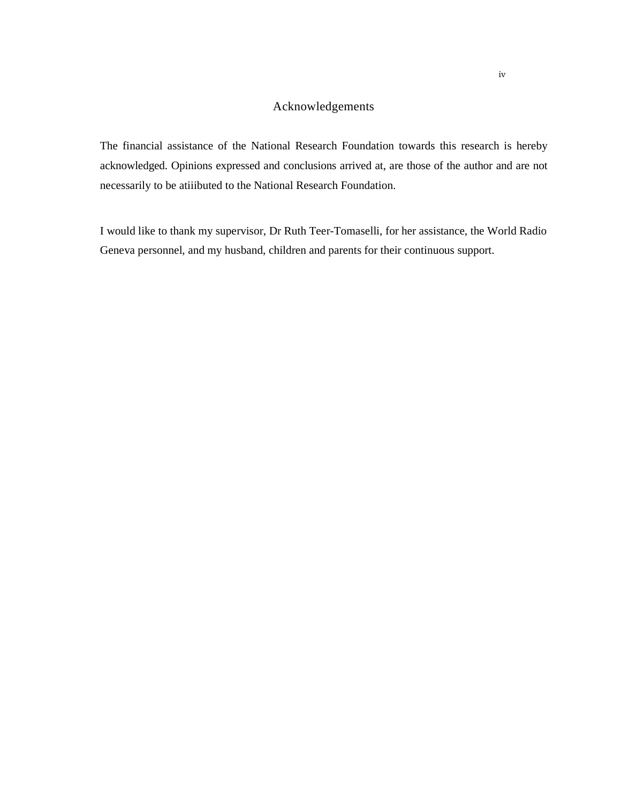## Acknowledgements

The financial assistance of the National Research Foundation towards this research is hereby acknowledged. Opinions expressed and conclusions arrived at, are those of the author and are not necessarily to be atiiibuted to the National Research Foundation.

I would like to thank my supervisor, Dr Ruth Teer-Tomaselli, for her assistance, the World Radio Geneva personnel, and my husband, children and parents for their continuous support.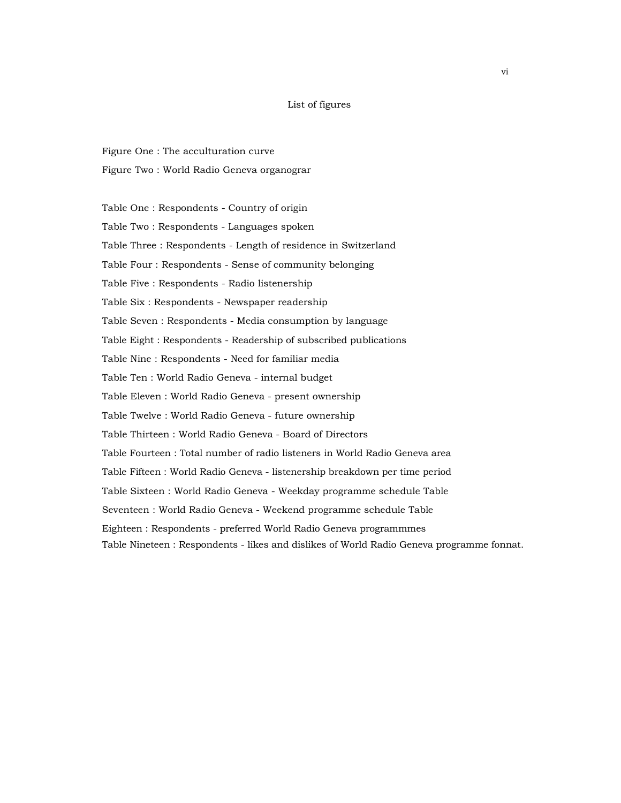#### List of figures

Figure One : The acculturation curve

Figure Two : World Radio Geneva organograr

Table One : Respondents - Country of origin Table Two : Respondents - Languages spoken Table Three : Respondents - Length of residence in Switzerland Table Four : Respondents - Sense of community belonging Table Five : Respondents - Radio listenership Table Six : Respondents - Newspaper readership Table Seven : Respondents - Media consumption by language Table Eight : Respondents - Readership of subscribed publications Table Nine : Respondents - Need for familiar media Table Ten : World Radio Geneva - internal budget Table Eleven : World Radio Geneva - present ownership Table Twelve : World Radio Geneva - future ownership Table Thirteen : World Radio Geneva - Board of Directors Table Fourteen : Total number of radio listeners in World Radio Geneva area Table Fifteen : World Radio Geneva - listenership breakdown per time period Table Sixteen : World Radio Geneva - Weekday programme schedule Table Seventeen : World Radio Geneva - Weekend programme schedule Table Eighteen : Respondents - preferred World Radio Geneva programmmes Table Nineteen : Respondents - likes and dislikes of World Radio Geneva programme fonnat.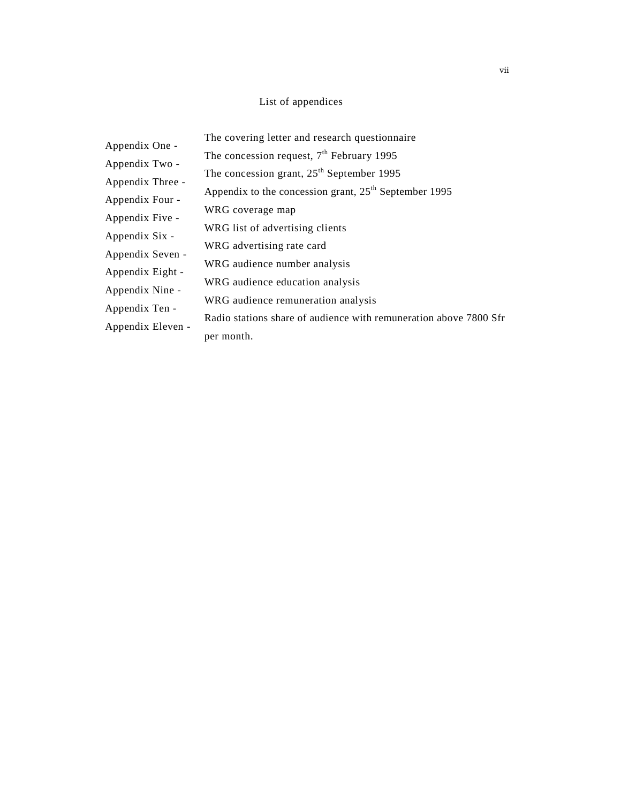## List of appendices

| Appendix One -    | The covering letter and research questionnaire                    |
|-------------------|-------------------------------------------------------------------|
|                   | The concession request, $7th$ February 1995                       |
| Appendix Two -    | The concession grant, 25 <sup>th</sup> September 1995             |
| Appendix Three -  |                                                                   |
| Appendix Four -   | Appendix to the concession grant, $25th$ September 1995           |
|                   | WRG coverage map                                                  |
| Appendix Five -   | WRG list of advertising clients                                   |
| Appendix Six -    |                                                                   |
| Appendix Seven -  | WRG advertising rate card                                         |
| Appendix Eight -  | WRG audience number analysis                                      |
|                   | WRG audience education analysis                                   |
| Appendix Nine -   | WRG audience remuneration analysis                                |
| Appendix Ten -    |                                                                   |
| Appendix Eleven - | Radio stations share of audience with remuneration above 7800 Sfr |
|                   | per month.                                                        |
|                   |                                                                   |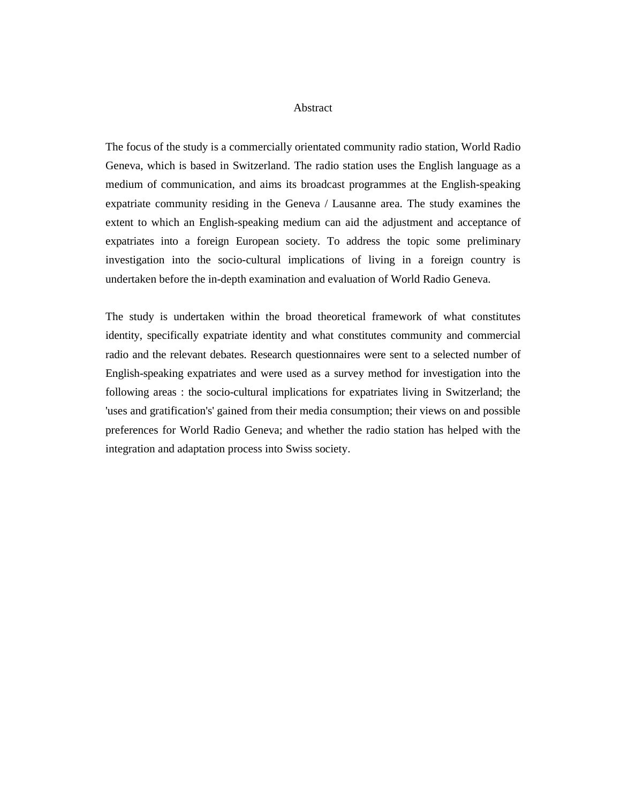#### Abstract

The focus of the study is a commercially orientated community radio station, World Radio Geneva, which is based in Switzerland. The radio station uses the English language as a medium of communication, and aims its broadcast programmes at the English-speaking expatriate community residing in the Geneva / Lausanne area. The study examines the extent to which an English-speaking medium can aid the adjustment and acceptance of expatriates into a foreign European society. To address the topic some preliminary investigation into the socio-cultural implications of living in a foreign country is undertaken before the in-depth examination and evaluation of World Radio Geneva.

The study is undertaken within the broad theoretical framework of what constitutes identity, specifically expatriate identity and what constitutes community and commercial radio and the relevant debates. Research questionnaires were sent to a selected number of English-speaking expatriates and were used as a survey method for investigation into the following areas : the socio-cultural implications for expatriates living in Switzerland; the 'uses and gratification's' gained from their media consumption; their views on and possible preferences for World Radio Geneva; and whether the radio station has helped with the integration and adaptation process into Swiss society.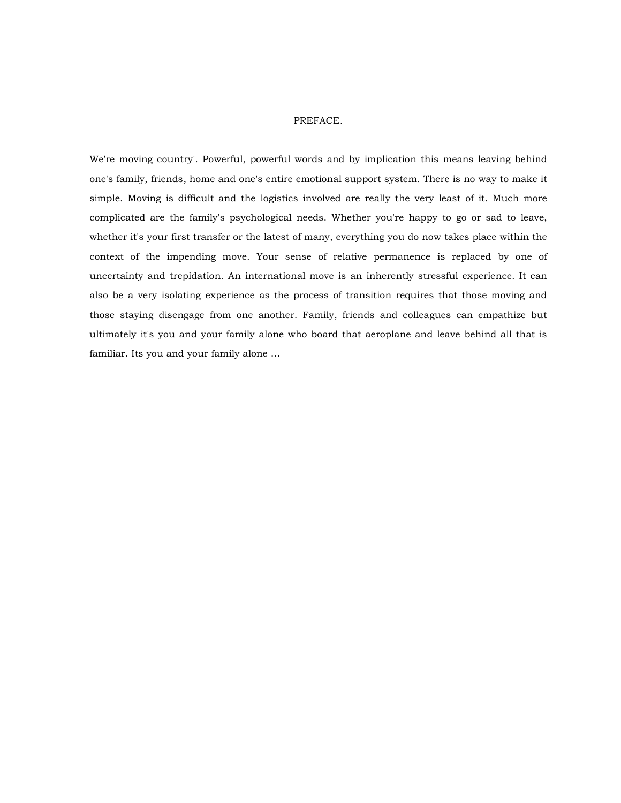#### PREFACE.

We're moving country'. Powerful, powerful words and by implication this means leaving behind one's family, friends, home and one's entire emotional support system. There is no way to make it simple. Moving is difficult and the logistics involved are really the very least of it. Much more complicated are the family's psychological needs. Whether you're happy to go or sad to leave, whether it's your first transfer or the latest of many, everything you do now takes place within the context of the impending move. Your sense of relative permanence is replaced by one of uncertainty and trepidation. An international move is an inherently stressful experience. It can also be a very isolating experience as the process of transition requires that those moving and those staying disengage from one another. Family, friends and colleagues can empathize but ultimately it's you and your family alone who board that aeroplane and leave behind all that is familiar. Its you and your family alone ...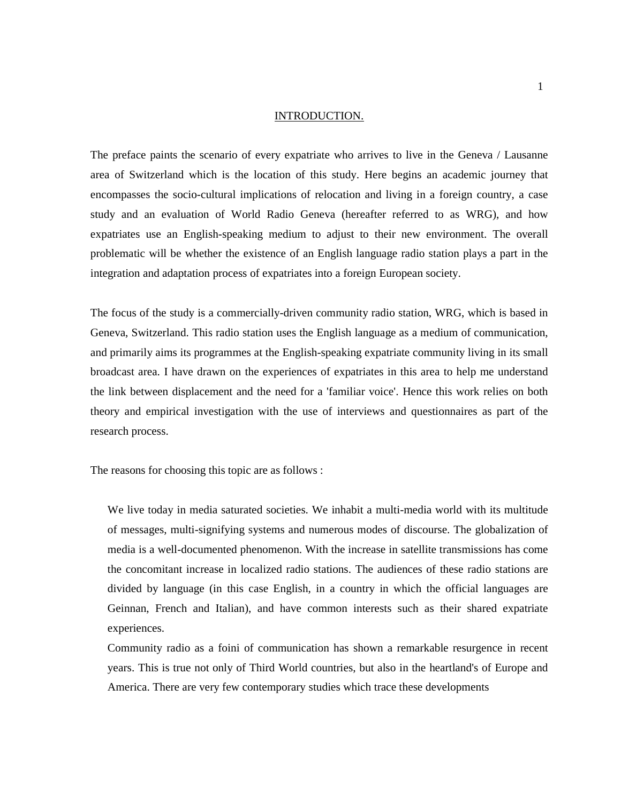#### INTRODUCTION.

The preface paints the scenario of every expatriate who arrives to live in the Geneva / Lausanne area of Switzerland which is the location of this study. Here begins an academic journey that encompasses the socio-cultural implications of relocation and living in a foreign country, a case study and an evaluation of World Radio Geneva (hereafter referred to as WRG), and how expatriates use an English-speaking medium to adjust to their new environment. The overall problematic will be whether the existence of an English language radio station plays a part in the integration and adaptation process of expatriates into a foreign European society.

The focus of the study is a commercially-driven community radio station, WRG, which is based in Geneva, Switzerland. This radio station uses the English language as a medium of communication, and primarily aims its programmes at the English-speaking expatriate community living in its small broadcast area. I have drawn on the experiences of expatriates in this area to help me understand the link between displacement and the need for a 'familiar voice'. Hence this work relies on both theory and empirical investigation with the use of interviews and questionnaires as part of the research process.

The reasons for choosing this topic are as follows :

We live today in media saturated societies. We inhabit a multi-media world with its multitude of messages, multi-signifying systems and numerous modes of discourse. The globalization of media is a well-documented phenomenon. With the increase in satellite transmissions has come the concomitant increase in localized radio stations. The audiences of these radio stations are divided by language (in this case English, in a country in which the official languages are Geinnan, French and Italian), and have common interests such as their shared expatriate experiences.

Community radio as a foini of communication has shown a remarkable resurgence in recent years. This is true not only of Third World countries, but also in the heartland's of Europe and America. There are very few contemporary studies which trace these developments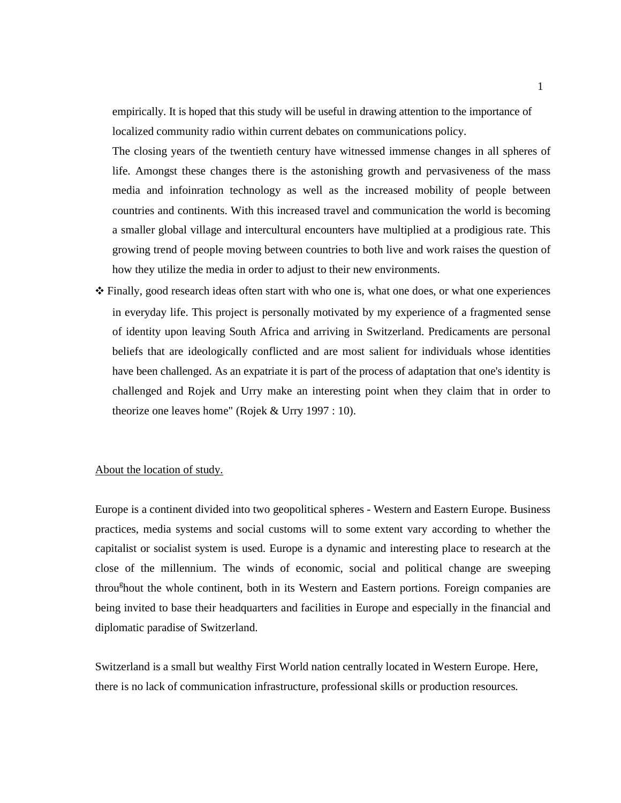empirically. It is hoped that this study will be useful in drawing attention to the importance of localized community radio within current debates on communications policy.

The closing years of the twentieth century have witnessed immense changes in all spheres of life. Amongst these changes there is the astonishing growth and pervasiveness of the mass media and infoinration technology as well as the increased mobility of people between countries and continents. With this increased travel and communication the world is becoming a smaller global village and intercultural encounters have multiplied at a prodigious rate. This growing trend of people moving between countries to both live and work raises the question of how they utilize the media in order to adjust to their new environments.

❖ Finally, good research ideas often start with who one is, what one does, or what one experiences in everyday life. This project is personally motivated by my experience of a fragmented sense of identity upon leaving South Africa and arriving in Switzerland. Predicaments are personal beliefs that are ideologically conflicted and are most salient for individuals whose identities have been challenged. As an expatriate it is part of the process of adaptation that one's identity is challenged and Rojek and Urry make an interesting point when they claim that in order to theorize one leaves home" (Rojek & Urry 1997 : 10).

## About the location of study.

Europe is a continent divided into two geopolitical spheres - Western and Eastern Europe. Business practices, media systems and social customs will to some extent vary according to whether the capitalist or socialist system is used. Europe is a dynamic and interesting place to research at the close of the millennium. The winds of economic, social and political change are sweeping throu<sup>g</sup>hout the whole continent, both in its Western and Eastern portions. Foreign companies are being invited to base their headquarters and facilities in Europe and especially in the financial and diplomatic paradise of Switzerland.

Switzerland is a small but wealthy First World nation centrally located in Western Europe. Here, there is no lack of communication infrastructure, professional skills or production resources.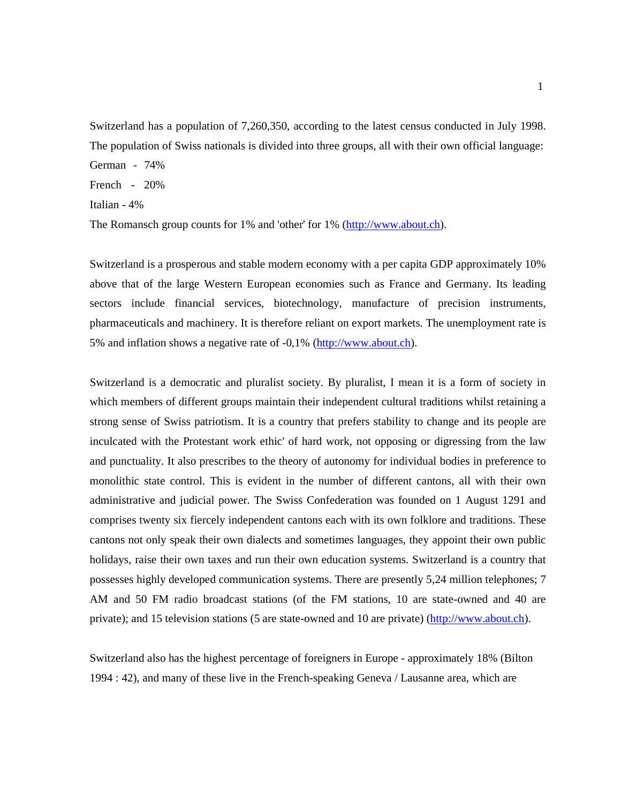Switzerland has a population of 7,260,350, according to the latest census conducted in July 1998. The population of Swiss nationals is divided into three groups, all with their own official language: German - 74%

French - 20%

Italian - 4%

The Romansch group counts for 1% and 'other' for 1% (http://www.about.ch).

Switzerland is a prosperous and stable modern economy with a per capita GDP approximately 10% above that of the large Western European economies such as France and Germany. Its leading sectors include financial services, biotechnology, manufacture of precision instruments, pharmaceuticals and machinery. It is therefore reliant on export markets. The unemployment rate is 5% and inflation shows a negative rate of -0,1% (http://www.about.ch).

Switzerland is a democratic and pluralist society. By pluralist, I mean it is a form of society in which members of different groups maintain their independent cultural traditions whilst retaining a strong sense of Swiss patriotism. It is a country that prefers stability to change and its people are inculcated with the Protestant work ethic' of hard work, not opposing or digressing from the law and punctuality. It also prescribes to the theory of autonomy for individual bodies in preference to monolithic state control. This is evident in the number of different cantons, all with their own administrative and judicial power. The Swiss Confederation was founded on 1 August 1291 and comprises twenty six fiercely independent cantons each with its own folklore and traditions. These cantons not only speak their own dialects and sometimes languages, they appoint their own public holidays, raise their own taxes and run their own education systems. Switzerland is a country that possesses highly developed communication systems. There are presently 5,24 million telephones; 7 AM and 50 FM radio broadcast stations (of the FM stations, 10 are state-owned and 40 are private); and 15 television stations (5 are state-owned and 10 are private) (http://www.about.ch).

Switzerland also has the highest percentage of foreigners in Europe - approximately 18% (Bilton 1994 : 42), and many of these live in the French-speaking Geneva / Lausanne area, which are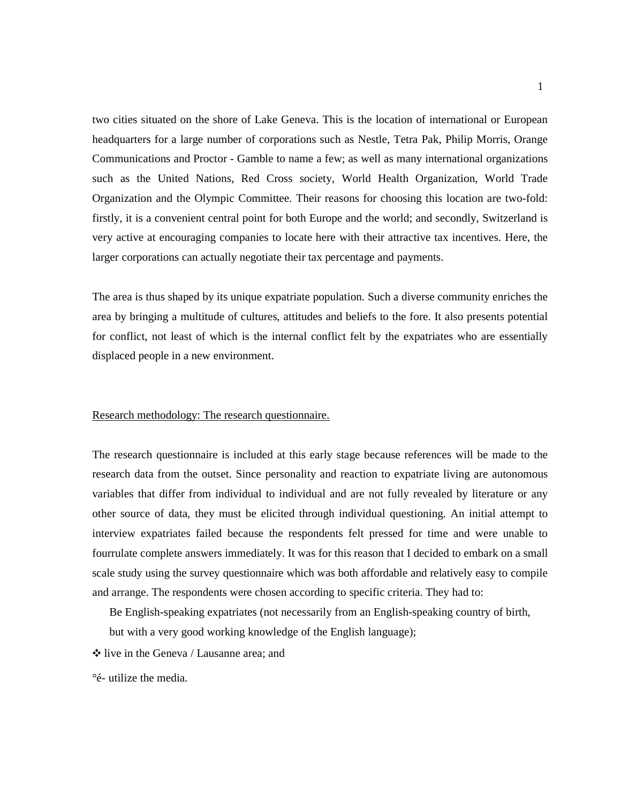two cities situated on the shore of Lake Geneva. This is the location of international or European headquarters for a large number of corporations such as Nestle, Tetra Pak, Philip Morris, Orange Communications and Proctor - Gamble to name a few; as well as many international organizations such as the United Nations, Red Cross society, World Health Organization, World Trade Organization and the Olympic Committee. Their reasons for choosing this location are two-fold: firstly, it is a convenient central point for both Europe and the world; and secondly, Switzerland is very active at encouraging companies to locate here with their attractive tax incentives. Here, the larger corporations can actually negotiate their tax percentage and payments.

The area is thus shaped by its unique expatriate population. Such a diverse community enriches the area by bringing a multitude of cultures, attitudes and beliefs to the fore. It also presents potential for conflict, not least of which is the internal conflict felt by the expatriates who are essentially displaced people in a new environment.

## Research methodology: The research questionnaire.

The research questionnaire is included at this early stage because references will be made to the research data from the outset. Since personality and reaction to expatriate living are autonomous variables that differ from individual to individual and are not fully revealed by literature or any other source of data, they must be elicited through individual questioning. An initial attempt to interview expatriates failed because the respondents felt pressed for time and were unable to fourrulate complete answers immediately. It was for this reason that I decided to embark on a small scale study using the survey questionnaire which was both affordable and relatively easy to compile and arrange. The respondents were chosen according to specific criteria. They had to:

Be English-speaking expatriates (not necessarily from an English-speaking country of birth,

but with a very good working knowledge of the English language);

❖ live in the Geneva / Lausanne area; and

°é- utilize the media.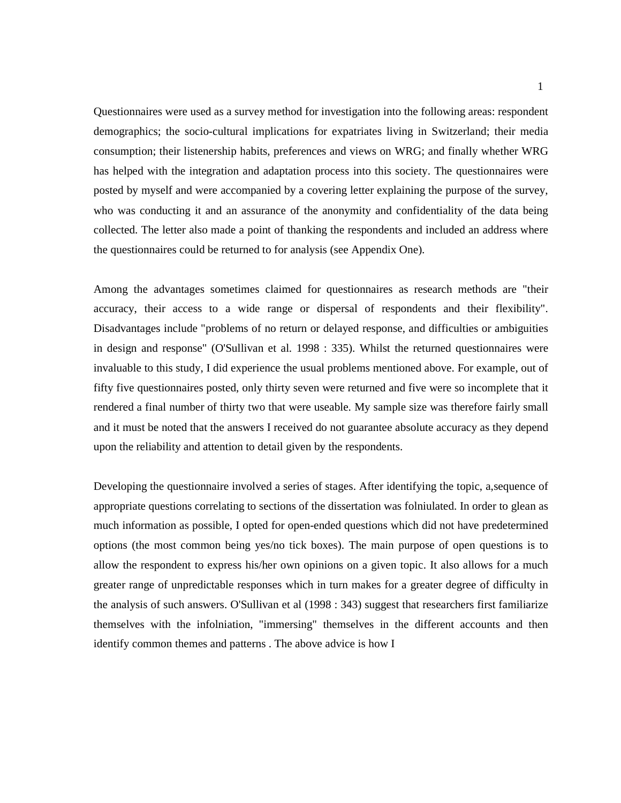Questionnaires were used as a survey method for investigation into the following areas: respondent demographics; the socio-cultural implications for expatriates living in Switzerland; their media consumption; their listenership habits, preferences and views on WRG; and finally whether WRG has helped with the integration and adaptation process into this society. The questionnaires were posted by myself and were accompanied by a covering letter explaining the purpose of the survey, who was conducting it and an assurance of the anonymity and confidentiality of the data being collected. The letter also made a point of thanking the respondents and included an address where the questionnaires could be returned to for analysis (see Appendix One).

Among the advantages sometimes claimed for questionnaires as research methods are "their accuracy, their access to a wide range or dispersal of respondents and their flexibility". Disadvantages include "problems of no return or delayed response, and difficulties or ambiguities in design and response" (O'Sullivan et al. 1998 : 335). Whilst the returned questionnaires were invaluable to this study, I did experience the usual problems mentioned above. For example, out of fifty five questionnaires posted, only thirty seven were returned and five were so incomplete that it rendered a final number of thirty two that were useable. My sample size was therefore fairly small and it must be noted that the answers I received do not guarantee absolute accuracy as they depend upon the reliability and attention to detail given by the respondents.

Developing the questionnaire involved a series of stages. After identifying the topic, a,sequence of appropriate questions correlating to sections of the dissertation was folniulated. In order to glean as much information as possible, I opted for open-ended questions which did not have predetermined options (the most common being yes/no tick boxes). The main purpose of open questions is to allow the respondent to express his/her own opinions on a given topic. It also allows for a much greater range of unpredictable responses which in turn makes for a greater degree of difficulty in the analysis of such answers. O'Sullivan et al (1998 : 343) suggest that researchers first familiarize themselves with the infolniation, "immersing" themselves in the different accounts and then identify common themes and patterns . The above advice is how I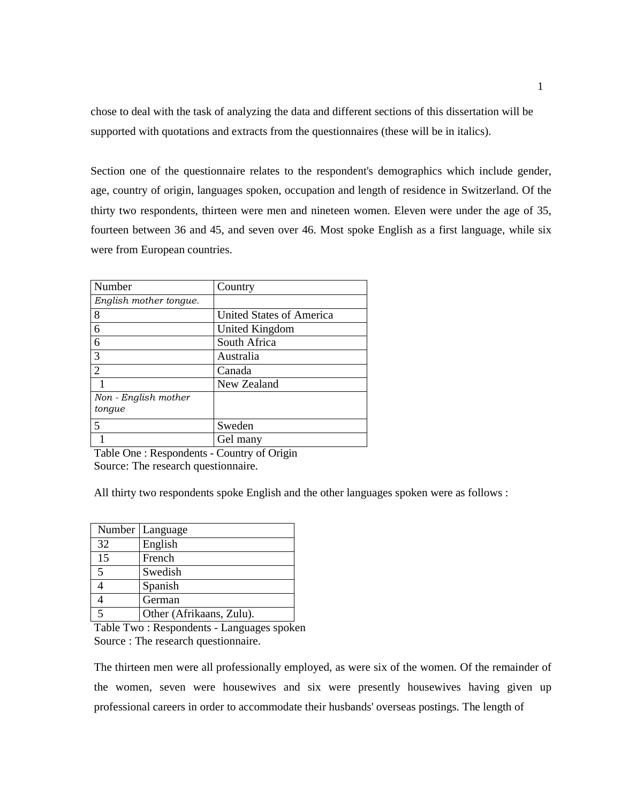chose to deal with the task of analyzing the data and different sections of this dissertation will be supported with quotations and extracts from the questionnaires (these will be in italics).

Section one of the questionnaire relates to the respondent's demographics which include gender, age, country of origin, languages spoken, occupation and length of residence in Switzerland. Of the thirty two respondents, thirteen were men and nineteen women. Eleven were under the age of 35, fourteen between 36 and 45, and seven over 46. Most spoke English as a first language, while six were from European countries.

| Number                      | Country                  |
|-----------------------------|--------------------------|
| English mother tongue.      |                          |
| 8                           | United States of America |
| 6                           | United Kingdom           |
| 6                           | South Africa             |
| 3                           | Australia                |
| $\mathcal{D}_{\mathcal{L}}$ | Canada                   |
|                             | New Zealand              |
| Non - English mother        |                          |
| tongue                      |                          |
| $\overline{5}$              | Sweden                   |
|                             | Gel many                 |

Table One : Respondents - Country of Origin Source: The research questionnaire.

All thirty two respondents spoke English and the other languages spoken were as follows :

|    | Number   Language        |
|----|--------------------------|
| 32 | English                  |
| 15 | French                   |
| 5  | Swedish                  |
|    | Spanish                  |
|    | German                   |
|    | Other (Afrikaans, Zulu). |

Table Two : Respondents - Languages spoken Source : The research questionnaire.

The thirteen men were all professionally employed, as were six of the women. Of the remainder of the women, seven were housewives and six were presently housewives having given up professional careers in order to accommodate their husbands' overseas postings. The length of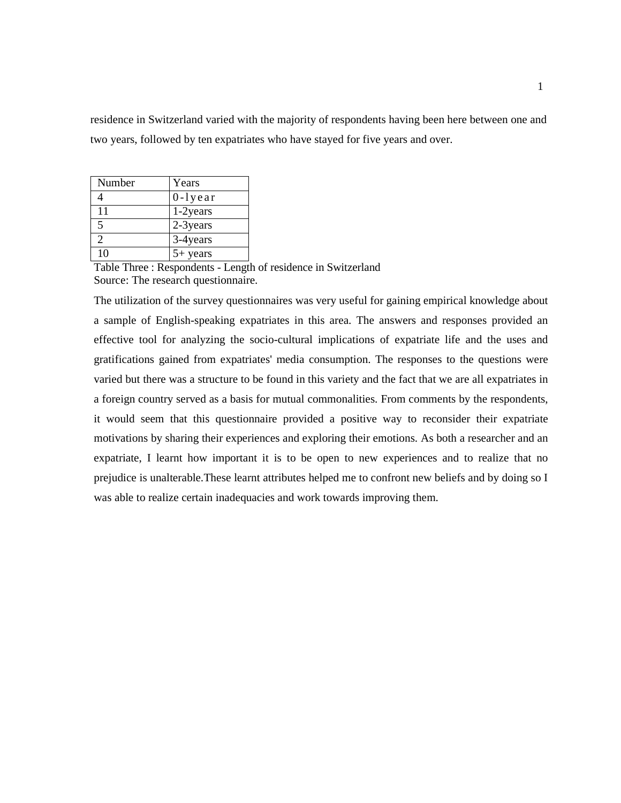residence in Switzerland varied with the majority of respondents having been here between one and two years, followed by ten expatriates who have stayed for five years and over.

| Number                      | Years          |
|-----------------------------|----------------|
|                             | $0 - l$ y e ar |
| 11                          | 1-2years       |
| 5                           | 2-3 years      |
| $\mathcal{D}_{\mathcal{A}}$ | 3-4years       |
| 10                          | $5+$ years     |

Table Three : Respondents - Length of residence in Switzerland Source: The research questionnaire.

The utilization of the survey questionnaires was very useful for gaining empirical knowledge about a sample of English-speaking expatriates in this area. The answers and responses provided an effective tool for analyzing the socio-cultural implications of expatriate life and the uses and gratifications gained from expatriates' media consumption. The responses to the questions were varied but there was a structure to be found in this variety and the fact that we are all expatriates in a foreign country served as a basis for mutual commonalities. From comments by the respondents, it would seem that this questionnaire provided a positive way to reconsider their expatriate motivations by sharing their experiences and exploring their emotions. As both a researcher and an expatriate, I learnt how important it is to be open to new experiences and to realize that no prejudice is unalterable.These learnt attributes helped me to confront new beliefs and by doing so I was able to realize certain inadequacies and work towards improving them.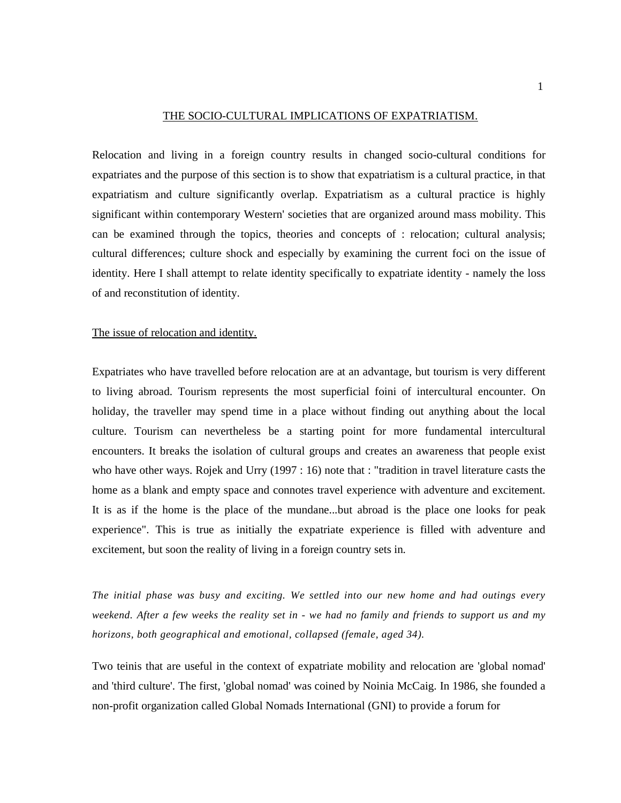#### THE SOCIO-CULTURAL IMPLICATIONS OF EXPATRIATISM.

Relocation and living in a foreign country results in changed socio-cultural conditions for expatriates and the purpose of this section is to show that expatriatism is a cultural practice, in that expatriatism and culture significantly overlap. Expatriatism as a cultural practice is highly significant within contemporary Western' societies that are organized around mass mobility. This can be examined through the topics, theories and concepts of : relocation; cultural analysis; cultural differences; culture shock and especially by examining the current foci on the issue of identity. Here I shall attempt to relate identity specifically to expatriate identity - namely the loss of and reconstitution of identity.

#### The issue of relocation and identity.

Expatriates who have travelled before relocation are at an advantage, but tourism is very different to living abroad. Tourism represents the most superficial foini of intercultural encounter. On holiday, the traveller may spend time in a place without finding out anything about the local culture. Tourism can nevertheless be a starting point for more fundamental intercultural encounters. It breaks the isolation of cultural groups and creates an awareness that people exist who have other ways. Rojek and Urry (1997 : 16) note that : "tradition in travel literature casts the home as a blank and empty space and connotes travel experience with adventure and excitement. It is as if the home is the place of the mundane...but abroad is the place one looks for peak experience". This is true as initially the expatriate experience is filled with adventure and excitement, but soon the reality of living in a foreign country sets in.

*The initial phase was busy and exciting. We settled into our new home and had outings every weekend. After a few weeks the reality set in - we had no family and friends to support us and my horizons, both geographical and emotional, collapsed (female, aged 34).* 

Two teinis that are useful in the context of expatriate mobility and relocation are 'global nomad' and 'third culture'. The first, 'global nomad' was coined by Noinia McCaig. In 1986, she founded a non-profit organization called Global Nomads International (GNI) to provide a forum for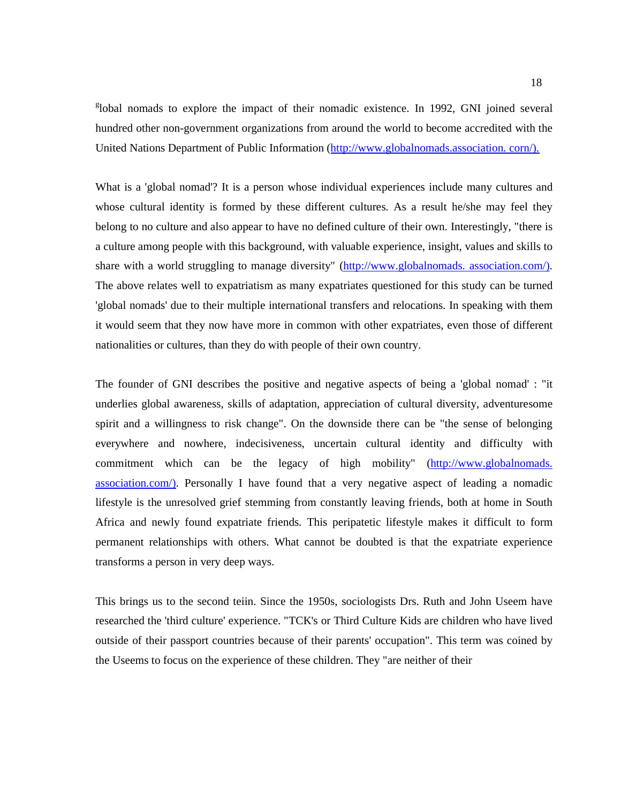<sup>g</sup>lobal nomads to explore the impact of their nomadic existence. In 1992, GNI joined several hundred other non-government organizations from around the world to become accredited with the United Nations Department of Public Information (http://www.globalnomads.association. corn/).

What is a 'global nomad'? It is a person whose individual experiences include many cultures and whose cultural identity is formed by these different cultures. As a result he/she may feel they belong to no culture and also appear to have no defined culture of their own. Interestingly, "there is a culture among people with this background, with valuable experience, insight, values and skills to share with a world struggling to manage diversity" (http://www.globalnomads. association.com/). The above relates well to expatriatism as many expatriates questioned for this study can be turned 'global nomads' due to their multiple international transfers and relocations. In speaking with them it would seem that they now have more in common with other expatriates, even those of different nationalities or cultures, than they do with people of their own country.

The founder of GNI describes the positive and negative aspects of being a 'global nomad' : "it underlies global awareness, skills of adaptation, appreciation of cultural diversity, adventuresome spirit and a willingness to risk change". On the downside there can be "the sense of belonging everywhere and nowhere, indecisiveness, uncertain cultural identity and difficulty with commitment which can be the legacy of high mobility" (http://www.globalnomads. association.com/). Personally I have found that a very negative aspect of leading a nomadic lifestyle is the unresolved grief stemming from constantly leaving friends, both at home in South Africa and newly found expatriate friends. This peripatetic lifestyle makes it difficult to form permanent relationships with others. What cannot be doubted is that the expatriate experience transforms a person in very deep ways.

This brings us to the second teiin. Since the 1950s, sociologists Drs. Ruth and John Useem have researched the 'third culture' experience. "TCK's or Third Culture Kids are children who have lived outside of their passport countries because of their parents' occupation". This term was coined by the Useems to focus on the experience of these children. They "are neither of their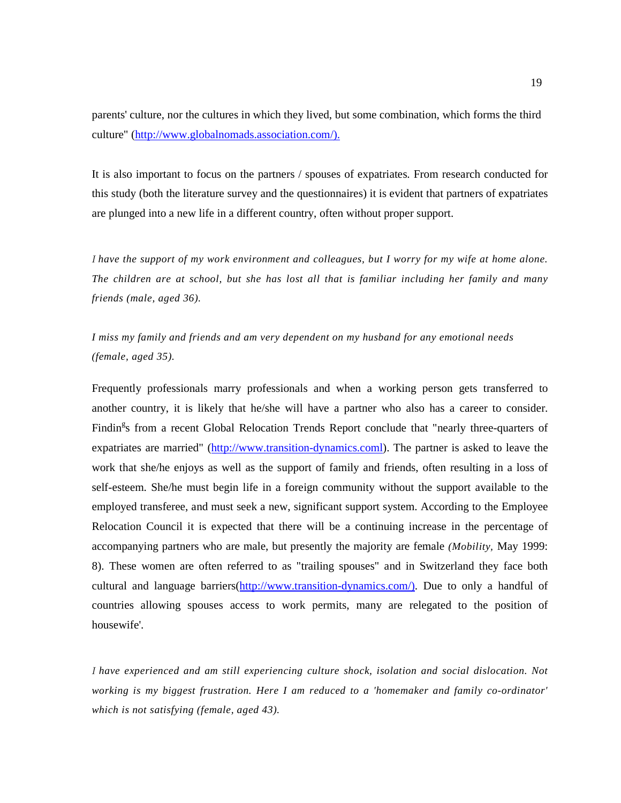parents' culture, nor the cultures in which they lived, but some combination, which forms the third culture" (http://www.globalnomads.association.com/).

It is also important to focus on the partners / spouses of expatriates. From research conducted for this study (both the literature survey and the questionnaires) it is evident that partners of expatriates are plunged into a new life in a different country, often without proper support.

I *have the support of my work environment and colleagues, but I worry for my wife at home alone. The children are at school, but she has lost all that is familiar including her family and many friends (male, aged 36).* 

*I miss my family and friends and am very dependent on my husband for any emotional needs (female, aged 35).* 

Frequently professionals marry professionals and when a working person gets transferred to another country, it is likely that he/she will have a partner who also has a career to consider. Findin<sup>g</sup>s from a recent Global Relocation Trends Report conclude that "nearly three-quarters of expatriates are married" (http://www.transition-dynamics.coml). The partner is asked to leave the work that she/he enjoys as well as the support of family and friends, often resulting in a loss of self-esteem. She/he must begin life in a foreign community without the support available to the employed transferee, and must seek a new, significant support system. According to the Employee Relocation Council it is expected that there will be a continuing increase in the percentage of accompanying partners who are male, but presently the majority are female *(Mobility,* May 1999: 8). These women are often referred to as "trailing spouses" and in Switzerland they face both cultural and language barriers(http://www.transition-dynamics.com/). Due to only a handful of countries allowing spouses access to work permits, many are relegated to the position of housewife'.

I *have experienced and am still experiencing culture shock, isolation and social dislocation. Not working is my biggest frustration. Here I am reduced to a 'homemaker and family co-ordinator' which is not satisfying (female, aged 43).*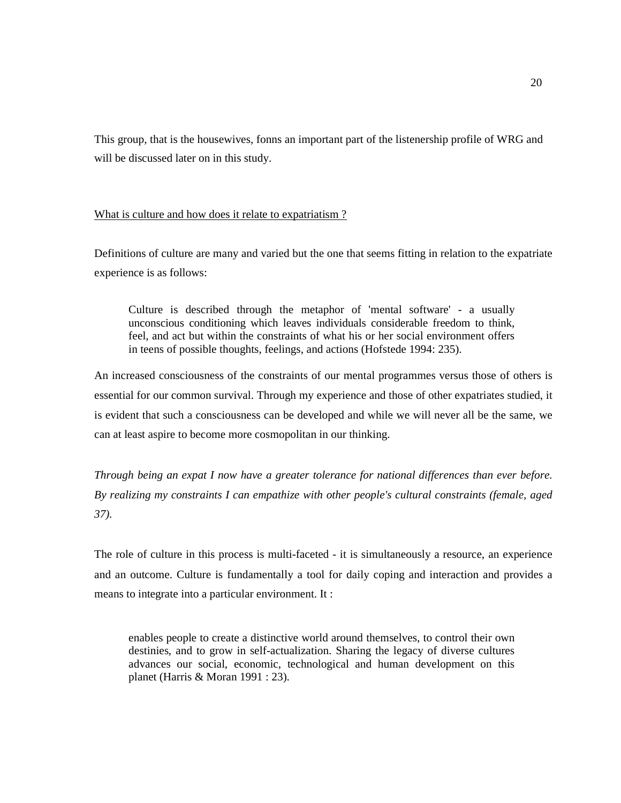This group, that is the housewives, fonns an important part of the listenership profile of WRG and will be discussed later on in this study.

## What is culture and how does it relate to expatriatism?

Definitions of culture are many and varied but the one that seems fitting in relation to the expatriate experience is as follows:

Culture is described through the metaphor of 'mental software' - a usually unconscious conditioning which leaves individuals considerable freedom to think, feel, and act but within the constraints of what his or her social environment offers in teens of possible thoughts, feelings, and actions (Hofstede 1994: 235).

An increased consciousness of the constraints of our mental programmes versus those of others is essential for our common survival. Through my experience and those of other expatriates studied, it is evident that such a consciousness can be developed and while we will never all be the same, we can at least aspire to become more cosmopolitan in our thinking.

*Through being an expat I now have a greater tolerance for national differences than ever before. By realizing my constraints I can empathize with other people's cultural constraints (female, aged 37).* 

The role of culture in this process is multi-faceted - it is simultaneously a resource, an experience and an outcome. Culture is fundamentally a tool for daily coping and interaction and provides a means to integrate into a particular environment. It :

enables people to create a distinctive world around themselves, to control their own destinies, and to grow in self-actualization. Sharing the legacy of diverse cultures advances our social, economic, technological and human development on this planet (Harris & Moran 1991 : 23).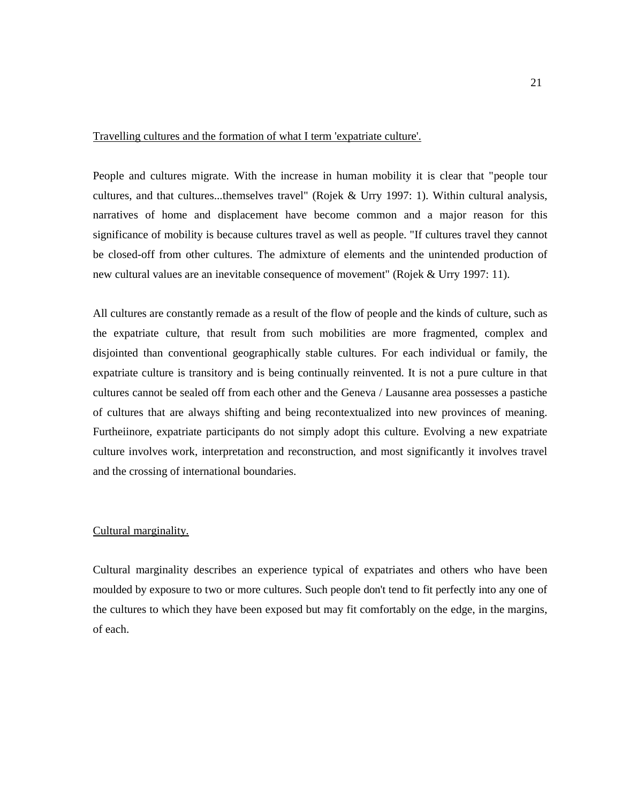## Travelling cultures and the formation of what I term 'expatriate culture'.

People and cultures migrate. With the increase in human mobility it is clear that "people tour cultures, and that cultures...themselves travel" (Rojek & Urry 1997: 1). Within cultural analysis, narratives of home and displacement have become common and a major reason for this significance of mobility is because cultures travel as well as people. "If cultures travel they cannot be closed-off from other cultures. The admixture of elements and the unintended production of new cultural values are an inevitable consequence of movement" (Rojek & Urry 1997: 11).

All cultures are constantly remade as a result of the flow of people and the kinds of culture, such as the expatriate culture, that result from such mobilities are more fragmented, complex and disjointed than conventional geographically stable cultures. For each individual or family, the expatriate culture is transitory and is being continually reinvented. It is not a pure culture in that cultures cannot be sealed off from each other and the Geneva / Lausanne area possesses a pastiche of cultures that are always shifting and being recontextualized into new provinces of meaning. Furtheiinore, expatriate participants do not simply adopt this culture. Evolving a new expatriate culture involves work, interpretation and reconstruction, and most significantly it involves travel and the crossing of international boundaries.

### Cultural marginality.

Cultural marginality describes an experience typical of expatriates and others who have been moulded by exposure to two or more cultures. Such people don't tend to fit perfectly into any one of the cultures to which they have been exposed but may fit comfortably on the edge, in the margins, of each.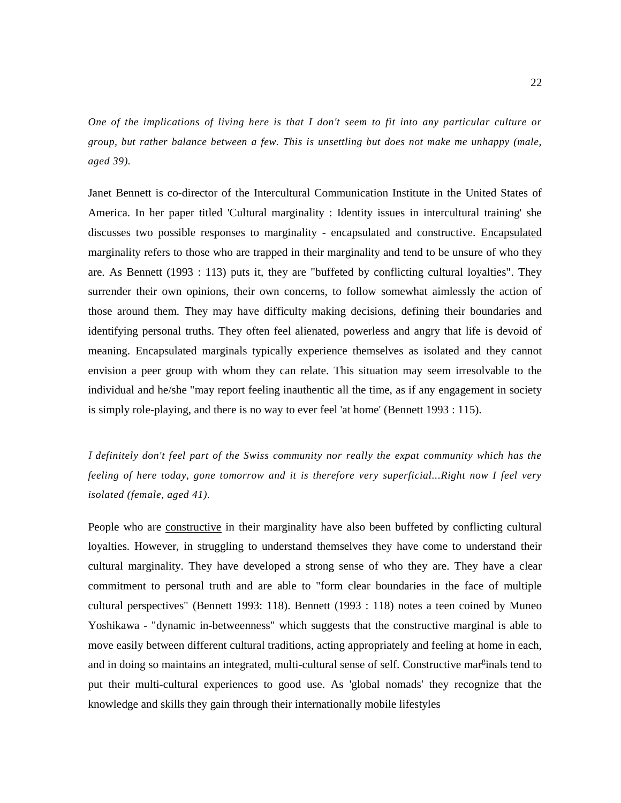*One of the implications of living here is that I don't seem to fit into any particular culture or group, but rather balance between a few. This is unsettling but does not make me unhappy (male, aged 39).* 

Janet Bennett is co-director of the Intercultural Communication Institute in the United States of America. In her paper titled 'Cultural marginality : Identity issues in intercultural training' she discusses two possible responses to marginality - encapsulated and constructive. Encapsulated marginality refers to those who are trapped in their marginality and tend to be unsure of who they are. As Bennett (1993 : 113) puts it, they are "buffeted by conflicting cultural loyalties". They surrender their own opinions, their own concerns, to follow somewhat aimlessly the action of those around them. They may have difficulty making decisions, defining their boundaries and identifying personal truths. They often feel alienated, powerless and angry that life is devoid of meaning. Encapsulated marginals typically experience themselves as isolated and they cannot envision a peer group with whom they can relate. This situation may seem irresolvable to the individual and he/she "may report feeling inauthentic all the time, as if any engagement in society is simply role-playing, and there is no way to ever feel 'at home' (Bennett 1993 : 115).

I *definitely don't feel part of the Swiss community nor really the expat community which has the feeling of here today, gone tomorrow and it is therefore very superficial...Right now I feel very isolated (female, aged 41).* 

People who are constructive in their marginality have also been buffeted by conflicting cultural loyalties. However, in struggling to understand themselves they have come to understand their cultural marginality. They have developed a strong sense of who they are. They have a clear commitment to personal truth and are able to "form clear boundaries in the face of multiple cultural perspectives" (Bennett 1993: 118). Bennett (1993 : 118) notes a teen coined by Muneo Yoshikawa - "dynamic in-betweenness" which suggests that the constructive marginal is able to move easily between different cultural traditions, acting appropriately and feeling at home in each, and in doing so maintains an integrated, multi-cultural sense of self. Constructive mar<sup>g</sup>inals tend to put their multi-cultural experiences to good use. As 'global nomads' they recognize that the knowledge and skills they gain through their internationally mobile lifestyles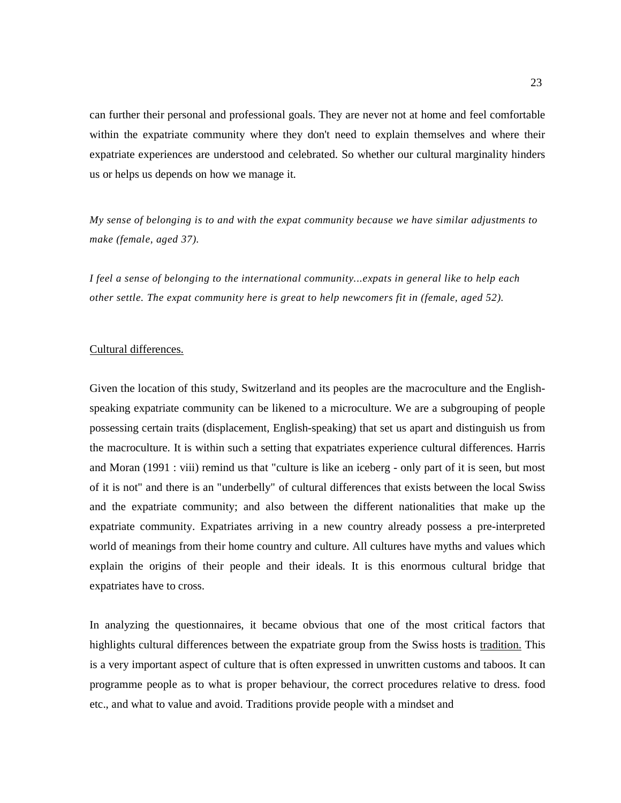can further their personal and professional goals. They are never not at home and feel comfortable within the expatriate community where they don't need to explain themselves and where their expatriate experiences are understood and celebrated. So whether our cultural marginality hinders us or helps us depends on how we manage it.

*My sense of belonging is to and with the expat community because we have similar adjustments to make (female, aged 37).* 

*I feel a sense of belonging to the international community...expats in general like to help each other settle. The expat community here is great to help newcomers fit in (female, aged 52).* 

#### Cultural differences.

Given the location of this study, Switzerland and its peoples are the macroculture and the Englishspeaking expatriate community can be likened to a microculture. We are a subgrouping of people possessing certain traits (displacement, English-speaking) that set us apart and distinguish us from the macroculture. It is within such a setting that expatriates experience cultural differences. Harris and Moran (1991 : viii) remind us that "culture is like an iceberg - only part of it is seen, but most of it is not" and there is an "underbelly" of cultural differences that exists between the local Swiss and the expatriate community; and also between the different nationalities that make up the expatriate community. Expatriates arriving in a new country already possess a pre-interpreted world of meanings from their home country and culture. All cultures have myths and values which explain the origins of their people and their ideals. It is this enormous cultural bridge that expatriates have to cross.

In analyzing the questionnaires, it became obvious that one of the most critical factors that highlights cultural differences between the expatriate group from the Swiss hosts is tradition. This is a very important aspect of culture that is often expressed in unwritten customs and taboos. It can programme people as to what is proper behaviour, the correct procedures relative to dress. food etc., and what to value and avoid. Traditions provide people with a mindset and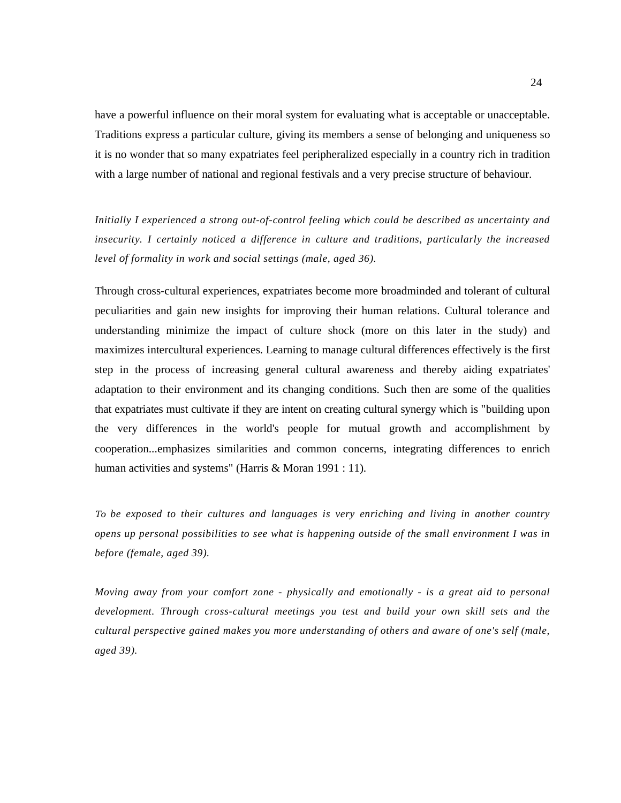have a powerful influence on their moral system for evaluating what is acceptable or unacceptable. Traditions express a particular culture, giving its members a sense of belonging and uniqueness so it is no wonder that so many expatriates feel peripheralized especially in a country rich in tradition with a large number of national and regional festivals and a very precise structure of behaviour.

*Initially I experienced a strong out-of-control feeling which could be described as uncertainty and insecurity. I certainly noticed a difference in culture and traditions, particularly the increased level of formality in work and social settings (male, aged 36).* 

Through cross-cultural experiences, expatriates become more broadminded and tolerant of cultural peculiarities and gain new insights for improving their human relations. Cultural tolerance and understanding minimize the impact of culture shock (more on this later in the study) and maximizes intercultural experiences. Learning to manage cultural differences effectively is the first step in the process of increasing general cultural awareness and thereby aiding expatriates' adaptation to their environment and its changing conditions. Such then are some of the qualities that expatriates must cultivate if they are intent on creating cultural synergy which is "building upon the very differences in the world's people for mutual growth and accomplishment by cooperation...emphasizes similarities and common concerns, integrating differences to enrich human activities and systems" (Harris & Moran 1991 : 11).

To *be exposed to their cultures and languages is very enriching and living in another country opens up personal possibilities to see what is happening outside of the small environment I was in before (female, aged 39).* 

*Moving away from your comfort zone - physically and emotionally - is a great aid to personal development. Through cross-cultural meetings you test and build your own skill sets and the cultural perspective gained makes you more understanding of others and aware of one's self (male, aged 39).*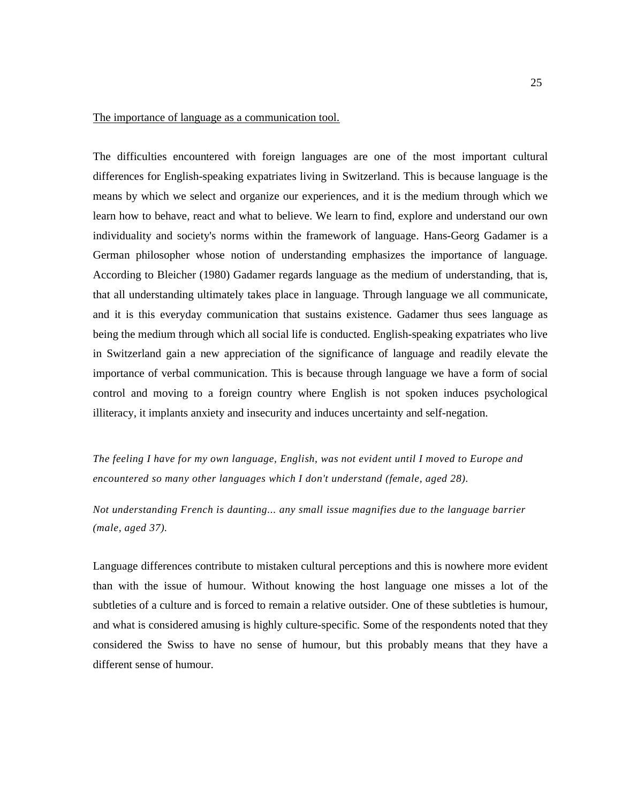### The importance of language as a communication tool.

The difficulties encountered with foreign languages are one of the most important cultural differences for English-speaking expatriates living in Switzerland. This is because language is the means by which we select and organize our experiences, and it is the medium through which we learn how to behave, react and what to believe. We learn to find, explore and understand our own individuality and society's norms within the framework of language. Hans-Georg Gadamer is a German philosopher whose notion of understanding emphasizes the importance of language. According to Bleicher (1980) Gadamer regards language as the medium of understanding, that is, that all understanding ultimately takes place in language. Through language we all communicate, and it is this everyday communication that sustains existence. Gadamer thus sees language as being the medium through which all social life is conducted. English-speaking expatriates who live in Switzerland gain a new appreciation of the significance of language and readily elevate the importance of verbal communication. This is because through language we have a form of social control and moving to a foreign country where English is not spoken induces psychological illiteracy, it implants anxiety and insecurity and induces uncertainty and self-negation.

*The feeling I have for my own language, English, was not evident until I moved to Europe and encountered so many other languages which I don't understand (female, aged 28).* 

*Not understanding French is daunting... any small issue magnifies due to the language barrier (male, aged 37).* 

Language differences contribute to mistaken cultural perceptions and this is nowhere more evident than with the issue of humour. Without knowing the host language one misses a lot of the subtleties of a culture and is forced to remain a relative outsider. One of these subtleties is humour, and what is considered amusing is highly culture-specific. Some of the respondents noted that they considered the Swiss to have no sense of humour, but this probably means that they have a different sense of humour.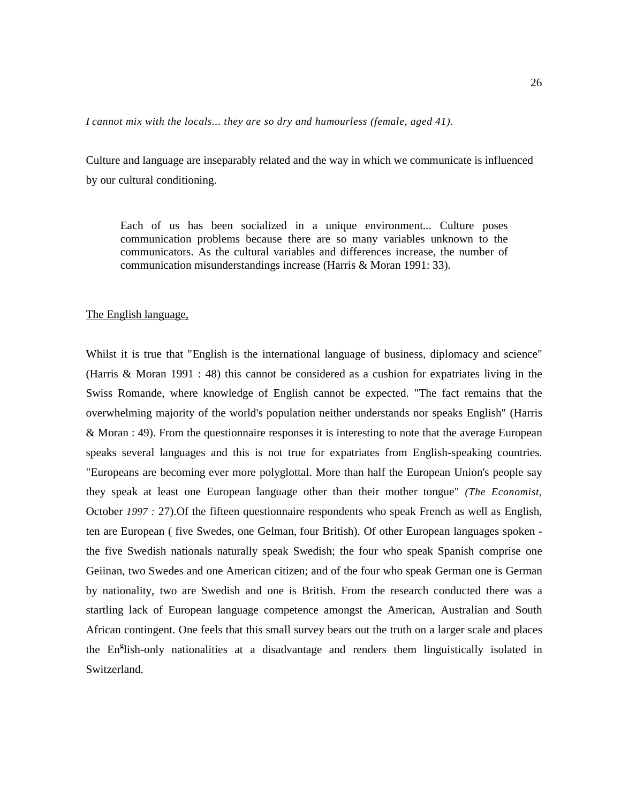*I cannot mix with the locals... they are so dry and humourless (female, aged 41).* 

Culture and language are inseparably related and the way in which we communicate is influenced by our cultural conditioning.

Each of us has been socialized in a unique environment... Culture poses communication problems because there are so many variables unknown to the communicators. As the cultural variables and differences increase, the number of communication misunderstandings increase (Harris & Moran 1991: 33).

#### The English language,

Whilst it is true that "English is the international language of business, diplomacy and science" (Harris & Moran 1991 : 48) this cannot be considered as a cushion for expatriates living in the Swiss Romande, where knowledge of English cannot be expected. "The fact remains that the overwhelming majority of the world's population neither understands nor speaks English" (Harris & Moran : 49). From the questionnaire responses it is interesting to note that the average European speaks several languages and this is not true for expatriates from English-speaking countries. "Europeans are becoming ever more polyglottal. More than half the European Union's people say they speak at least one European language other than their mother tongue" *(The Economist,*  October *1997 :* 27).Of the fifteen questionnaire respondents who speak French as well as English, ten are European ( five Swedes, one Gelman, four British). Of other European languages spoken the five Swedish nationals naturally speak Swedish; the four who speak Spanish comprise one Geiinan, two Swedes and one American citizen; and of the four who speak German one is German by nationality, two are Swedish and one is British. From the research conducted there was a startling lack of European language competence amongst the American, Australian and South African contingent. One feels that this small survey bears out the truth on a larger scale and places the En<sup>g</sup>lish-only nationalities at a disadvantage and renders them linguistically isolated in Switzerland.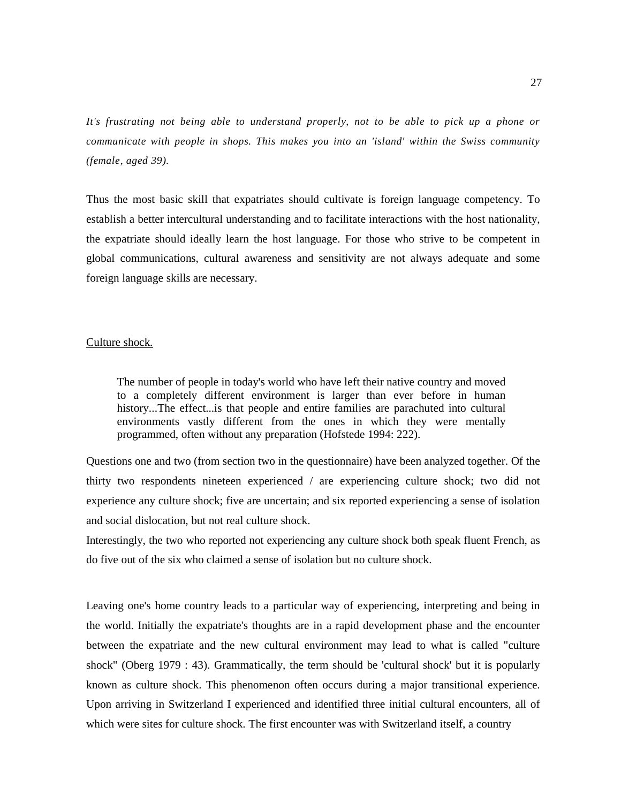*It's frustrating not being able to understand properly, not to be able to pick up a phone or communicate with people in shops. This makes you into an 'island' within the Swiss community (female, aged 39).* 

Thus the most basic skill that expatriates should cultivate is foreign language competency. To establish a better intercultural understanding and to facilitate interactions with the host nationality, the expatriate should ideally learn the host language. For those who strive to be competent in global communications, cultural awareness and sensitivity are not always adequate and some foreign language skills are necessary.

#### Culture shock.

The number of people in today's world who have left their native country and moved to a completely different environment is larger than ever before in human history...The effect...is that people and entire families are parachuted into cultural environments vastly different from the ones in which they were mentally programmed, often without any preparation (Hofstede 1994: 222).

Questions one and two (from section two in the questionnaire) have been analyzed together. Of the thirty two respondents nineteen experienced / are experiencing culture shock; two did not experience any culture shock; five are uncertain; and six reported experiencing a sense of isolation and social dislocation, but not real culture shock.

Interestingly, the two who reported not experiencing any culture shock both speak fluent French, as do five out of the six who claimed a sense of isolation but no culture shock.

Leaving one's home country leads to a particular way of experiencing, interpreting and being in the world. Initially the expatriate's thoughts are in a rapid development phase and the encounter between the expatriate and the new cultural environment may lead to what is called "culture shock" (Oberg 1979 : 43). Grammatically, the term should be 'cultural shock' but it is popularly known as culture shock. This phenomenon often occurs during a major transitional experience. Upon arriving in Switzerland I experienced and identified three initial cultural encounters, all of which were sites for culture shock. The first encounter was with Switzerland itself, a country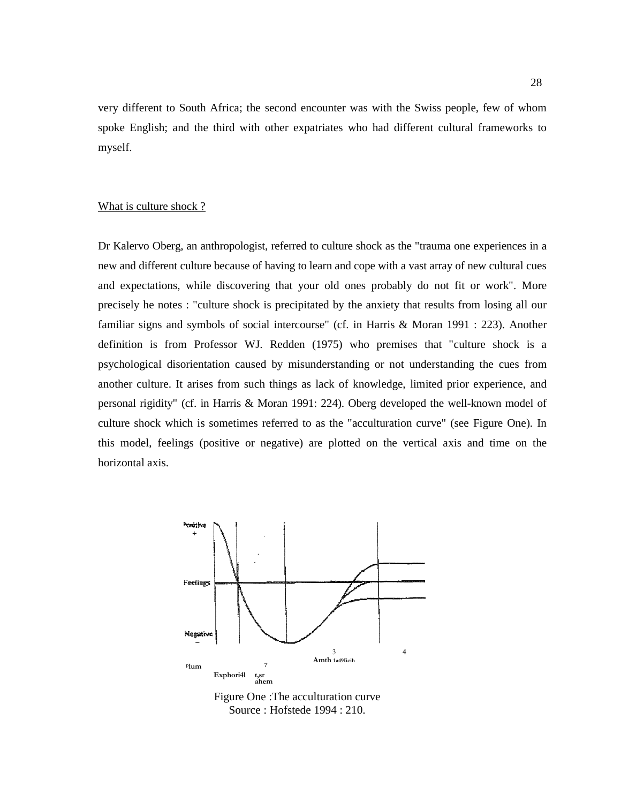very different to South Africa; the second encounter was with the Swiss people, few of whom spoke English; and the third with other expatriates who had different cultural frameworks to myself.

#### What is culture shock ?

Dr Kalervo Oberg, an anthropologist, referred to culture shock as the "trauma one experiences in a new and different culture because of having to learn and cope with a vast array of new cultural cues and expectations, while discovering that your old ones probably do not fit or work". More precisely he notes : "culture shock is precipitated by the anxiety that results from losing all our familiar signs and symbols of social intercourse" (cf. in Harris & Moran 1991 : 223). Another definition is from Professor WJ. Redden (1975) who premises that "culture shock is a psychological disorientation caused by misunderstanding or not understanding the cues from another culture. It arises from such things as lack of knowledge, limited prior experience, and personal rigidity" (cf. in Harris & Moran 1991: 224). Oberg developed the well-known model of culture shock which is sometimes referred to as the "acculturation curve" (see Figure One). In this model, feelings (positive or negative) are plotted on the vertical axis and time on the horizontal axis.



Figure One :The acculturation curve Source : Hofstede 1994 : 210.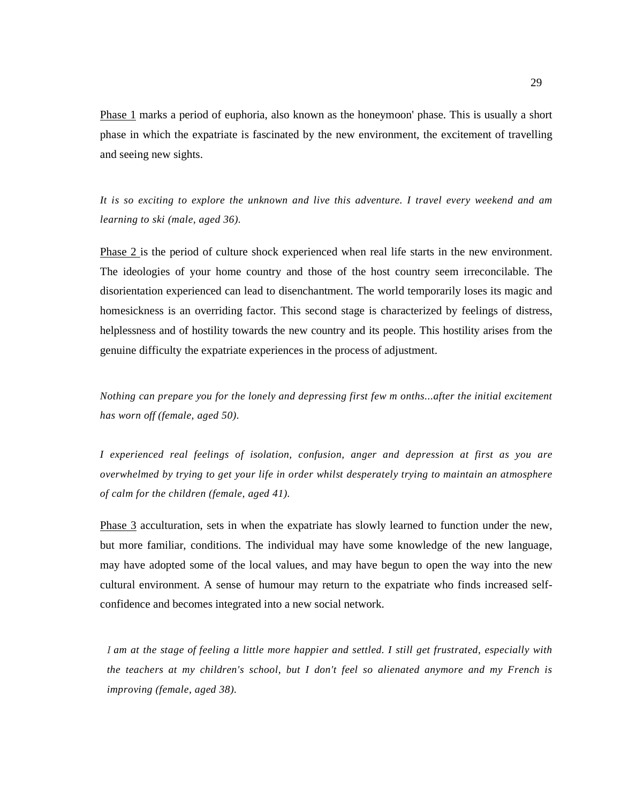Phase 1 marks a period of euphoria, also known as the honeymoon' phase. This is usually a short phase in which the expatriate is fascinated by the new environment, the excitement of travelling and seeing new sights.

*It is so exciting to explore the unknown and live this adventure. I travel every weekend and am learning to ski (male, aged 36).* 

Phase 2 is the period of culture shock experienced when real life starts in the new environment. The ideologies of your home country and those of the host country seem irreconcilable. The disorientation experienced can lead to disenchantment. The world temporarily loses its magic and homesickness is an overriding factor. This second stage is characterized by feelings of distress, helplessness and of hostility towards the new country and its people. This hostility arises from the genuine difficulty the expatriate experiences in the process of adjustment.

*Nothing can prepare you for the lonely and depressing first few m onths...after the initial excitement has worn off (female, aged 50).* 

*I experienced real feelings of isolation, confusion, anger and depression at first as you are overwhelmed by trying to get your life in order whilst desperately trying to maintain an atmosphere of calm for the children (female, aged 41).* 

Phase 3 acculturation, sets in when the expatriate has slowly learned to function under the new, but more familiar, conditions. The individual may have some knowledge of the new language, may have adopted some of the local values, and may have begun to open the way into the new cultural environment. A sense of humour may return to the expatriate who finds increased selfconfidence and becomes integrated into a new social network.

I *am at the stage of feeling a little more happier and settled. I still get frustrated, especially with the teachers at my children's school, but I don't feel so alienated anymore and my French is improving (female, aged 38).*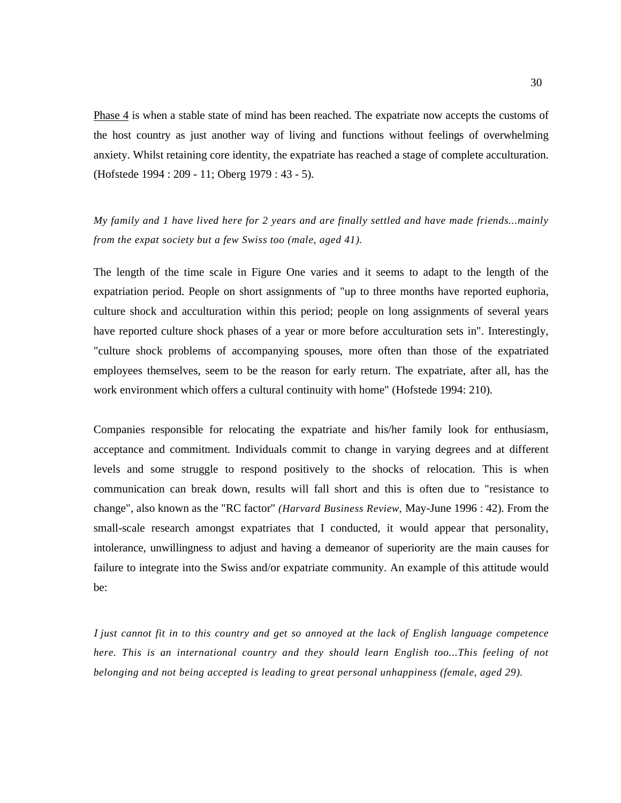Phase 4 is when a stable state of mind has been reached. The expatriate now accepts the customs of the host country as just another way of living and functions without feelings of overwhelming anxiety. Whilst retaining core identity, the expatriate has reached a stage of complete acculturation. (Hofstede 1994 : 209 - 11; Oberg 1979 : 43 - 5).

*My family and 1 have lived here for 2 years and are finally settled and have made friends...mainly from the expat society but a few Swiss too (male, aged 41).* 

The length of the time scale in Figure One varies and it seems to adapt to the length of the expatriation period. People on short assignments of "up to three months have reported euphoria, culture shock and acculturation within this period; people on long assignments of several years have reported culture shock phases of a year or more before acculturation sets in". Interestingly, "culture shock problems of accompanying spouses, more often than those of the expatriated employees themselves, seem to be the reason for early return. The expatriate, after all, has the work environment which offers a cultural continuity with home" (Hofstede 1994: 210).

Companies responsible for relocating the expatriate and his/her family look for enthusiasm, acceptance and commitment. Individuals commit to change in varying degrees and at different levels and some struggle to respond positively to the shocks of relocation. This is when communication can break down, results will fall short and this is often due to "resistance to change", also known as the "RC factor" *(Harvard Business Review,* May-June 1996 : 42). From the small-scale research amongst expatriates that I conducted, it would appear that personality, intolerance, unwillingness to adjust and having a demeanor of superiority are the main causes for failure to integrate into the Swiss and/or expatriate community. An example of this attitude would be:

I *just cannot fit in to this country and get so annoyed at the lack of English language competence here. This is an international country and they should learn English too...This feeling of not belonging and not being accepted is leading to great personal unhappiness (female, aged 29).*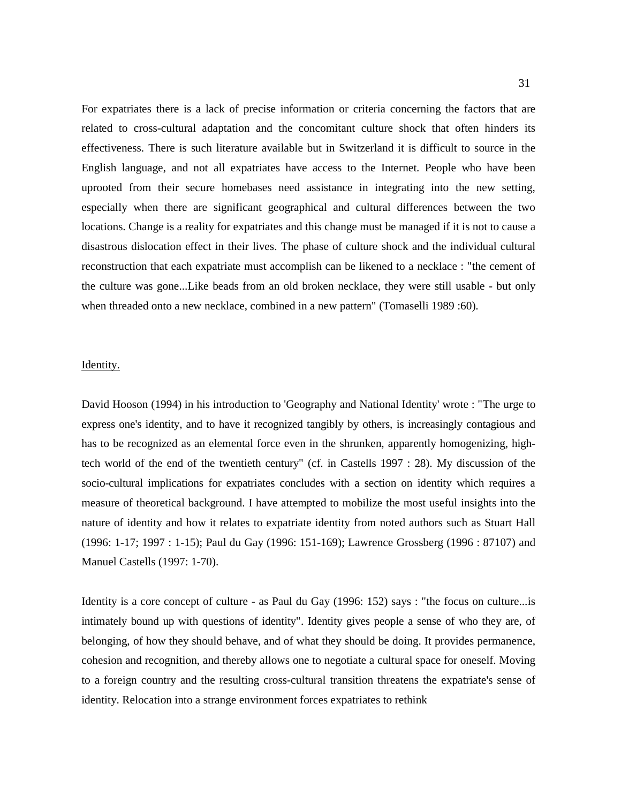For expatriates there is a lack of precise information or criteria concerning the factors that are related to cross-cultural adaptation and the concomitant culture shock that often hinders its effectiveness. There is such literature available but in Switzerland it is difficult to source in the English language, and not all expatriates have access to the Internet. People who have been uprooted from their secure homebases need assistance in integrating into the new setting, especially when there are significant geographical and cultural differences between the two locations. Change is a reality for expatriates and this change must be managed if it is not to cause a disastrous dislocation effect in their lives. The phase of culture shock and the individual cultural reconstruction that each expatriate must accomplish can be likened to a necklace : "the cement of the culture was gone...Like beads from an old broken necklace, they were still usable - but only when threaded onto a new necklace, combined in a new pattern" (Tomaselli 1989 :60).

#### Identity.

David Hooson (1994) in his introduction to 'Geography and National Identity' wrote : "The urge to express one's identity, and to have it recognized tangibly by others, is increasingly contagious and has to be recognized as an elemental force even in the shrunken, apparently homogenizing, hightech world of the end of the twentieth century" (cf. in Castells 1997 : 28). My discussion of the socio-cultural implications for expatriates concludes with a section on identity which requires a measure of theoretical background. I have attempted to mobilize the most useful insights into the nature of identity and how it relates to expatriate identity from noted authors such as Stuart Hall (1996: 1-17; 1997 : 1-15); Paul du Gay (1996: 151-169); Lawrence Grossberg (1996 : 87107) and Manuel Castells (1997: 1-70).

Identity is a core concept of culture - as Paul du Gay (1996: 152) says : "the focus on culture...is intimately bound up with questions of identity". Identity gives people a sense of who they are, of belonging, of how they should behave, and of what they should be doing. It provides permanence, cohesion and recognition, and thereby allows one to negotiate a cultural space for oneself. Moving to a foreign country and the resulting cross-cultural transition threatens the expatriate's sense of identity. Relocation into a strange environment forces expatriates to rethink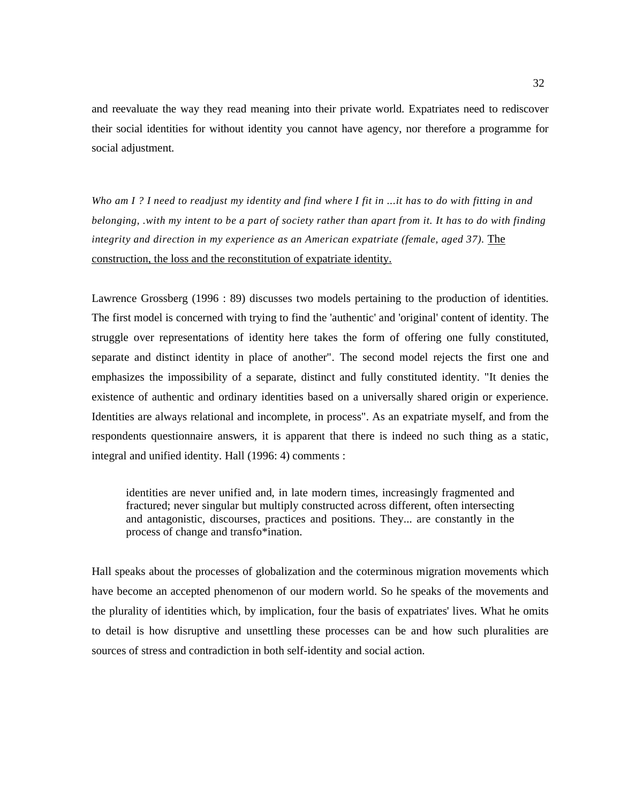and reevaluate the way they read meaning into their private world. Expatriates need to rediscover their social identities for without identity you cannot have agency, nor therefore a programme for social adjustment.

*Who am I ? I need to readjust my identity and find where I fit in ...it has to do with fitting in and belonging, .with my intent to be a part of society rather than apart from it. It has to do with finding integrity and direction in my experience as an American expatriate (female, aged 37).* The construction, the loss and the reconstitution of expatriate identity.

Lawrence Grossberg (1996 : 89) discusses two models pertaining to the production of identities. The first model is concerned with trying to find the 'authentic' and 'original' content of identity. The struggle over representations of identity here takes the form of offering one fully constituted, separate and distinct identity in place of another". The second model rejects the first one and emphasizes the impossibility of a separate, distinct and fully constituted identity. "It denies the existence of authentic and ordinary identities based on a universally shared origin or experience. Identities are always relational and incomplete, in process". As an expatriate myself, and from the respondents questionnaire answers, it is apparent that there is indeed no such thing as a static, integral and unified identity. Hall (1996: 4) comments :

identities are never unified and, in late modern times, increasingly fragmented and fractured; never singular but multiply constructed across different, often intersecting and antagonistic, discourses, practices and positions. They... are constantly in the process of change and transfo\*ination.

Hall speaks about the processes of globalization and the coterminous migration movements which have become an accepted phenomenon of our modern world. So he speaks of the movements and the plurality of identities which, by implication, four the basis of expatriates' lives. What he omits to detail is how disruptive and unsettling these processes can be and how such pluralities are sources of stress and contradiction in both self-identity and social action.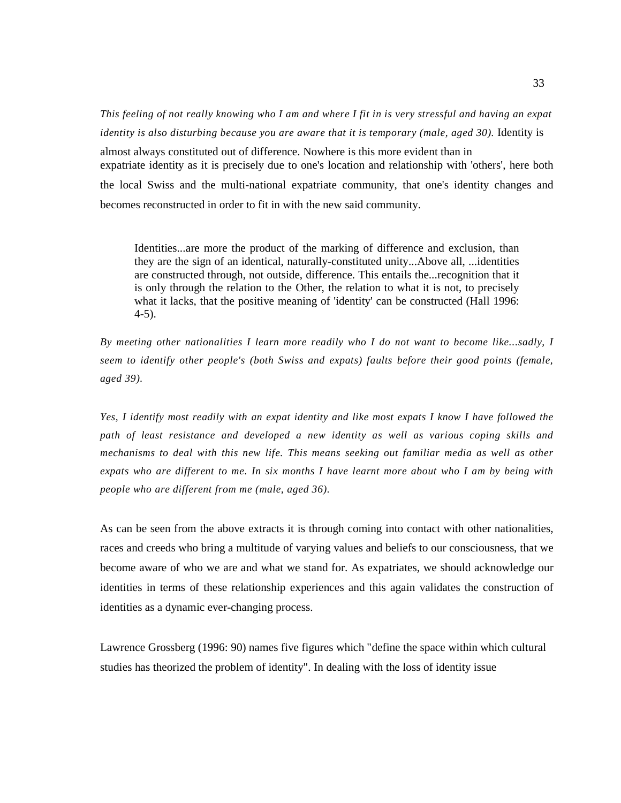*This feeling of not really knowing who I am and where I fit in is very stressful and having an expat identity is also disturbing because you are aware that it is temporary (male, aged 30).* Identity is almost always constituted out of difference. Nowhere is this more evident than in expatriate identity as it is precisely due to one's location and relationship with 'others', here both the local Swiss and the multi-national expatriate community, that one's identity changes and becomes reconstructed in order to fit in with the new said community.

Identities...are more the product of the marking of difference and exclusion, than they are the sign of an identical, naturally-constituted unity...Above all, ...identities are constructed through, not outside, difference. This entails the...recognition that it is only through the relation to the Other, the relation to what it is not, to precisely what it lacks, that the positive meaning of 'identity' can be constructed (Hall 1996: 4-5).

*By meeting other nationalities I learn more readily who I do not want to become like...sadly, I seem to identify other people's (both Swiss and expats) faults before their good points (female, aged 39).* 

*Yes, I identify most readily with an expat identity and like most expats I know I have followed the path of least resistance and developed a new identity as well as various coping skills and mechanisms to deal with this new life. This means seeking out familiar media as well as other expats who are different to me. In six months I have learnt more about who I am by being with people who are different from me (male, aged 36).* 

As can be seen from the above extracts it is through coming into contact with other nationalities, races and creeds who bring a multitude of varying values and beliefs to our consciousness, that we become aware of who we are and what we stand for. As expatriates, we should acknowledge our identities in terms of these relationship experiences and this again validates the construction of identities as a dynamic ever-changing process.

Lawrence Grossberg (1996: 90) names five figures which "define the space within which cultural studies has theorized the problem of identity". In dealing with the loss of identity issue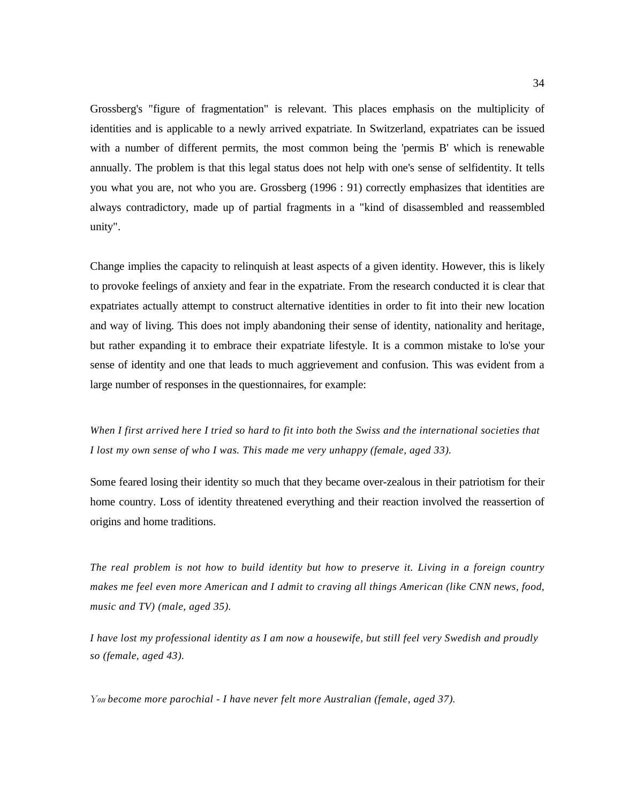Grossberg's "figure of fragmentation" is relevant. This places emphasis on the multiplicity of identities and is applicable to a newly arrived expatriate. In Switzerland, expatriates can be issued with a number of different permits, the most common being the 'permis B' which is renewable annually. The problem is that this legal status does not help with one's sense of selfidentity. It tells you what you are, not who you are. Grossberg (1996 : 91) correctly emphasizes that identities are always contradictory, made up of partial fragments in a "kind of disassembled and reassembled unity".

Change implies the capacity to relinquish at least aspects of a given identity. However, this is likely to provoke feelings of anxiety and fear in the expatriate. From the research conducted it is clear that expatriates actually attempt to construct alternative identities in order to fit into their new location and way of living. This does not imply abandoning their sense of identity, nationality and heritage, but rather expanding it to embrace their expatriate lifestyle. It is a common mistake to lo'se your sense of identity and one that leads to much aggrievement and confusion. This was evident from a large number of responses in the questionnaires, for example:

*When I first arrived here I tried so hard to fit into both the Swiss and the international societies that I lost my own sense of who I was. This made me very unhappy (female, aged 33).* 

Some feared losing their identity so much that they became over-zealous in their patriotism for their home country. Loss of identity threatened everything and their reaction involved the reassertion of origins and home traditions.

*The real problem is not how to build identity but how to preserve it. Living in a foreign country makes me feel even more American and I admit to craving all things American (like CNN news, food, music and TV) (male, aged 35).* 

*I have lost my professional identity as I am now a housewife, but still feel very Swedish and proudly so (female, aged 43).* 

You *become more parochial - I have never felt more Australian (female, aged 37).*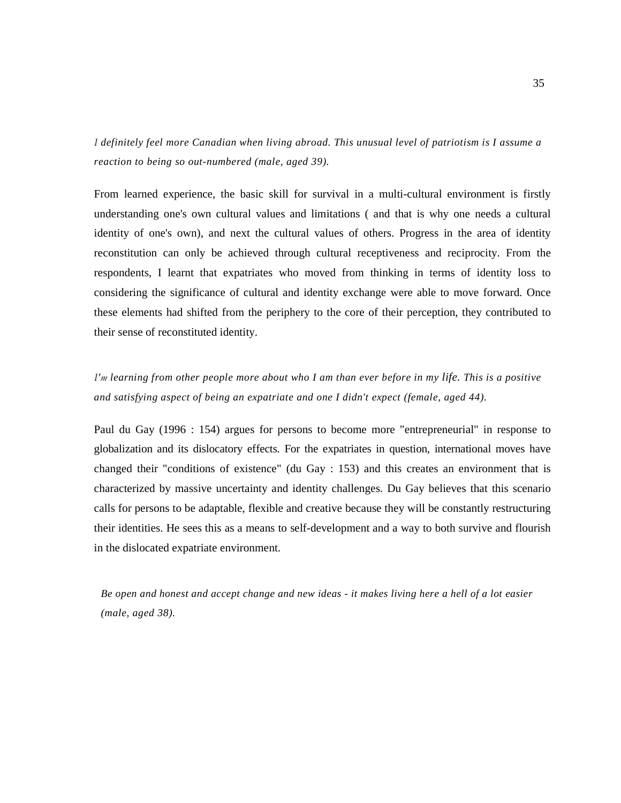I *definitely feel more Canadian when living abroad. This unusual level of patriotism is I assume a reaction to being so out-numbered (male, aged 39).* 

From learned experience, the basic skill for survival in a multi-cultural environment is firstly understanding one's own cultural values and limitations ( and that is why one needs a cultural identity of one's own), and next the cultural values of others. Progress in the area of identity reconstitution can only be achieved through cultural receptiveness and reciprocity. From the respondents, I learnt that expatriates who moved from thinking in terms of identity loss to considering the significance of cultural and identity exchange were able to move forward. Once these elements had shifted from the periphery to the core of their perception, they contributed to their sense of reconstituted identity.

# I'm *learning from other people more about who I am than ever before in my life. This is a positive and satisfying aspect of being an expatriate and one I didn't expect (female, aged 44).*

Paul du Gay (1996 : 154) argues for persons to become more "entrepreneurial" in response to globalization and its dislocatory effects. For the expatriates in question, international moves have changed their "conditions of existence" (du Gay : 153) and this creates an environment that is characterized by massive uncertainty and identity challenges. Du Gay believes that this scenario calls for persons to be adaptable, flexible and creative because they will be constantly restructuring their identities. He sees this as a means to self-development and a way to both survive and flourish in the dislocated expatriate environment.

*Be open and honest and accept change and new ideas - it makes living here a hell of a lot easier (male, aged 38).*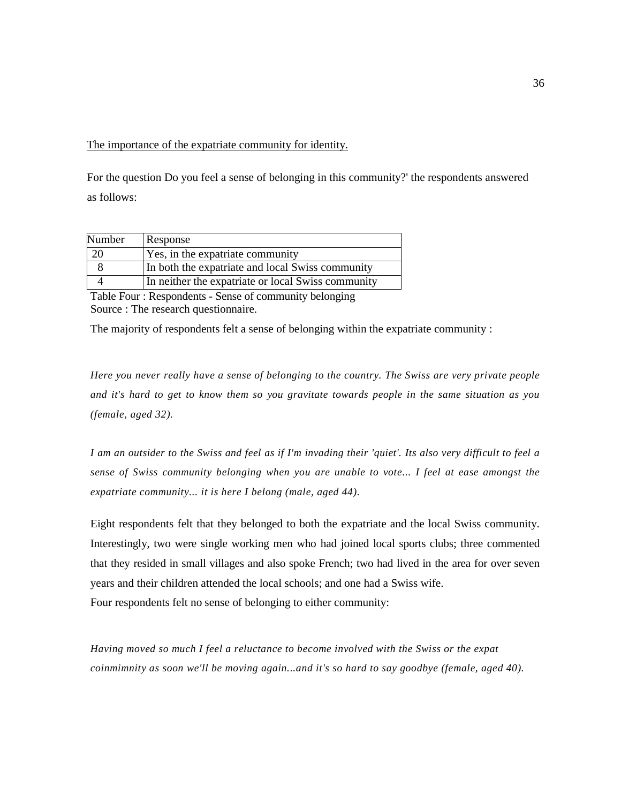The importance of the expatriate community for identity.

For the question Do you feel a sense of belonging in this community?' the respondents answered as follows:

| Number | Response                                           |
|--------|----------------------------------------------------|
| 20     | Yes, in the expatriate community                   |
|        | In both the expatriate and local Swiss community   |
|        | In neither the expatriate or local Swiss community |

Table Four : Respondents - Sense of community belonging Source : The research questionnaire.

The majority of respondents felt a sense of belonging within the expatriate community :

*Here you never really have a sense of belonging to the country. The Swiss are very private people and it's hard to get to know them so you gravitate towards people in the same situation as you (female, aged 32).* 

*I am an outsider to the Swiss and feel as if I'm invading their 'quiet'. Its also very difficult to feel a sense of Swiss community belonging when you are unable to vote... I feel at ease amongst the expatriate community... it is here I belong (male, aged 44).* 

Eight respondents felt that they belonged to both the expatriate and the local Swiss community. Interestingly, two were single working men who had joined local sports clubs; three commented that they resided in small villages and also spoke French; two had lived in the area for over seven years and their children attended the local schools; and one had a Swiss wife. Four respondents felt no sense of belonging to either community:

*Having moved so much I feel a reluctance to become involved with the Swiss or the expat coinmimnity as soon we'll be moving again...and it's so hard to say goodbye (female, aged 40).*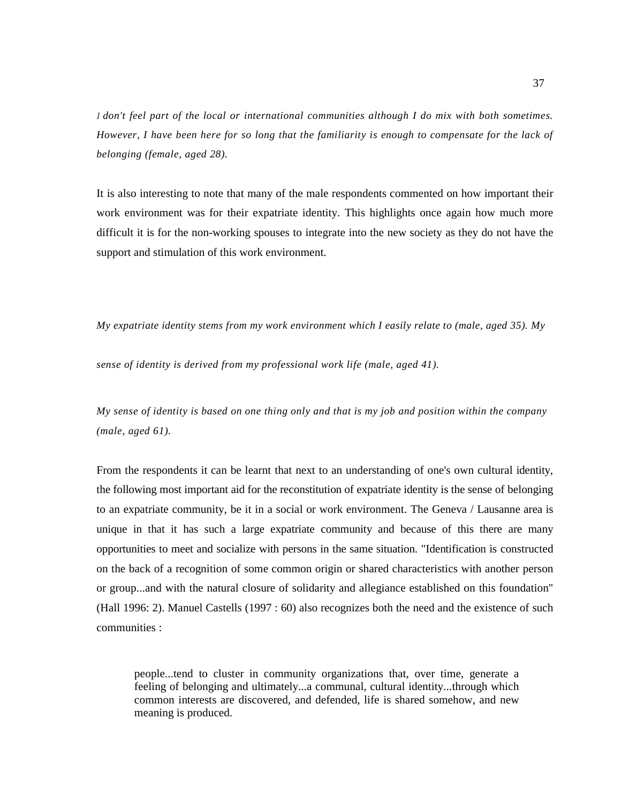I *don't feel part of the local or international communities although I do mix with both sometimes. However, I have been here for so long that the familiarity is enough to compensate for the lack of belonging (female, aged 28).* 

It is also interesting to note that many of the male respondents commented on how important their work environment was for their expatriate identity. This highlights once again how much more difficult it is for the non-working spouses to integrate into the new society as they do not have the support and stimulation of this work environment.

*My expatriate identity stems from my work environment which I easily relate to (male, aged 35). My* 

*sense of identity is derived from my professional work life (male, aged 41).* 

*My sense of identity is based on one thing only and that is my job and position within the company (male, aged 61).* 

From the respondents it can be learnt that next to an understanding of one's own cultural identity, the following most important aid for the reconstitution of expatriate identity is the sense of belonging to an expatriate community, be it in a social or work environment. The Geneva / Lausanne area is unique in that it has such a large expatriate community and because of this there are many opportunities to meet and socialize with persons in the same situation. "Identification is constructed on the back of a recognition of some common origin or shared characteristics with another person or group...and with the natural closure of solidarity and allegiance established on this foundation" (Hall 1996: 2). Manuel Castells (1997 : 60) also recognizes both the need and the existence of such communities :

people...tend to cluster in community organizations that, over time, generate a feeling of belonging and ultimately...a communal, cultural identity...through which common interests are discovered, and defended, life is shared somehow, and new meaning is produced.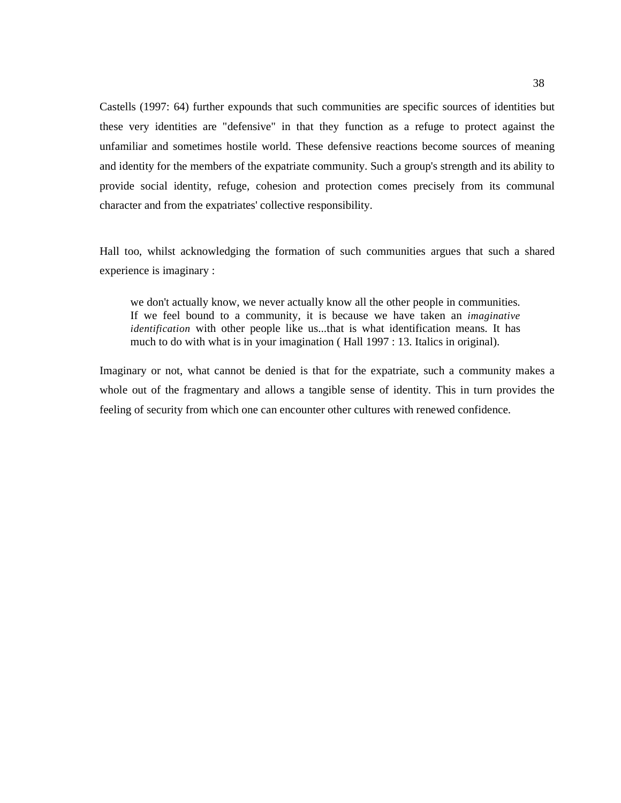Castells (1997: 64) further expounds that such communities are specific sources of identities but these very identities are "defensive" in that they function as a refuge to protect against the unfamiliar and sometimes hostile world. These defensive reactions become sources of meaning and identity for the members of the expatriate community. Such a group's strength and its ability to provide social identity, refuge, cohesion and protection comes precisely from its communal character and from the expatriates' collective responsibility.

Hall too, whilst acknowledging the formation of such communities argues that such a shared experience is imaginary :

we don't actually know, we never actually know all the other people in communities. If we feel bound to a community, it is because we have taken an *imaginative identification* with other people like us...that is what identification means. It has much to do with what is in your imagination ( Hall 1997 : 13. Italics in original).

Imaginary or not, what cannot be denied is that for the expatriate, such a community makes a whole out of the fragmentary and allows a tangible sense of identity. This in turn provides the feeling of security from which one can encounter other cultures with renewed confidence.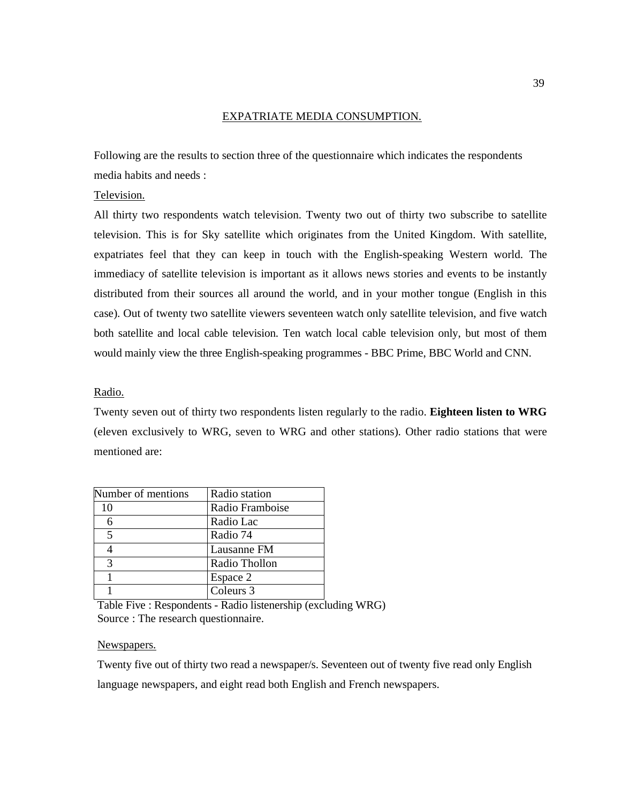## EXPATRIATE MEDIA CONSUMPTION.

Following are the results to section three of the questionnaire which indicates the respondents media habits and needs :

## Television.

All thirty two respondents watch television. Twenty two out of thirty two subscribe to satellite television. This is for Sky satellite which originates from the United Kingdom. With satellite, expatriates feel that they can keep in touch with the English-speaking Western world. The immediacy of satellite television is important as it allows news stories and events to be instantly distributed from their sources all around the world, and in your mother tongue (English in this case). Out of twenty two satellite viewers seventeen watch only satellite television, and five watch both satellite and local cable television. Ten watch local cable television only, but most of them would mainly view the three English-speaking programmes - BBC Prime, BBC World and CNN.

## Radio.

Twenty seven out of thirty two respondents listen regularly to the radio. **Eighteen listen to WRG**  (eleven exclusively to WRG, seven to WRG and other stations). Other radio stations that were mentioned are:

| Number of mentions | Radio station   |
|--------------------|-----------------|
| 10                 | Radio Framboise |
|                    | Radio Lac       |
| 5                  | Radio 74        |
|                    | Lausanne FM     |
| 3                  | Radio Thollon   |
|                    | Espace 2        |
|                    | Coleurs 3       |

Table Five : Respondents - Radio listenership (excluding WRG) Source : The research questionnaire.

#### Newspapers.

Twenty five out of thirty two read a newspaper/s. Seventeen out of twenty five read only English language newspapers, and eight read both English and French newspapers.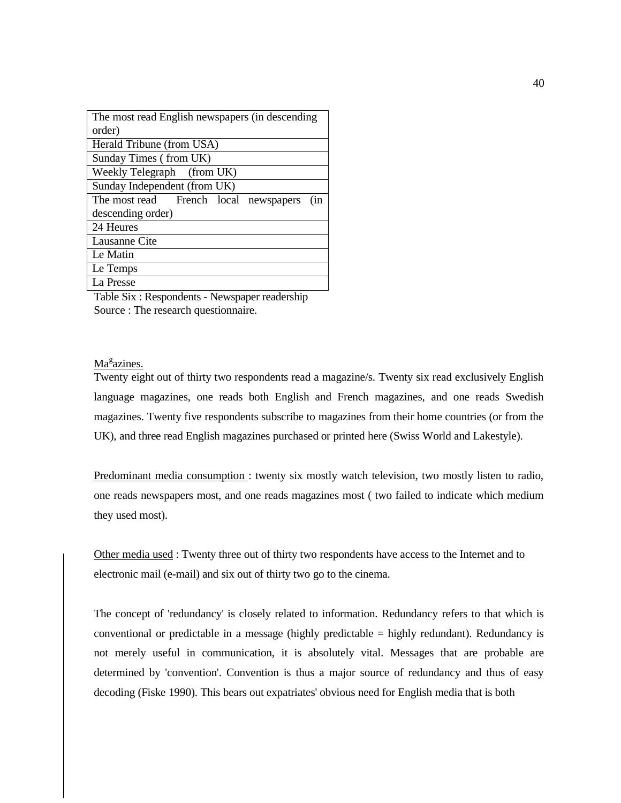| The most read English newspapers (in descending |  |  |
|-------------------------------------------------|--|--|
| order)                                          |  |  |
| Herald Tribune (from USA)                       |  |  |
| Sunday Times (from UK)                          |  |  |
| Weekly Telegraph (from UK)                      |  |  |
| Sunday Independent (from UK)                    |  |  |
| The most read French local newspapers<br>(in    |  |  |
| descending order)                               |  |  |
| 24 Heures                                       |  |  |
| Lausanne Cite                                   |  |  |
| Le Matin                                        |  |  |
| Le Temps                                        |  |  |
| La Presse                                       |  |  |

Table Six : Respondents - Newspaper readership Source : The research questionnaire.

# Ma<sup>g</sup>azines.

Twenty eight out of thirty two respondents read a magazine/s. Twenty six read exclusively English language magazines, one reads both English and French magazines, and one reads Swedish magazines. Twenty five respondents subscribe to magazines from their home countries (or from the UK), and three read English magazines purchased or printed here (Swiss World and Lakestyle).

Predominant media consumption : twenty six mostly watch television, two mostly listen to radio, one reads newspapers most, and one reads magazines most ( two failed to indicate which medium they used most).

Other media used : Twenty three out of thirty two respondents have access to the Internet and to electronic mail (e-mail) and six out of thirty two go to the cinema.

The concept of 'redundancy' is closely related to information. Redundancy refers to that which is conventional or predictable in a message (highly predictable = highly redundant). Redundancy is not merely useful in communication, it is absolutely vital. Messages that are probable are determined by 'convention'. Convention is thus a major source of redundancy and thus of easy decoding (Fiske 1990). This bears out expatriates' obvious need for English media that is both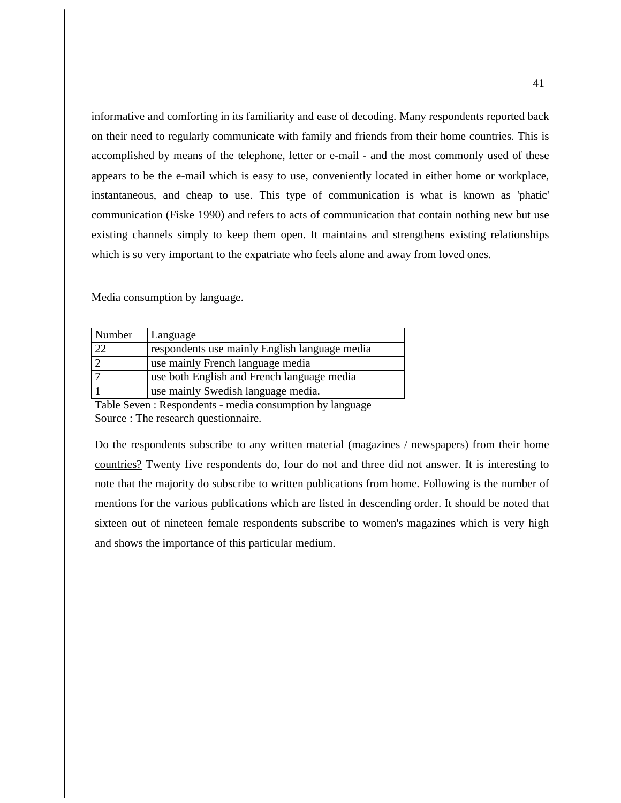informative and comforting in its familiarity and ease of decoding. Many respondents reported back on their need to regularly communicate with family and friends from their home countries. This is accomplished by means of the telephone, letter or e-mail - and the most commonly used of these appears to be the e-mail which is easy to use, conveniently located in either home or workplace, instantaneous, and cheap to use. This type of communication is what is known as 'phatic' communication (Fiske 1990) and refers to acts of communication that contain nothing new but use existing channels simply to keep them open. It maintains and strengthens existing relationships which is so very important to the expatriate who feels alone and away from loved ones.

#### Media consumption by language.

| Number | Language                                      |
|--------|-----------------------------------------------|
| 22     | respondents use mainly English language media |
|        | use mainly French language media              |
|        | use both English and French language media    |
|        | use mainly Swedish language media.            |

Table Seven : Respondents - media consumption by language Source : The research questionnaire.

Do the respondents subscribe to any written material (magazines / newspapers) from their home countries? Twenty five respondents do, four do not and three did not answer. It is interesting to note that the majority do subscribe to written publications from home. Following is the number of mentions for the various publications which are listed in descending order. It should be noted that sixteen out of nineteen female respondents subscribe to women's magazines which is very high and shows the importance of this particular medium.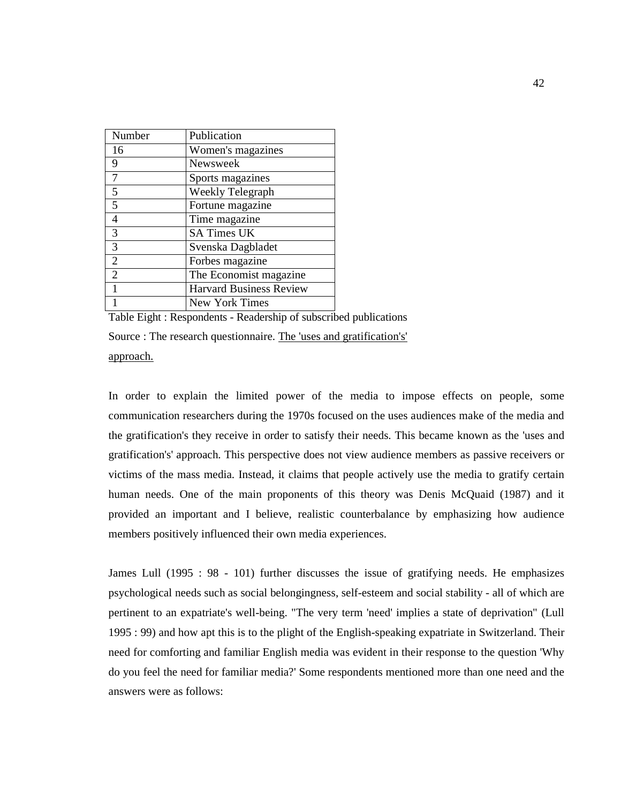| Number         | Publication                    |
|----------------|--------------------------------|
| 16             | Women's magazines              |
| 9              | Newsweek                       |
|                | Sports magazines               |
| 5              | Weekly Telegraph               |
| 5              | Fortune magazine               |
| 4              | Time magazine                  |
| 3              | <b>SA Times UK</b>             |
| 3              | Svenska Dagbladet              |
| $\overline{2}$ | Forbes magazine                |
| $\overline{2}$ | The Economist magazine         |
| 1              | <b>Harvard Business Review</b> |
|                | New York Times                 |

Table Eight : Respondents - Readership of subscribed publications Source : The research questionnaire. The 'uses and gratification's' approach.

In order to explain the limited power of the media to impose effects on people, some communication researchers during the 1970s focused on the uses audiences make of the media and the gratification's they receive in order to satisfy their needs. This became known as the 'uses and gratification's' approach. This perspective does not view audience members as passive receivers or victims of the mass media. Instead, it claims that people actively use the media to gratify certain human needs. One of the main proponents of this theory was Denis McQuaid (1987) and it provided an important and I believe, realistic counterbalance by emphasizing how audience members positively influenced their own media experiences.

James Lull (1995 : 98 - 101) further discusses the issue of gratifying needs. He emphasizes psychological needs such as social belongingness, self-esteem and social stability - all of which are pertinent to an expatriate's well-being. "The very term 'need' implies a state of deprivation" (Lull 1995 : 99) and how apt this is to the plight of the English-speaking expatriate in Switzerland. Their need for comforting and familiar English media was evident in their response to the question 'Why do you feel the need for familiar media?' Some respondents mentioned more than one need and the answers were as follows: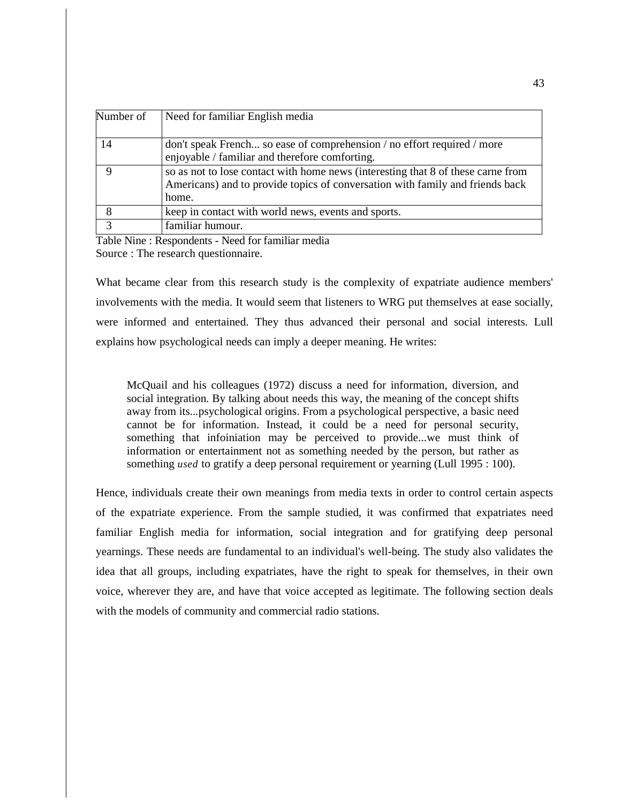| Number of   | Need for familiar English media                                                                                                                                            |
|-------------|----------------------------------------------------------------------------------------------------------------------------------------------------------------------------|
| 14          | don't speak French so ease of comprehension / no effort required / more<br>enjoyable / familiar and therefore comforting.                                                  |
| 9           | so as not to lose contact with home news (interesting that 8 of these carne from<br>Americans) and to provide topics of conversation with family and friends back<br>home. |
| 8           | keep in contact with world news, events and sports.                                                                                                                        |
| $\mathbf 3$ | familiar humour.                                                                                                                                                           |

Table Nine : Respondents - Need for familiar media Source : The research questionnaire.

What became clear from this research study is the complexity of expatriate audience members' involvements with the media. It would seem that listeners to WRG put themselves at ease socially, were informed and entertained. They thus advanced their personal and social interests. Lull explains how psychological needs can imply a deeper meaning. He writes:

McQuail and his colleagues (1972) discuss a need for information, diversion, and social integration. By talking about needs this way, the meaning of the concept shifts away from its...psychological origins. From a psychological perspective, a basic need cannot be for information. Instead, it could be a need for personal security, something that infoiniation may be perceived to provide...we must think of information or entertainment not as something needed by the person, but rather as something *used* to gratify a deep personal requirement or yearning (Lull 1995 : 100).

Hence, individuals create their own meanings from media texts in order to control certain aspects of the expatriate experience. From the sample studied, it was confirmed that expatriates need familiar English media for information, social integration and for gratifying deep personal yearnings. These needs are fundamental to an individual's well-being. The study also validates the idea that all groups, including expatriates, have the right to speak for themselves, in their own voice, wherever they are, and have that voice accepted as legitimate. The following section deals with the models of community and commercial radio stations.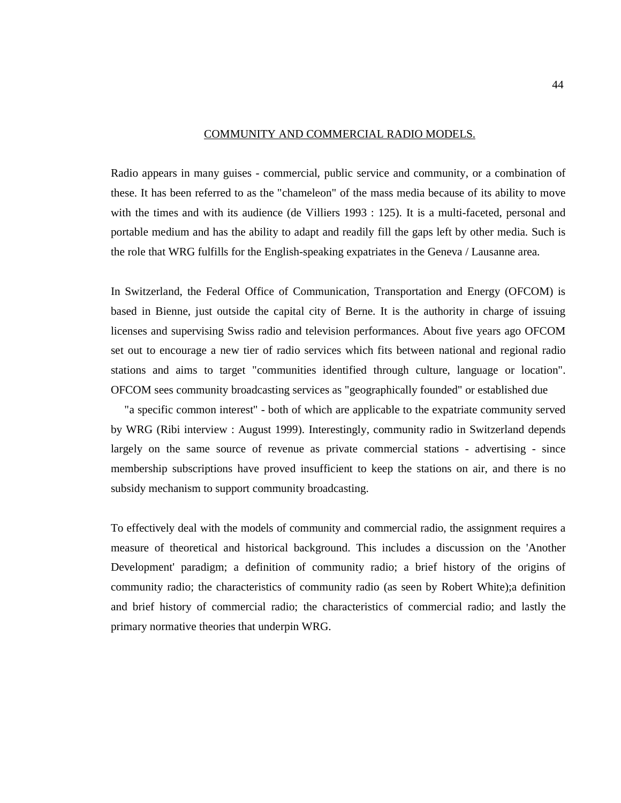#### COMMUNITY AND COMMERCIAL RADIO MODELS.

Radio appears in many guises - commercial, public service and community, or a combination of these. It has been referred to as the "chameleon" of the mass media because of its ability to move with the times and with its audience (de Villiers 1993 : 125). It is a multi-faceted, personal and portable medium and has the ability to adapt and readily fill the gaps left by other media. Such is the role that WRG fulfills for the English-speaking expatriates in the Geneva / Lausanne area.

In Switzerland, the Federal Office of Communication, Transportation and Energy (OFCOM) is based in Bienne, just outside the capital city of Berne. It is the authority in charge of issuing licenses and supervising Swiss radio and television performances. About five years ago OFCOM set out to encourage a new tier of radio services which fits between national and regional radio stations and aims to target "communities identified through culture, language or location". OFCOM sees community broadcasting services as "geographically founded" or established due

"a specific common interest" - both of which are applicable to the expatriate community served by WRG (Ribi interview : August 1999). Interestingly, community radio in Switzerland depends largely on the same source of revenue as private commercial stations - advertising - since membership subscriptions have proved insufficient to keep the stations on air, and there is no subsidy mechanism to support community broadcasting.

To effectively deal with the models of community and commercial radio, the assignment requires a measure of theoretical and historical background. This includes a discussion on the 'Another Development' paradigm; a definition of community radio; a brief history of the origins of community radio; the characteristics of community radio (as seen by Robert White);a definition and brief history of commercial radio; the characteristics of commercial radio; and lastly the primary normative theories that underpin WRG.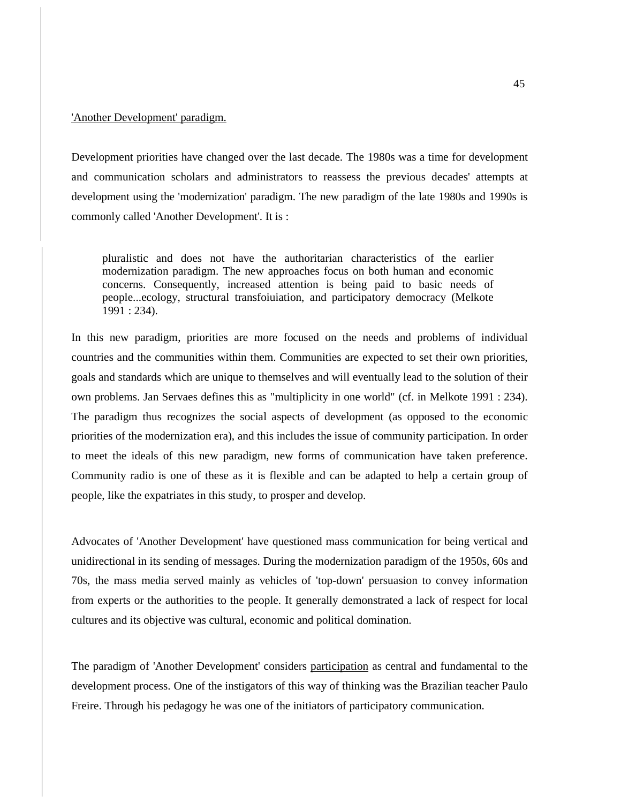## 'Another Development' paradigm.

Development priorities have changed over the last decade. The 1980s was a time for development and communication scholars and administrators to reassess the previous decades' attempts at development using the 'modernization' paradigm. The new paradigm of the late 1980s and 1990s is commonly called 'Another Development'. It is :

pluralistic and does not have the authoritarian characteristics of the earlier modernization paradigm. The new approaches focus on both human and economic concerns. Consequently, increased attention is being paid to basic needs of people...ecology, structural transfoiuiation, and participatory democracy (Melkote 1991 : 234).

In this new paradigm, priorities are more focused on the needs and problems of individual countries and the communities within them. Communities are expected to set their own priorities, goals and standards which are unique to themselves and will eventually lead to the solution of their own problems. Jan Servaes defines this as "multiplicity in one world" (cf. in Melkote 1991 : 234). The paradigm thus recognizes the social aspects of development (as opposed to the economic priorities of the modernization era), and this includes the issue of community participation. In order to meet the ideals of this new paradigm, new forms of communication have taken preference. Community radio is one of these as it is flexible and can be adapted to help a certain group of people, like the expatriates in this study, to prosper and develop.

Advocates of 'Another Development' have questioned mass communication for being vertical and unidirectional in its sending of messages. During the modernization paradigm of the 1950s, 60s and 70s, the mass media served mainly as vehicles of 'top-down' persuasion to convey information from experts or the authorities to the people. It generally demonstrated a lack of respect for local cultures and its objective was cultural, economic and political domination.

The paradigm of 'Another Development' considers participation as central and fundamental to the development process. One of the instigators of this way of thinking was the Brazilian teacher Paulo Freire. Through his pedagogy he was one of the initiators of participatory communication.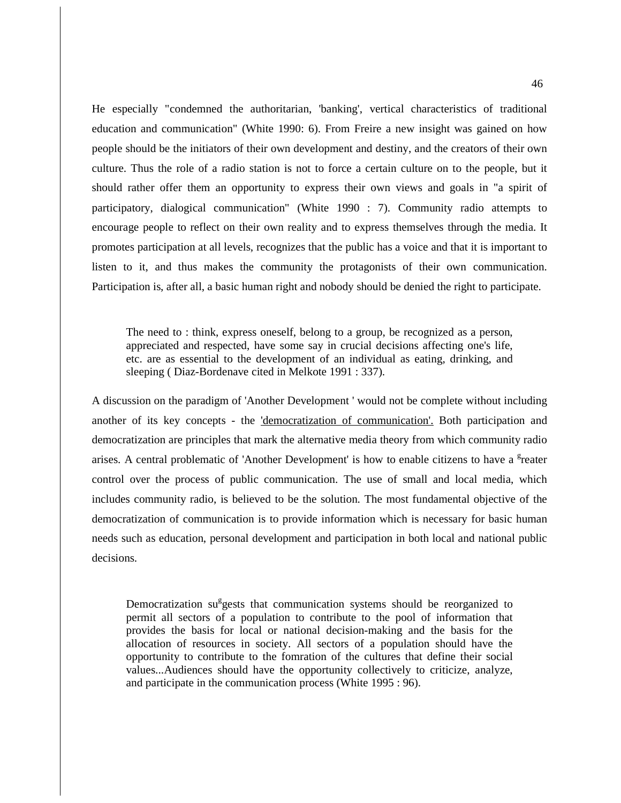He especially "condemned the authoritarian, 'banking', vertical characteristics of traditional education and communication" (White 1990: 6). From Freire a new insight was gained on how people should be the initiators of their own development and destiny, and the creators of their own culture. Thus the role of a radio station is not to force a certain culture on to the people, but it should rather offer them an opportunity to express their own views and goals in "a spirit of participatory, dialogical communication" (White 1990 : 7). Community radio attempts to encourage people to reflect on their own reality and to express themselves through the media. It promotes participation at all levels, recognizes that the public has a voice and that it is important to listen to it, and thus makes the community the protagonists of their own communication. Participation is, after all, a basic human right and nobody should be denied the right to participate.

The need to : think, express oneself, belong to a group, be recognized as a person, appreciated and respected, have some say in crucial decisions affecting one's life, etc. are as essential to the development of an individual as eating, drinking, and sleeping (Diaz-Bordenave cited in Melkote 1991 : 337).

A discussion on the paradigm of 'Another Development ' would not be complete without including another of its key concepts - the 'democratization of communication'. Both participation and democratization are principles that mark the alternative media theory from which community radio arises. A central problematic of 'Another Development' is how to enable citizens to have a <sup>g</sup>reater control over the process of public communication. The use of small and local media, which includes community radio, is believed to be the solution. The most fundamental objective of the democratization of communication is to provide information which is necessary for basic human needs such as education, personal development and participation in both local and national public decisions.

Democratization su<sup>g</sup>gests that communication systems should be reorganized to permit all sectors of a population to contribute to the pool of information that provides the basis for local or national decision-making and the basis for the allocation of resources in society. All sectors of a population should have the opportunity to contribute to the fomration of the cultures that define their social values...Audiences should have the opportunity collectively to criticize, analyze, and participate in the communication process (White 1995 : 96).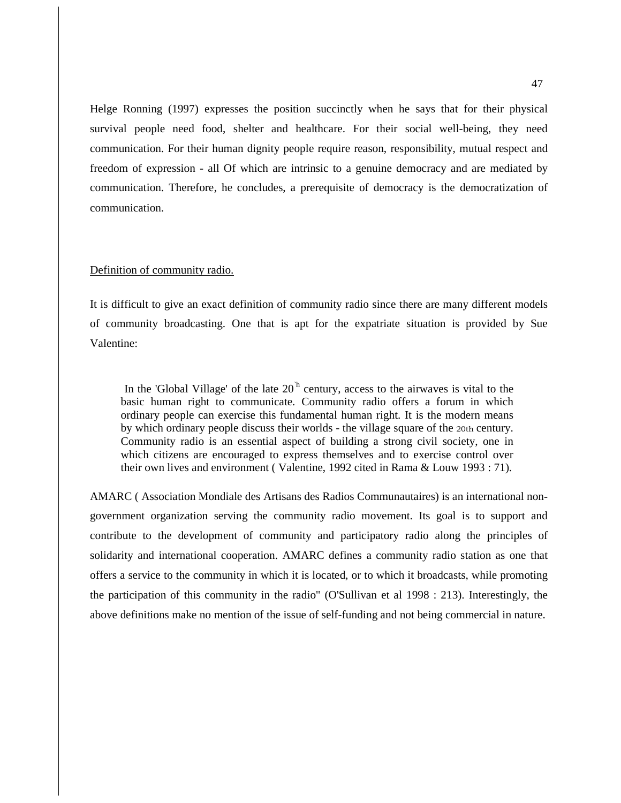Helge Ronning (1997) expresses the position succinctly when he says that for their physical survival people need food, shelter and healthcare. For their social well-being, they need communication. For their human dignity people require reason, responsibility, mutual respect and freedom of expression - all Of which are intrinsic to a genuine democracy and are mediated by communication. Therefore, he concludes, a prerequisite of democracy is the democratization of communication.

## Definition of community radio.

It is difficult to give an exact definition of community radio since there are many different models of community broadcasting. One that is apt for the expatriate situation is provided by Sue Valentine:

In the 'Global Village' of the late  $20<sup>h</sup>$  century, access to the airwaves is vital to the basic human right to communicate. Community radio offers a forum in which ordinary people can exercise this fundamental human right. It is the modern means by which ordinary people discuss their worlds - the village square of the 20th century. Community radio is an essential aspect of building a strong civil society, one in which citizens are encouraged to express themselves and to exercise control over their own lives and environment ( Valentine, 1992 cited in Rama & Louw 1993 : 71).

AMARC ( Association Mondiale des Artisans des Radios Communautaires) is an international nongovernment organization serving the community radio movement. Its goal is to support and contribute to the development of community and participatory radio along the principles of solidarity and international cooperation. AMARC defines a community radio station as one that offers a service to the community in which it is located, or to which it broadcasts, while promoting the participation of this community in the radio" (O'Sullivan et al 1998 : 213). Interestingly, the above definitions make no mention of the issue of self-funding and not being commercial in nature.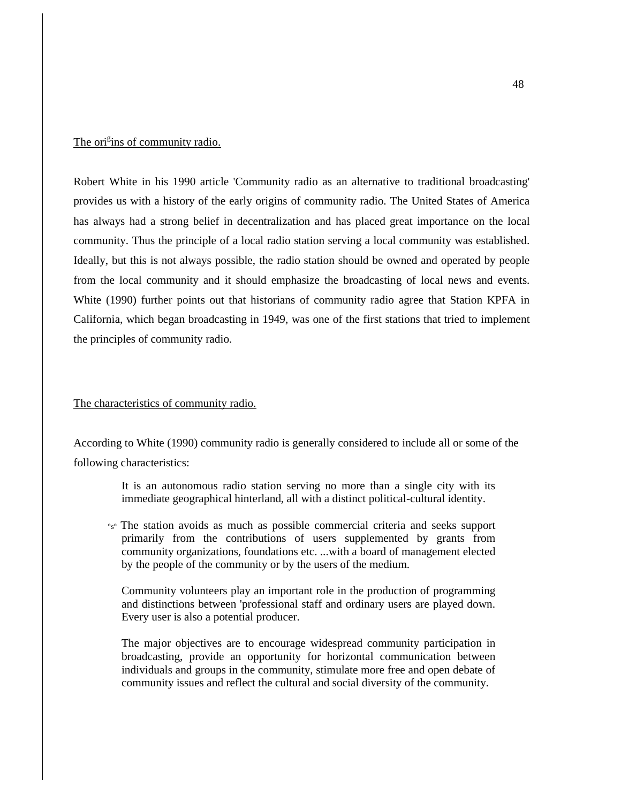# The ori<sup>g</sup>ins of community radio.

Robert White in his 1990 article 'Community radio as an alternative to traditional broadcasting' provides us with a history of the early origins of community radio. The United States of America has always had a strong belief in decentralization and has placed great importance on the local community. Thus the principle of a local radio station serving a local community was established. Ideally, but this is not always possible, the radio station should be owned and operated by people from the local community and it should emphasize the broadcasting of local news and events. White (1990) further points out that historians of community radio agree that Station KPFA in California, which began broadcasting in 1949, was one of the first stations that tried to implement the principles of community radio.

## The characteristics of community radio.

According to White (1990) community radio is generally considered to include all or some of the following characteristics:

> It is an autonomous radio station serving no more than a single city with its immediate geographical hinterland, all with a distinct political-cultural identity.

°s° The station avoids as much as possible commercial criteria and seeks support primarily from the contributions of users supplemented by grants from community organizations, foundations etc. ...with a board of management elected by the people of the community or by the users of the medium.

Community volunteers play an important role in the production of programming and distinctions between 'professional staff and ordinary users are played down. Every user is also a potential producer.

The major objectives are to encourage widespread community participation in broadcasting, provide an opportunity for horizontal communication between individuals and groups in the community, stimulate more free and open debate of community issues and reflect the cultural and social diversity of the community.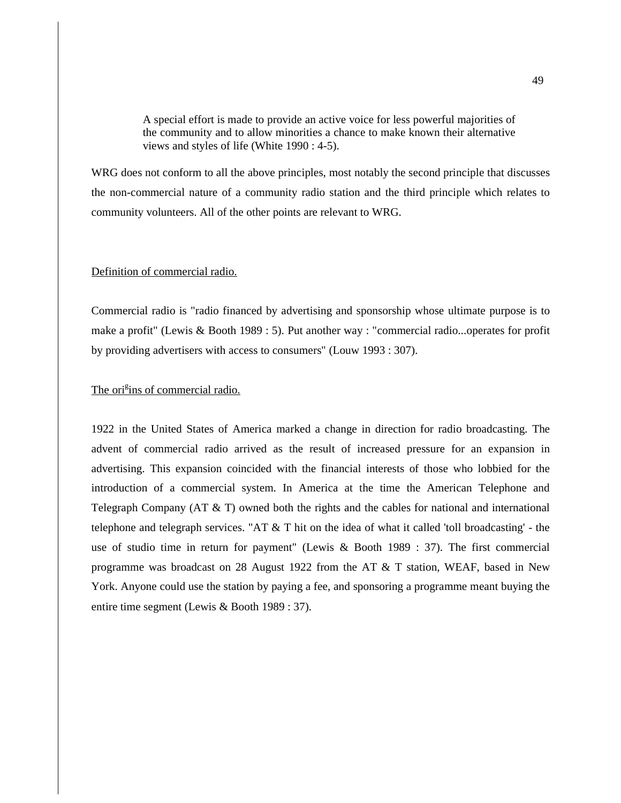A special effort is made to provide an active voice for less powerful majorities of the community and to allow minorities a chance to make known their alternative views and styles of life (White 1990 : 4-5).

WRG does not conform to all the above principles, most notably the second principle that discusses the non-commercial nature of a community radio station and the third principle which relates to community volunteers. All of the other points are relevant to WRG.

### Definition of commercial radio.

Commercial radio is "radio financed by advertising and sponsorship whose ultimate purpose is to make a profit" (Lewis & Booth 1989 : 5). Put another way : "commercial radio...operates for profit by providing advertisers with access to consumers" (Louw 1993 : 307).

# The ori<sup>g</sup>ins of commercial radio.

1922 in the United States of America marked a change in direction for radio broadcasting. The advent of commercial radio arrived as the result of increased pressure for an expansion in advertising. This expansion coincided with the financial interests of those who lobbied for the introduction of a commercial system. In America at the time the American Telephone and Telegraph Company (AT  $\&$  T) owned both the rights and the cables for national and international telephone and telegraph services. "AT  $\&$  T hit on the idea of what it called 'toll broadcasting' - the use of studio time in return for payment" (Lewis & Booth 1989 : 37). The first commercial programme was broadcast on 28 August 1922 from the AT & T station, WEAF, based in New York. Anyone could use the station by paying a fee, and sponsoring a programme meant buying the entire time segment (Lewis & Booth 1989 : 37).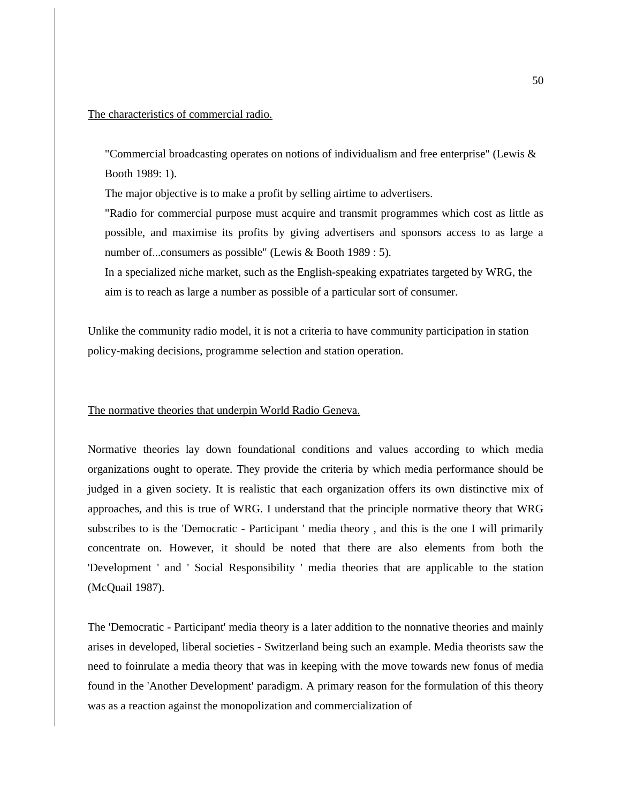## The characteristics of commercial radio.

"Commercial broadcasting operates on notions of individualism and free enterprise" (Lewis & Booth 1989: 1).

The major objective is to make a profit by selling airtime to advertisers.

"Radio for commercial purpose must acquire and transmit programmes which cost as little as possible, and maximise its profits by giving advertisers and sponsors access to as large a number of...consumers as possible" (Lewis & Booth 1989 : 5).

In a specialized niche market, such as the English-speaking expatriates targeted by WRG, the aim is to reach as large a number as possible of a particular sort of consumer.

Unlike the community radio model, it is not a criteria to have community participation in station policy-making decisions, programme selection and station operation.

## The normative theories that underpin World Radio Geneva.

Normative theories lay down foundational conditions and values according to which media organizations ought to operate. They provide the criteria by which media performance should be judged in a given society. It is realistic that each organization offers its own distinctive mix of approaches, and this is true of WRG. I understand that the principle normative theory that WRG subscribes to is the 'Democratic - Participant ' media theory , and this is the one I will primarily concentrate on. However, it should be noted that there are also elements from both the 'Development ' and ' Social Responsibility ' media theories that are applicable to the station (McQuail 1987).

The 'Democratic - Participant' media theory is a later addition to the nonnative theories and mainly arises in developed, liberal societies - Switzerland being such an example. Media theorists saw the need to foinrulate a media theory that was in keeping with the move towards new fonus of media found in the 'Another Development' paradigm. A primary reason for the formulation of this theory was as a reaction against the monopolization and commercialization of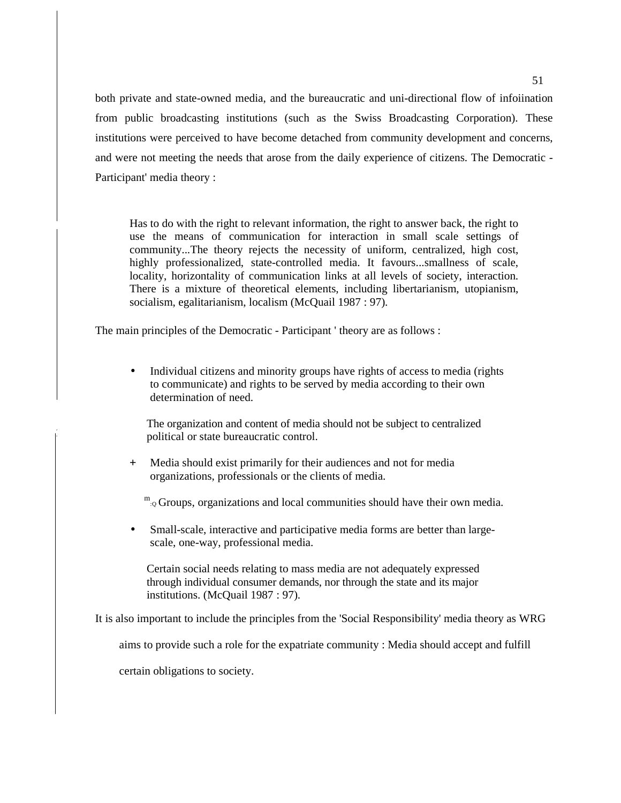both private and state-owned media, and the bureaucratic and uni-directional flow of infoiination from public broadcasting institutions (such as the Swiss Broadcasting Corporation). These institutions were perceived to have become detached from community development and concerns, and were not meeting the needs that arose from the daily experience of citizens. The Democratic - Participant' media theory :

Has to do with the right to relevant information, the right to answer back, the right to use the means of communication for interaction in small scale settings of community...The theory rejects the necessity of uniform, centralized, high cost, highly professionalized, state-controlled media. It favours...smallness of scale, locality, horizontality of communication links at all levels of society, interaction. There is a mixture of theoretical elements, including libertarianism, utopianism, socialism, egalitarianism, localism (McQuail 1987 : 97).

The main principles of the Democratic - Participant ' theory are as follows :

• Individual citizens and minority groups have rights of access to media (rights to communicate) and rights to be served by media according to their own determination of need.

The organization and content of media should not be subject to centralized political or state bureaucratic control.

+ Media should exist primarily for their audiences and not for media organizations, professionals or the clients of media.

 $m_{Q}$  Groups, organizations and local communities should have their own media.

• Small-scale, interactive and participative media forms are better than largescale, one-way, professional media.

Certain social needs relating to mass media are not adequately expressed through individual consumer demands, nor through the state and its major institutions. (McQuail 1987 : 97).

It is also important to include the principles from the 'Social Responsibility' media theory as WRG

aims to provide such a role for the expatriate community : Media should accept and fulfill

certain obligations to society.

í.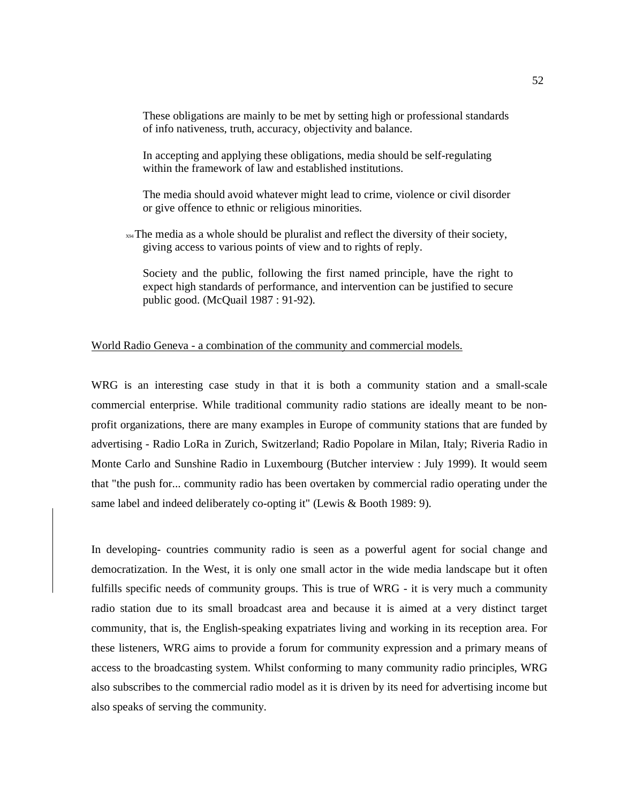These obligations are mainly to be met by setting high or professional standards of info nativeness, truth, accuracy, objectivity and balance.

In accepting and applying these obligations, media should be self-regulating within the framework of law and established institutions.

The media should avoid whatever might lead to crime, violence or civil disorder or give offence to ethnic or religious minorities.

 $x \rightarrow x+1$  The media as a whole should be pluralist and reflect the diversity of their society, giving access to various points of view and to rights of reply.

Society and the public, following the first named principle, have the right to expect high standards of performance, and intervention can be justified to secure public good. (McQuail 1987 : 91-92).

## World Radio Geneva - a combination of the community and commercial models.

WRG is an interesting case study in that it is both a community station and a small-scale commercial enterprise. While traditional community radio stations are ideally meant to be nonprofit organizations, there are many examples in Europe of community stations that are funded by advertising - Radio LoRa in Zurich, Switzerland; Radio Popolare in Milan, Italy; Riveria Radio in Monte Carlo and Sunshine Radio in Luxembourg (Butcher interview : July 1999). It would seem that "the push for... community radio has been overtaken by commercial radio operating under the same label and indeed deliberately co-opting it" (Lewis & Booth 1989: 9).

In developing- countries community radio is seen as a powerful agent for social change and democratization. In the West, it is only one small actor in the wide media landscape but it often fulfills specific needs of community groups. This is true of WRG - it is very much a community radio station due to its small broadcast area and because it is aimed at a very distinct target community, that is, the English-speaking expatriates living and working in its reception area. For these listeners, WRG aims to provide a forum for community expression and a primary means of access to the broadcasting system. Whilst conforming to many community radio principles, WRG also subscribes to the commercial radio model as it is driven by its need for advertising income but also speaks of serving the community.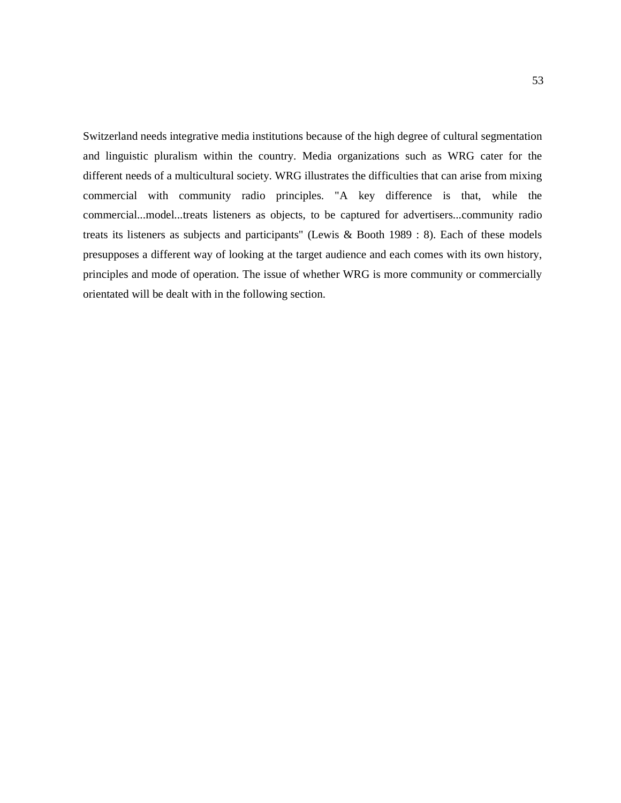Switzerland needs integrative media institutions because of the high degree of cultural segmentation and linguistic pluralism within the country. Media organizations such as WRG cater for the different needs of a multicultural society. WRG illustrates the difficulties that can arise from mixing commercial with community radio principles. "A key difference is that, while the commercial...model...treats listeners as objects, to be captured for advertisers...community radio treats its listeners as subjects and participants" (Lewis & Booth 1989 : 8). Each of these models presupposes a different way of looking at the target audience and each comes with its own history, principles and mode of operation. The issue of whether WRG is more community or commercially orientated will be dealt with in the following section.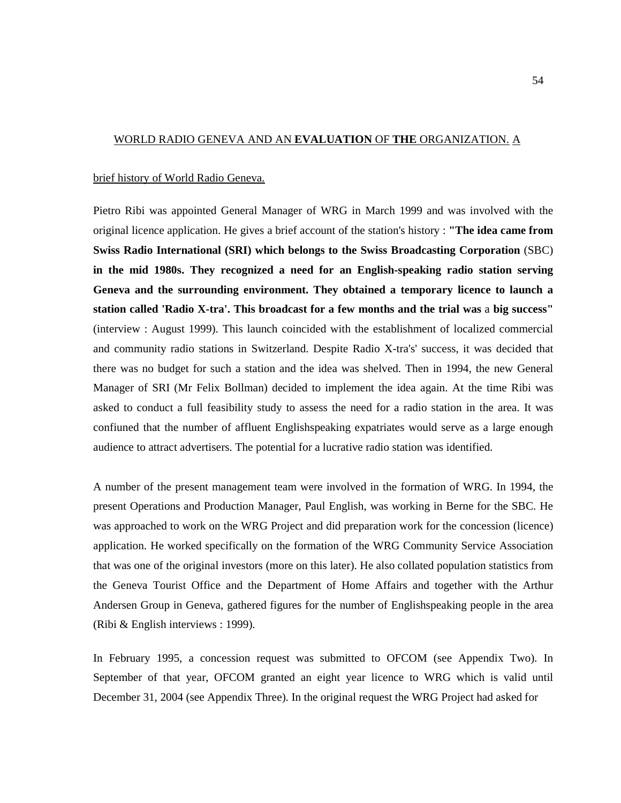## WORLD RADIO GENEVA AND AN **EVALUATION** OF **THE** ORGANIZATION. A

## brief history of World Radio Geneva.

Pietro Ribi was appointed General Manager of WRG in March 1999 and was involved with the original licence application. He gives a brief account of the station's history : **"The idea came from Swiss Radio International (SRI) which belongs to the Swiss Broadcasting Corporation** (SBC) **in the mid 1980s. They recognized a need for an English-speaking radio station serving Geneva and the surrounding environment. They obtained a temporary licence to launch a station called 'Radio X-tra'. This broadcast for a few months and the trial was** a **big success"**  (interview : August 1999). This launch coincided with the establishment of localized commercial and community radio stations in Switzerland. Despite Radio X-tra's' success, it was decided that there was no budget for such a station and the idea was shelved. Then in 1994, the new General Manager of SRI (Mr Felix Bollman) decided to implement the idea again. At the time Ribi was asked to conduct a full feasibility study to assess the need for a radio station in the area. It was confiuned that the number of affluent Englishspeaking expatriates would serve as a large enough audience to attract advertisers. The potential for a lucrative radio station was identified.

A number of the present management team were involved in the formation of WRG. In 1994, the present Operations and Production Manager, Paul English, was working in Berne for the SBC. He was approached to work on the WRG Project and did preparation work for the concession (licence) application. He worked specifically on the formation of the WRG Community Service Association that was one of the original investors (more on this later). He also collated population statistics from the Geneva Tourist Office and the Department of Home Affairs and together with the Arthur Andersen Group in Geneva, gathered figures for the number of Englishspeaking people in the area (Ribi & English interviews : 1999).

In February 1995, a concession request was submitted to OFCOM (see Appendix Two). In September of that year, OFCOM granted an eight year licence to WRG which is valid until December 31, 2004 (see Appendix Three). In the original request the WRG Project had asked for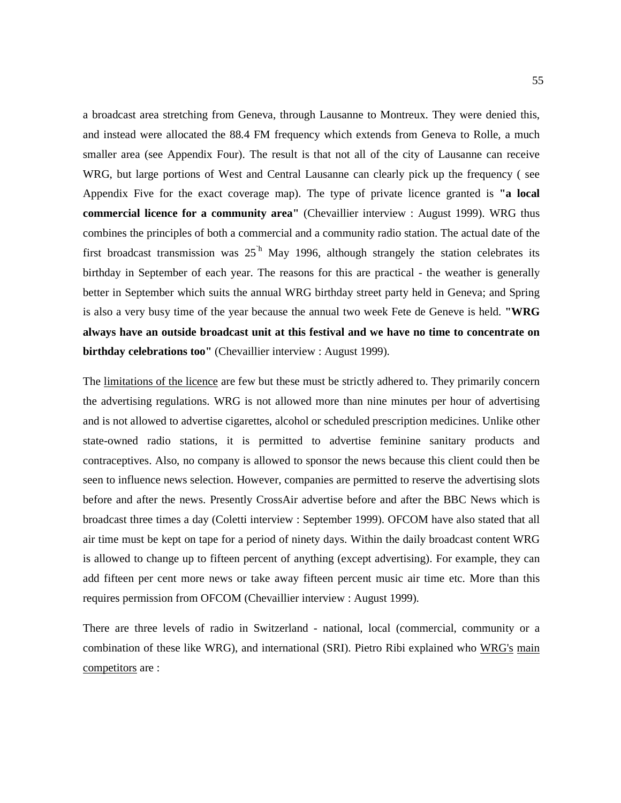a broadcast area stretching from Geneva, through Lausanne to Montreux. They were denied this, and instead were allocated the 88.4 FM frequency which extends from Geneva to Rolle, a much smaller area (see Appendix Four). The result is that not all of the city of Lausanne can receive WRG, but large portions of West and Central Lausanne can clearly pick up the frequency ( see Appendix Five for the exact coverage map). The type of private licence granted is **"a local commercial licence for a community area"** (Chevaillier interview : August 1999). WRG thus combines the principles of both a commercial and a community radio station. The actual date of the first broadcast transmission was  $25<sup>h</sup>$  May 1996, although strangely the station celebrates its birthday in September of each year. The reasons for this are practical - the weather is generally better in September which suits the annual WRG birthday street party held in Geneva; and Spring is also a very busy time of the year because the annual two week Fete de Geneve is held. **"WRG always have an outside broadcast unit at this festival and we have no time to concentrate on birthday celebrations too"** (Chevaillier interview : August 1999).

The limitations of the licence are few but these must be strictly adhered to. They primarily concern the advertising regulations. WRG is not allowed more than nine minutes per hour of advertising and is not allowed to advertise cigarettes, alcohol or scheduled prescription medicines. Unlike other state-owned radio stations, it is permitted to advertise feminine sanitary products and contraceptives. Also, no company is allowed to sponsor the news because this client could then be seen to influence news selection. However, companies are permitted to reserve the advertising slots before and after the news. Presently CrossAir advertise before and after the BBC News which is broadcast three times a day (Coletti interview : September 1999). OFCOM have also stated that all air time must be kept on tape for a period of ninety days. Within the daily broadcast content WRG is allowed to change up to fifteen percent of anything (except advertising). For example, they can add fifteen per cent more news or take away fifteen percent music air time etc. More than this requires permission from OFCOM (Chevaillier interview : August 1999).

There are three levels of radio in Switzerland - national, local (commercial, community or a combination of these like WRG), and international (SRI). Pietro Ribi explained who WRG's main competitors are :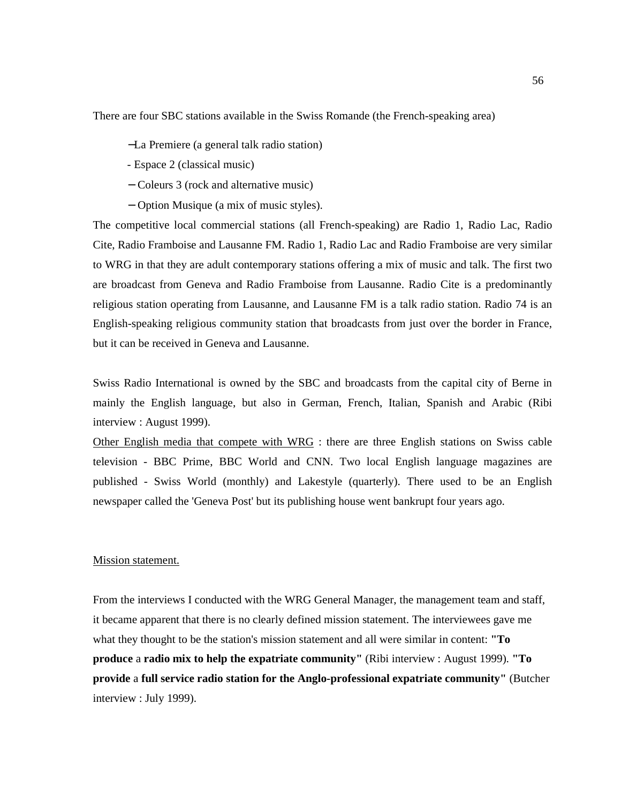There are four SBC stations available in the Swiss Romande (the French-speaking area)

- −La Premiere (a general talk radio station)
- Espace 2 (classical music)
- − Coleurs 3 (rock and alternative music)
- − Option Musique (a mix of music styles).

The competitive local commercial stations (all French-speaking) are Radio 1, Radio Lac, Radio Cite, Radio Framboise and Lausanne FM. Radio 1, Radio Lac and Radio Framboise are very similar to WRG in that they are adult contemporary stations offering a mix of music and talk. The first two are broadcast from Geneva and Radio Framboise from Lausanne. Radio Cite is a predominantly religious station operating from Lausanne, and Lausanne FM is a talk radio station. Radio 74 is an English-speaking religious community station that broadcasts from just over the border in France, but it can be received in Geneva and Lausanne.

Swiss Radio International is owned by the SBC and broadcasts from the capital city of Berne in mainly the English language, but also in German, French, Italian, Spanish and Arabic (Ribi interview : August 1999).

Other English media that compete with WRG : there are three English stations on Swiss cable television - BBC Prime, BBC World and CNN. Two local English language magazines are published - Swiss World (monthly) and Lakestyle (quarterly). There used to be an English newspaper called the 'Geneva Post' but its publishing house went bankrupt four years ago.

### Mission statement.

From the interviews I conducted with the WRG General Manager, the management team and staff, it became apparent that there is no clearly defined mission statement. The interviewees gave me what they thought to be the station's mission statement and all were similar in content: **"To produce** a **radio mix to help the expatriate community"** (Ribi interview : August 1999). **"To provide** a **full service radio station for the Anglo-professional expatriate community"** (Butcher interview : July 1999).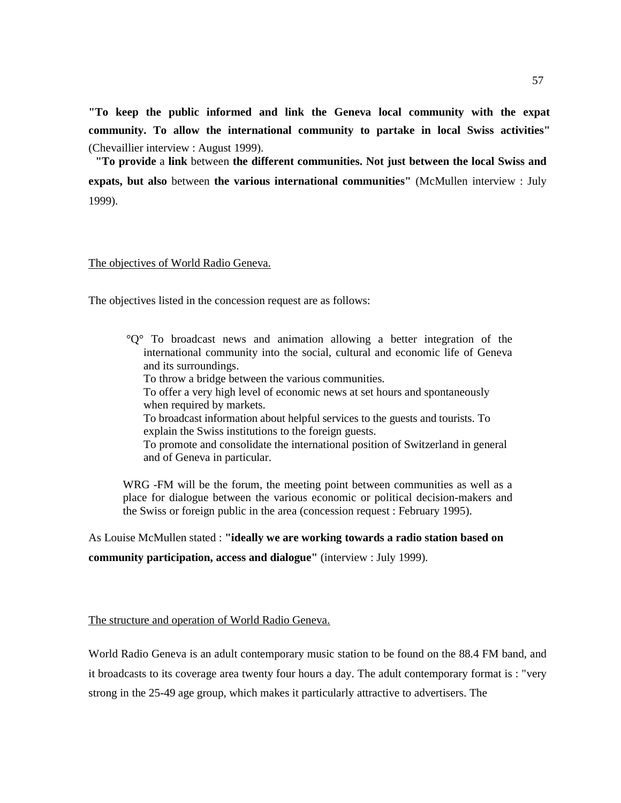**"To keep the public informed and link the Geneva local community with the expat community. To allow the international community to partake in local Swiss activities"**  (Chevaillier interview : August 1999).

**"To provide** a **link** between **the different communities. Not just between the local Swiss and expats, but also** between **the various international communities"** (McMullen interview : July 1999).

## The objectives of World Radio Geneva.

The objectives listed in the concession request are as follows:

°Q° To broadcast news and animation allowing a better integration of the international community into the social, cultural and economic life of Geneva and its surroundings. To throw a bridge between the various communities. To offer a very high level of economic news at set hours and spontaneously when required by markets. To broadcast information about helpful services to the guests and tourists. To explain the Swiss institutions to the foreign guests. To promote and consolidate the international position of Switzerland in general and of Geneva in particular.

WRG -FM will be the forum, the meeting point between communities as well as a place for dialogue between the various economic or political decision-makers and the Swiss or foreign public in the area (concession request : February 1995).

As Louise McMullen stated : **"ideally we are working towards a radio station based on** 

**community participation, access and dialogue"** (interview : July 1999).

The structure and operation of World Radio Geneva.

World Radio Geneva is an adult contemporary music station to be found on the 88.4 FM band, and it broadcasts to its coverage area twenty four hours a day. The adult contemporary format is : "very strong in the 25-49 age group, which makes it particularly attractive to advertisers. The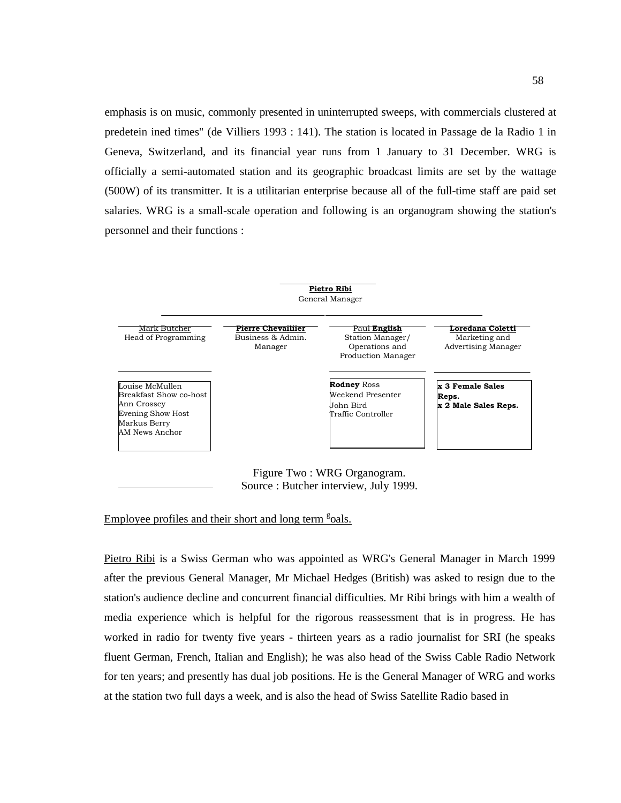emphasis is on music, commonly presented in uninterrupted sweeps, with commercials clustered at predetein ined times" (de Villiers 1993 : 141). The station is located in Passage de la Radio 1 in Geneva, Switzerland, and its financial year runs from 1 January to 31 December. WRG is officially a semi-automated station and its geographic broadcast limits are set by the wattage (500W) of its transmitter. It is a utilitarian enterprise because all of the full-time staff are paid set salaries. WRG is a small-scale operation and following is an organogram showing the station's personnel and their functions :



# Employee profiles and their short and long term <sup>g</sup>oals.

Pietro Ribi is a Swiss German who was appointed as WRG's General Manager in March 1999 after the previous General Manager, Mr Michael Hedges (British) was asked to resign due to the station's audience decline and concurrent financial difficulties. Mr Ribi brings with him a wealth of media experience which is helpful for the rigorous reassessment that is in progress. He has worked in radio for twenty five years - thirteen years as a radio journalist for SRI (he speaks fluent German, French, Italian and English); he was also head of the Swiss Cable Radio Network for ten years; and presently has dual job positions. He is the General Manager of WRG and works at the station two full days a week, and is also the head of Swiss Satellite Radio based in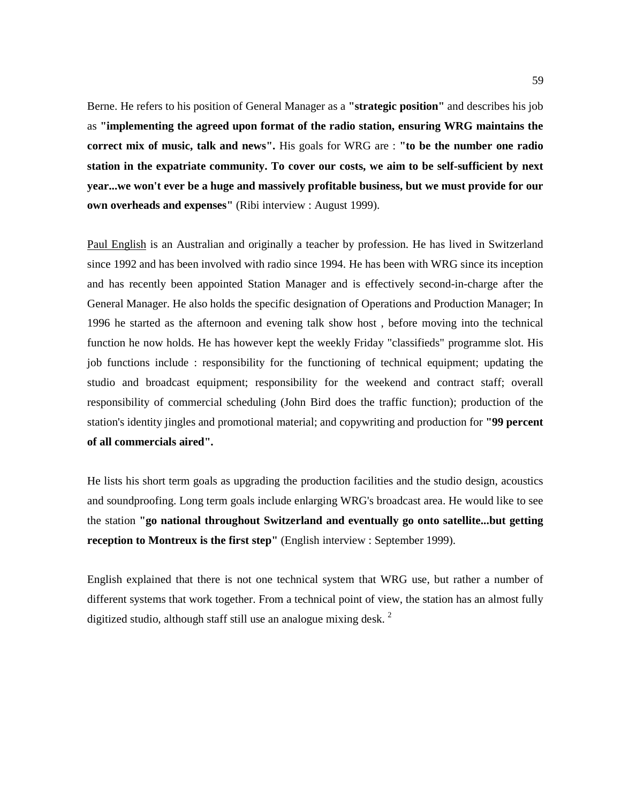Berne. He refers to his position of General Manager as a **"strategic position"** and describes his job as **"implementing the agreed upon format of the radio station, ensuring WRG maintains the correct mix of music, talk and news".** His goals for WRG are : **"to be the number one radio station in the expatriate community. To cover our costs, we aim to be self-sufficient by next year...we won't ever be a huge and massively profitable business, but we must provide for our own overheads and expenses"** (Ribi interview : August 1999).

Paul English is an Australian and originally a teacher by profession. He has lived in Switzerland since 1992 and has been involved with radio since 1994. He has been with WRG since its inception and has recently been appointed Station Manager and is effectively second-in-charge after the General Manager. He also holds the specific designation of Operations and Production Manager; In 1996 he started as the afternoon and evening talk show host , before moving into the technical function he now holds. He has however kept the weekly Friday "classifieds" programme slot. His job functions include : responsibility for the functioning of technical equipment; updating the studio and broadcast equipment; responsibility for the weekend and contract staff; overall responsibility of commercial scheduling (John Bird does the traffic function); production of the station's identity jingles and promotional material; and copywriting and production for **"99 percent of all commercials aired".** 

He lists his short term goals as upgrading the production facilities and the studio design, acoustics and soundproofing. Long term goals include enlarging WRG's broadcast area. He would like to see the station **"go national throughout Switzerland and eventually go onto satellite...but getting reception to Montreux is the first step"** (English interview : September 1999).

English explained that there is not one technical system that WRG use, but rather a number of different systems that work together. From a technical point of view, the station has an almost fully digitized studio, although staff still use an analogue mixing desk.<sup>2</sup>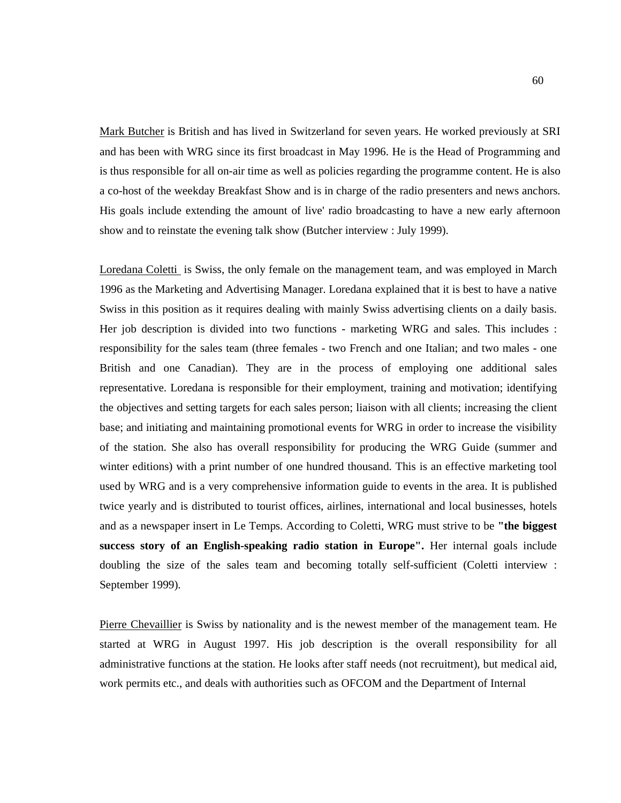Mark Butcher is British and has lived in Switzerland for seven years. He worked previously at SRI and has been with WRG since its first broadcast in May 1996. He is the Head of Programming and is thus responsible for all on-air time as well as policies regarding the programme content. He is also a co-host of the weekday Breakfast Show and is in charge of the radio presenters and news anchors. His goals include extending the amount of live' radio broadcasting to have a new early afternoon show and to reinstate the evening talk show (Butcher interview : July 1999).

Loredana Coletti is Swiss, the only female on the management team, and was employed in March 1996 as the Marketing and Advertising Manager. Loredana explained that it is best to have a native Swiss in this position as it requires dealing with mainly Swiss advertising clients on a daily basis. Her job description is divided into two functions - marketing WRG and sales. This includes : responsibility for the sales team (three females - two French and one Italian; and two males - one British and one Canadian). They are in the process of employing one additional sales representative. Loredana is responsible for their employment, training and motivation; identifying the objectives and setting targets for each sales person; liaison with all clients; increasing the client base; and initiating and maintaining promotional events for WRG in order to increase the visibility of the station. She also has overall responsibility for producing the WRG Guide (summer and winter editions) with a print number of one hundred thousand. This is an effective marketing tool used by WRG and is a very comprehensive information guide to events in the area. It is published twice yearly and is distributed to tourist offices, airlines, international and local businesses, hotels and as a newspaper insert in Le Temps. According to Coletti, WRG must strive to be **"the biggest success story of an English-speaking radio station in Europe".** Her internal goals include doubling the size of the sales team and becoming totally self-sufficient (Coletti interview : September 1999).

Pierre Chevaillier is Swiss by nationality and is the newest member of the management team. He started at WRG in August 1997. His job description is the overall responsibility for all administrative functions at the station. He looks after staff needs (not recruitment), but medical aid, work permits etc., and deals with authorities such as OFCOM and the Department of Internal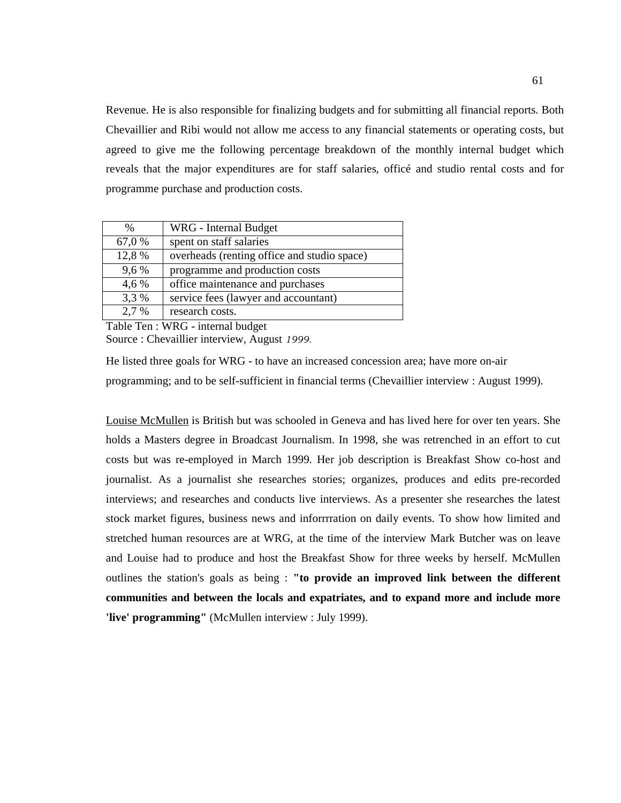Revenue. He is also responsible for finalizing budgets and for submitting all financial reports. Both Chevaillier and Ribi would not allow me access to any financial statements or operating costs, but agreed to give me the following percentage breakdown of the monthly internal budget which reveals that the major expenditures are for staff salaries, officé and studio rental costs and for programme purchase and production costs.

| $\%$   | WRG - Internal Budget                       |
|--------|---------------------------------------------|
| 67,0 % | spent on staff salaries                     |
| 12,8 % | overheads (renting office and studio space) |
| 9,6 %  | programme and production costs              |
| 4,6 %  | office maintenance and purchases            |
| 3,3 %  | service fees (lawyer and accountant)        |
| 2,7 %  | research costs.                             |

Table Ten : WRG - internal budget Source : Chevaillier interview, August 1999.

He listed three goals for WRG - to have an increased concession area; have more on-air programming; and to be self-sufficient in financial terms (Chevaillier interview : August 1999).

Louise McMullen is British but was schooled in Geneva and has lived here for over ten years. She holds a Masters degree in Broadcast Journalism. In 1998, she was retrenched in an effort to cut costs but was re-employed in March 1999. Her job description is Breakfast Show co-host and journalist. As a journalist she researches stories; organizes, produces and edits pre-recorded interviews; and researches and conducts live interviews. As a presenter she researches the latest stock market figures, business news and inforrrration on daily events. To show how limited and stretched human resources are at WRG, at the time of the interview Mark Butcher was on leave and Louise had to produce and host the Breakfast Show for three weeks by herself. McMullen outlines the station's goals as being : **"to provide an improved link between the different communities and between the locals and expatriates, and to expand more and include more**  'live' programming" (McMullen interview : July 1999).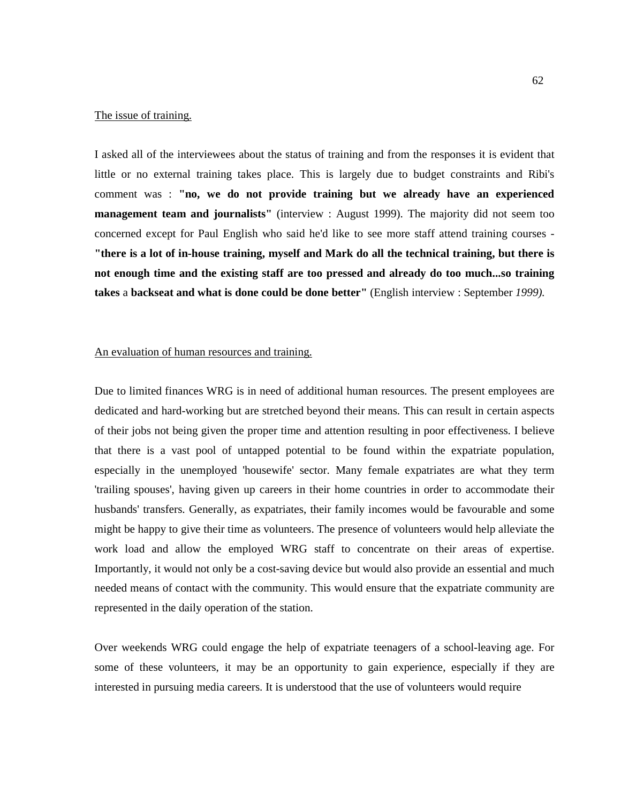#### The issue of training.

I asked all of the interviewees about the status of training and from the responses it is evident that little or no external training takes place. This is largely due to budget constraints and Ribi's comment was : **"no, we do not provide training but we already have an experienced management team and journalists"** (interview : August 1999). The majority did not seem too concerned except for Paul English who said he'd like to see more staff attend training courses - **"there is a lot of in-house training, myself and Mark do all the technical training, but there is not enough time and the existing staff are too pressed and already do too much...so training takes** a **backseat and what is done could be done better"** (English interview : September *1999).* 

## An evaluation of human resources and training.

Due to limited finances WRG is in need of additional human resources. The present employees are dedicated and hard-working but are stretched beyond their means. This can result in certain aspects of their jobs not being given the proper time and attention resulting in poor effectiveness. I believe that there is a vast pool of untapped potential to be found within the expatriate population, especially in the unemployed 'housewife' sector. Many female expatriates are what they term 'trailing spouses', having given up careers in their home countries in order to accommodate their husbands' transfers. Generally, as expatriates, their family incomes would be favourable and some might be happy to give their time as volunteers. The presence of volunteers would help alleviate the work load and allow the employed WRG staff to concentrate on their areas of expertise. Importantly, it would not only be a cost-saving device but would also provide an essential and much needed means of contact with the community. This would ensure that the expatriate community are represented in the daily operation of the station.

Over weekends WRG could engage the help of expatriate teenagers of a school-leaving age. For some of these volunteers, it may be an opportunity to gain experience, especially if they are interested in pursuing media careers. It is understood that the use of volunteers would require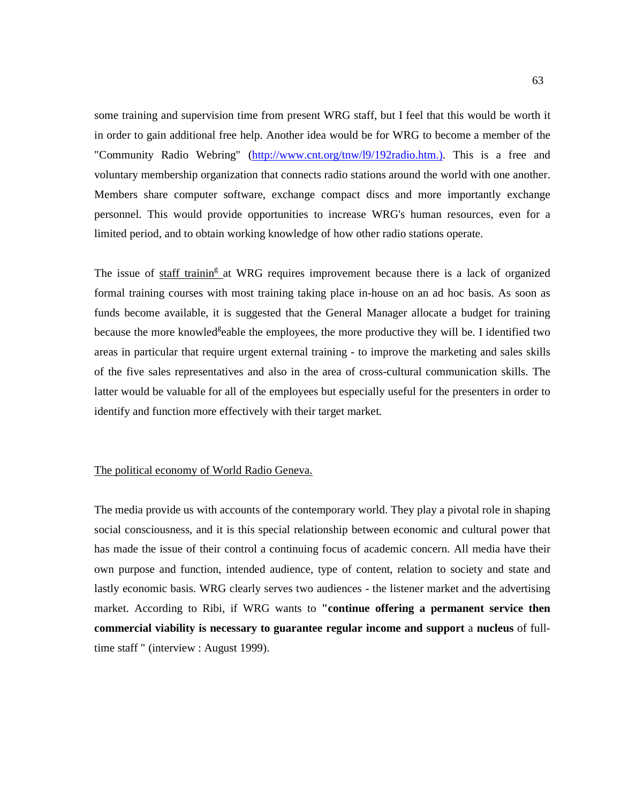some training and supervision time from present WRG staff, but I feel that this would be worth it in order to gain additional free help. Another idea would be for WRG to become a member of the "Community Radio Webring" (http://www.cnt.org/tnw/l9/192radio.htm.). This is a free and voluntary membership organization that connects radio stations around the world with one another. Members share computer software, exchange compact discs and more importantly exchange personnel. This would provide opportunities to increase WRG's human resources, even for a limited period, and to obtain working knowledge of how other radio stations operate.

The issue of staff trainin<sup>g</sup> at WRG requires improvement because there is a lack of organized formal training courses with most training taking place in-house on an ad hoc basis. As soon as funds become available, it is suggested that the General Manager allocate a budget for training because the more knowled<sup>g</sup>eable the employees, the more productive they will be. I identified two areas in particular that require urgent external training - to improve the marketing and sales skills of the five sales representatives and also in the area of cross-cultural communication skills. The latter would be valuable for all of the employees but especially useful for the presenters in order to identify and function more effectively with their target market.

## The political economy of World Radio Geneva.

The media provide us with accounts of the contemporary world. They play a pivotal role in shaping social consciousness, and it is this special relationship between economic and cultural power that has made the issue of their control a continuing focus of academic concern. All media have their own purpose and function, intended audience, type of content, relation to society and state and lastly economic basis. WRG clearly serves two audiences - the listener market and the advertising market. According to Ribi, if WRG wants to **"continue offering a permanent service then commercial viability is necessary to guarantee regular income and support** a **nucleus** of fulltime staff " (interview : August 1999).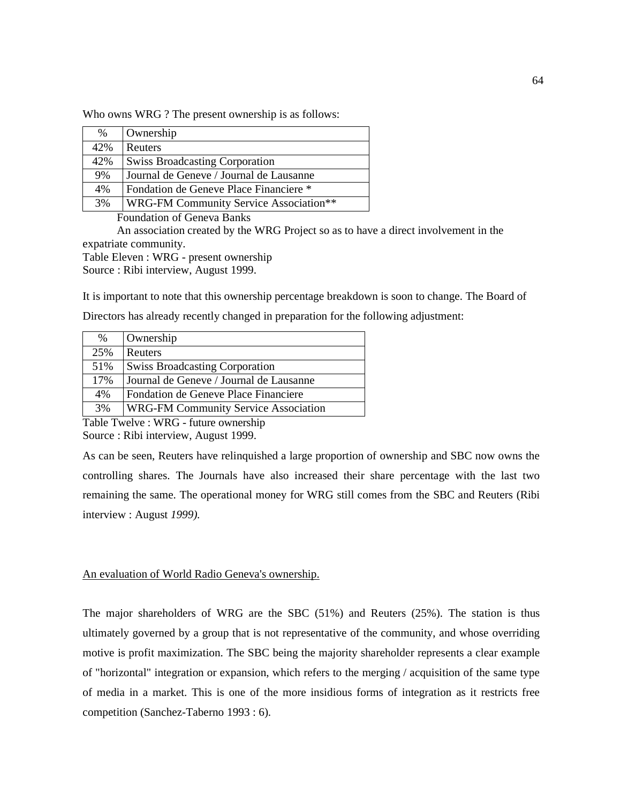Who owns WRG ? The present ownership is as follows:

| $\%$ | Ownership                               |
|------|-----------------------------------------|
| 42%  | Reuters                                 |
| 42%  | <b>Swiss Broadcasting Corporation</b>   |
| 9%   | Journal de Geneve / Journal de Lausanne |
| 4%   | Fondation de Geneve Place Financiere *  |
| 3%   | WRG-FM Community Service Association**  |

Foundation of Geneva Banks

An association created by the WRG Project so as to have a direct involvement in the expatriate community.

Table Eleven : WRG - present ownership

Source : Ribi interview, August 1999.

It is important to note that this ownership percentage breakdown is soon to change. The Board of

Directors has already recently changed in preparation for the following adjustment:

| $\%$ | Ownership                                   |
|------|---------------------------------------------|
| 25%  | Reuters                                     |
| 51%  | <b>Swiss Broadcasting Corporation</b>       |
| 17%  | Journal de Geneve / Journal de Lausanne     |
| 4%   | Fondation de Geneve Place Financiere        |
| 3%   | <b>WRG-FM Community Service Association</b> |

Table Twelve : WRG - future ownership

Source : Ribi interview, August 1999.

As can be seen, Reuters have relinquished a large proportion of ownership and SBC now owns the controlling shares. The Journals have also increased their share percentage with the last two remaining the same. The operational money for WRG still comes from the SBC and Reuters (Ribi interview : August *1999).* 

An evaluation of World Radio Geneva's ownership.

The major shareholders of WRG are the SBC (51%) and Reuters (25%). The station is thus ultimately governed by a group that is not representative of the community, and whose overriding motive is profit maximization. The SBC being the majority shareholder represents a clear example of "horizontal" integration or expansion, which refers to the merging / acquisition of the same type of media in a market. This is one of the more insidious forms of integration as it restricts free competition (Sanchez-Taberno 1993 : 6).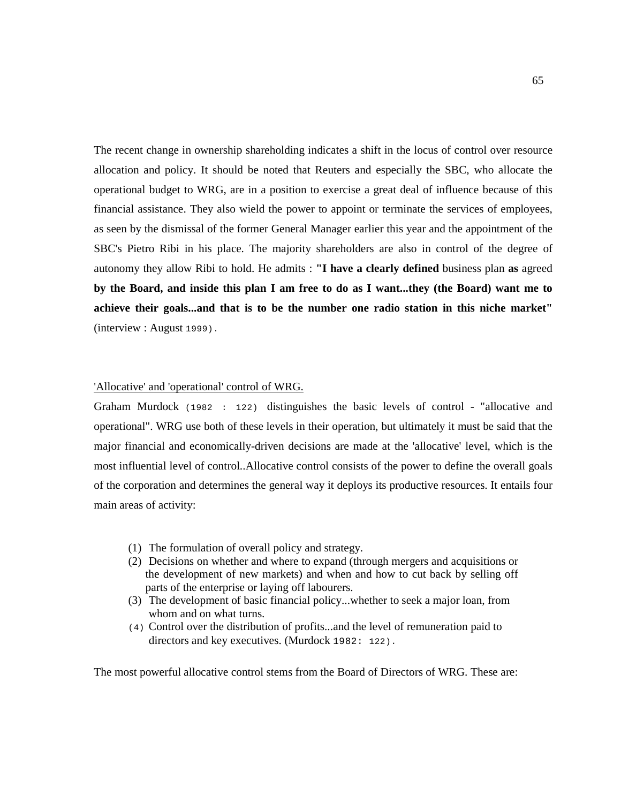The recent change in ownership shareholding indicates a shift in the locus of control over resource allocation and policy. It should be noted that Reuters and especially the SBC, who allocate the operational budget to WRG, are in a position to exercise a great deal of influence because of this financial assistance. They also wield the power to appoint or terminate the services of employees, as seen by the dismissal of the former General Manager earlier this year and the appointment of the SBC's Pietro Ribi in his place. The majority shareholders are also in control of the degree of autonomy they allow Ribi to hold. He admits : **"I have a clearly defined** business plan **as** agreed **by the Board, and inside this plan I am free to do as I want...they (the Board) want me to achieve their goals...and that is to be the number one radio station in this niche market"**  (interview : August 1999).

## 'Allocative' and 'operational' control of WRG.

Graham Murdock (1982 : 122) distinguishes the basic levels of control - "allocative and operational". WRG use both of these levels in their operation, but ultimately it must be said that the major financial and economically-driven decisions are made at the 'allocative' level, which is the most influential level of control..Allocative control consists of the power to define the overall goals of the corporation and determines the general way it deploys its productive resources. It entails four main areas of activity:

- (1) The formulation of overall policy and strategy.
- (2) Decisions on whether and where to expand (through mergers and acquisitions or the development of new markets) and when and how to cut back by selling off parts of the enterprise or laying off labourers.
- (3) The development of basic financial policy...whether to seek a major loan, from whom and on what turns.
- (4) Control over the distribution of profits...and the level of remuneration paid to directors and key executives. (Murdock 1982: 122).

The most powerful allocative control stems from the Board of Directors of WRG. These are: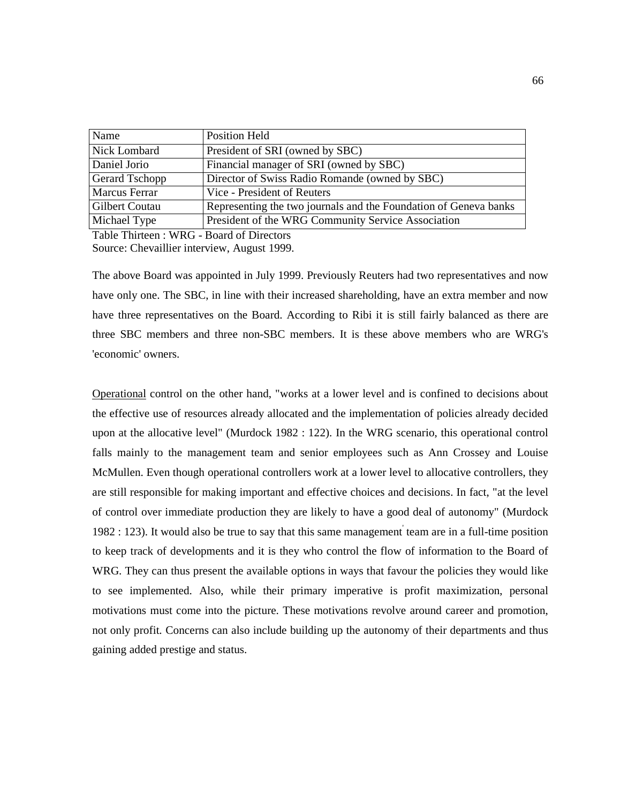| Name           | Position Held                                                    |
|----------------|------------------------------------------------------------------|
| Nick Lombard   | President of SRI (owned by SBC)                                  |
| Daniel Jorio   | Financial manager of SRI (owned by SBC)                          |
| Gerard Tschopp | Director of Swiss Radio Romande (owned by SBC)                   |
| Marcus Ferrar  | Vice - President of Reuters                                      |
| Gilbert Coutau | Representing the two journals and the Foundation of Geneva banks |
| Michael Type   | President of the WRG Community Service Association               |

Table Thirteen : WRG - Board of Directors Source: Chevaillier interview, August 1999.

The above Board was appointed in July 1999. Previously Reuters had two representatives and now have only one. The SBC, in line with their increased shareholding, have an extra member and now have three representatives on the Board. According to Ribi it is still fairly balanced as there are three SBC members and three non-SBC members. It is these above members who are WRG's 'economic' owners.

Operational control on the other hand, "works at a lower level and is confined to decisions about the effective use of resources already allocated and the implementation of policies already decided upon at the allocative level" (Murdock 1982 : 122). In the WRG scenario, this operational control falls mainly to the management team and senior employees such as Ann Crossey and Louise McMullen. Even though operational controllers work at a lower level to allocative controllers, they are still responsible for making important and effective choices and decisions. In fact, "at the level of control over immediate production they are likely to have a good deal of autonomy" (Murdock 1982 : 123). It would also be true to say that this same management team are in a full-time position to keep track of developments and it is they who control the flow of information to the Board of WRG. They can thus present the available options in ways that favour the policies they would like to see implemented. Also, while their primary imperative is profit maximization, personal motivations must come into the picture. These motivations revolve around career and promotion, not only profit. Concerns can also include building up the autonomy of their departments and thus gaining added prestige and status.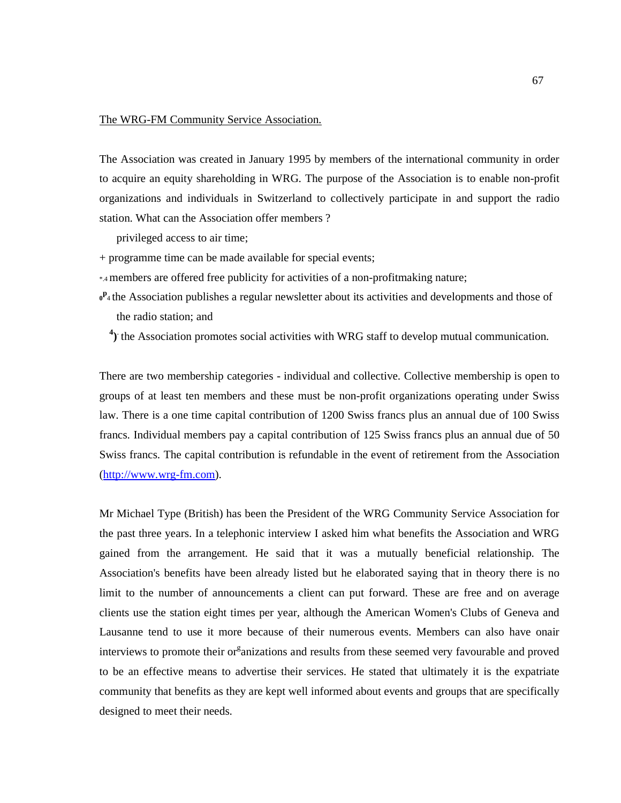#### The WRG-FM Community Service Association.

The Association was created in January 1995 by members of the international community in order to acquire an equity shareholding in WRG. The purpose of the Association is to enable non-profit organizations and individuals in Switzerland to collectively participate in and support the radio station. What can the Association offer members ?

privileged access to air time;

- + programme time can be made available for special events;
- \*.4 members are offered free publicity for activities of a non-profitmaking nature;
- $0^P_4$  the Association publishes a regular newsletter about its activities and developments and those of the radio station; and

<sup>4</sup>) the Association promotes social activities with WRG staff to develop mutual communication.

There are two membership categories - individual and collective. Collective membership is open to groups of at least ten members and these must be non-profit organizations operating under Swiss law. There is a one time capital contribution of 1200 Swiss francs plus an annual due of 100 Swiss francs. Individual members pay a capital contribution of 125 Swiss francs plus an annual due of 50 Swiss francs. The capital contribution is refundable in the event of retirement from the Association (http://www.wrg-fm.com).

Mr Michael Type (British) has been the President of the WRG Community Service Association for the past three years. In a telephonic interview I asked him what benefits the Association and WRG gained from the arrangement. He said that it was a mutually beneficial relationship. The Association's benefits have been already listed but he elaborated saying that in theory there is no limit to the number of announcements a client can put forward. These are free and on average clients use the station eight times per year, although the American Women's Clubs of Geneva and Lausanne tend to use it more because of their numerous events. Members can also have onair interviews to promote their or anizations and results from these seemed very favourable and proved to be an effective means to advertise their services. He stated that ultimately it is the expatriate community that benefits as they are kept well informed about events and groups that are specifically designed to meet their needs.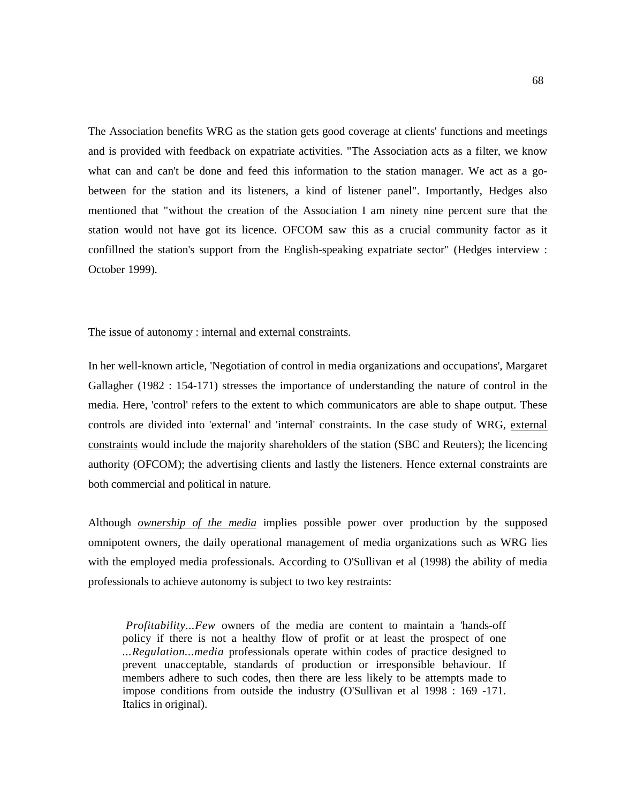The Association benefits WRG as the station gets good coverage at clients' functions and meetings and is provided with feedback on expatriate activities. "The Association acts as a filter, we know what can and can't be done and feed this information to the station manager. We act as a gobetween for the station and its listeners, a kind of listener panel". Importantly, Hedges also mentioned that "without the creation of the Association I am ninety nine percent sure that the station would not have got its licence. OFCOM saw this as a crucial community factor as it confillned the station's support from the English-speaking expatriate sector" (Hedges interview : October 1999).

## The issue of autonomy : internal and external constraints.

In her well-known article, 'Negotiation of control in media organizations and occupations', Margaret Gallagher (1982 : 154-171) stresses the importance of understanding the nature of control in the media. Here, 'control' refers to the extent to which communicators are able to shape output. These controls are divided into 'external' and 'internal' constraints. In the case study of WRG, external constraints would include the majority shareholders of the station (SBC and Reuters); the licencing authority (OFCOM); the advertising clients and lastly the listeners. Hence external constraints are both commercial and political in nature.

Although *ownership of the media* implies possible power over production by the supposed omnipotent owners, the daily operational management of media organizations such as WRG lies with the employed media professionals. According to O'Sullivan et al (1998) the ability of media professionals to achieve autonomy is subject to two key restraints:

*Profitability...Few* owners of the media are content to maintain a 'hands-off policy if there is not a healthy flow of profit or at least the prospect of one *...Regulation...media* professionals operate within codes of practice designed to prevent unacceptable, standards of production or irresponsible behaviour. If members adhere to such codes, then there are less likely to be attempts made to impose conditions from outside the industry (O'Sullivan et al 1998 : 169 -171. Italics in original).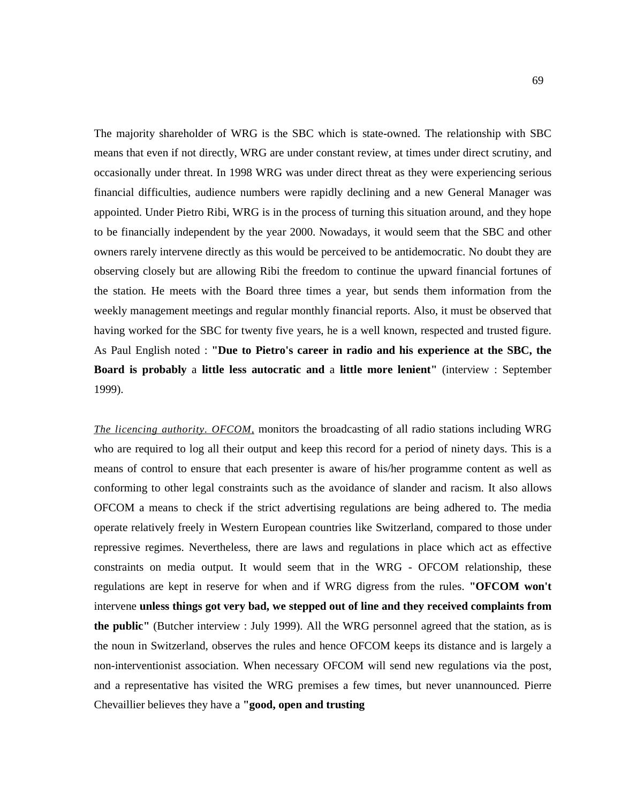The majority shareholder of WRG is the SBC which is state-owned. The relationship with SBC means that even if not directly, WRG are under constant review, at times under direct scrutiny, and occasionally under threat. In 1998 WRG was under direct threat as they were experiencing serious financial difficulties, audience numbers were rapidly declining and a new General Manager was appointed. Under Pietro Ribi, WRG is in the process of turning this situation around, and they hope to be financially independent by the year 2000. Nowadays, it would seem that the SBC and other owners rarely intervene directly as this would be perceived to be antidemocratic. No doubt they are observing closely but are allowing Ribi the freedom to continue the upward financial fortunes of the station. He meets with the Board three times a year, but sends them information from the weekly management meetings and regular monthly financial reports. Also, it must be observed that having worked for the SBC for twenty five years, he is a well known, respected and trusted figure. As Paul English noted : **"Due to Pietro's career in radio and his experience at the SBC, the Board is probably** a **little less autocratic and** a **little more lenient"** (interview : September 1999).

*The licencing authority. OFCOM,* monitors the broadcasting of all radio stations including WRG who are required to log all their output and keep this record for a period of ninety days. This is a means of control to ensure that each presenter is aware of his/her programme content as well as conforming to other legal constraints such as the avoidance of slander and racism. It also allows OFCOM a means to check if the strict advertising regulations are being adhered to. The media operate relatively freely in Western European countries like Switzerland, compared to those under repressive regimes. Nevertheless, there are laws and regulations in place which act as effective constraints on media output. It would seem that in the WRG - OFCOM relationship, these regulations are kept in reserve for when and if WRG digress from the rules. **"OFCOM won't**  intervene **unless things got very bad, we stepped out of line and they received complaints from the public"** (Butcher interview : July 1999). All the WRG personnel agreed that the station, as is the noun in Switzerland, observes the rules and hence OFCOM keeps its distance and is largely a non-interventionist association. When necessary OFCOM will send new regulations via the post, and a representative has visited the WRG premises a few times, but never unannounced. Pierre Chevaillier believes they have a **"good, open and trusting**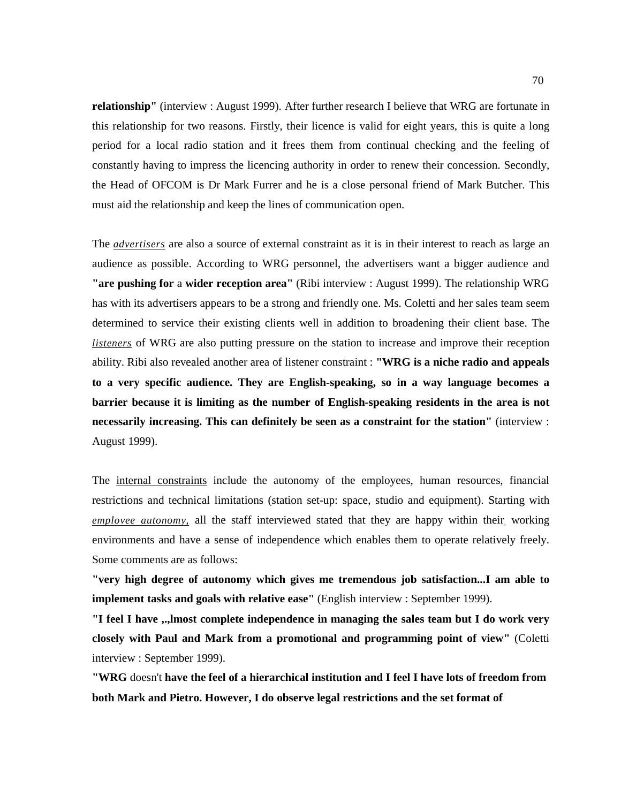**relationship"** (interview : August 1999). After further research I believe that WRG are fortunate in this relationship for two reasons. Firstly, their licence is valid for eight years, this is quite a long period for a local radio station and it frees them from continual checking and the feeling of constantly having to impress the licencing authority in order to renew their concession. Secondly, the Head of OFCOM is Dr Mark Furrer and he is a close personal friend of Mark Butcher. This must aid the relationship and keep the lines of communication open.

The *advertisers* are also a source of external constraint as it is in their interest to reach as large an audience as possible. According to WRG personnel, the advertisers want a bigger audience and **"are pushing for** a **wider reception area"** (Ribi interview : August 1999). The relationship WRG has with its advertisers appears to be a strong and friendly one. Ms. Coletti and her sales team seem determined to service their existing clients well in addition to broadening their client base. The *listeners* of WRG are also putting pressure on the station to increase and improve their reception ability. Ribi also revealed another area of listener constraint : **"WRG is a niche radio and appeals to a very specific audience. They are English-speaking, so in a way language becomes a barrier because it is limiting as the number of English-speaking residents in the area is not necessarily increasing. This can definitely be seen as a constraint for the station"** (interview : August 1999).

The internal constraints include the autonomy of the employees, human resources, financial restrictions and technical limitations (station set-up: space, studio and equipment). Starting with emplovee autonomy, all the staff interviewed stated that they are happy within their, working environments and have a sense of independence which enables them to operate relatively freely. Some comments are as follows:

**"very high degree of autonomy which gives me tremendous job satisfaction...I am able to implement tasks and goals with relative ease"** (English interview : September 1999).

**"I feel I have ,.,lmost complete independence in managing the sales team but I do work very closely with Paul and Mark from a promotional and programming point of view"** (Coletti interview : September 1999).

**"WRG** doesn't **have the feel of a hierarchical institution and I feel I have lots of freedom from both Mark and Pietro. However, I do observe legal restrictions and the set format of**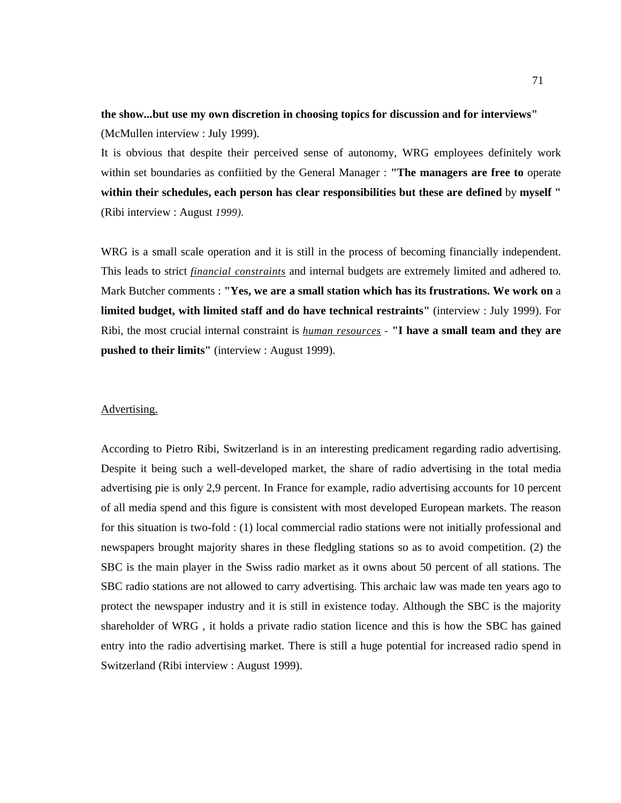# **the show...but use my own discretion in choosing topics for discussion and for interviews"**  (McMullen interview : July 1999).

It is obvious that despite their perceived sense of autonomy, WRG employees definitely work within set boundaries as confiitied by the General Manager : **"The managers are free to** operate **within their schedules, each person has clear responsibilities but these are defined** by **myself "**  (Ribi interview : August *1999).* 

WRG is a small scale operation and it is still in the process of becoming financially independent. This leads to strict *financial constraints* and internal budgets are extremely limited and adhered to. Mark Butcher comments : **"Yes, we are a small station which has its frustrations. We work on** a **limited budget, with limited staff and do have technical restraints"** (interview : July 1999). For Ribi, the most crucial internal constraint is *human resources -* **"I have a small team and they are pushed to their limits"** (interview : August 1999).

## Advertising.

According to Pietro Ribi, Switzerland is in an interesting predicament regarding radio advertising. Despite it being such a well-developed market, the share of radio advertising in the total media advertising pie is only 2,9 percent. In France for example, radio advertising accounts for 10 percent of all media spend and this figure is consistent with most developed European markets. The reason for this situation is two-fold : (1) local commercial radio stations were not initially professional and newspapers brought majority shares in these fledgling stations so as to avoid competition. (2) the SBC is the main player in the Swiss radio market as it owns about 50 percent of all stations. The SBC radio stations are not allowed to carry advertising. This archaic law was made ten years ago to protect the newspaper industry and it is still in existence today. Although the SBC is the majority shareholder of WRG , it holds a private radio station licence and this is how the SBC has gained entry into the radio advertising market. There is still a huge potential for increased radio spend in Switzerland (Ribi interview : August 1999).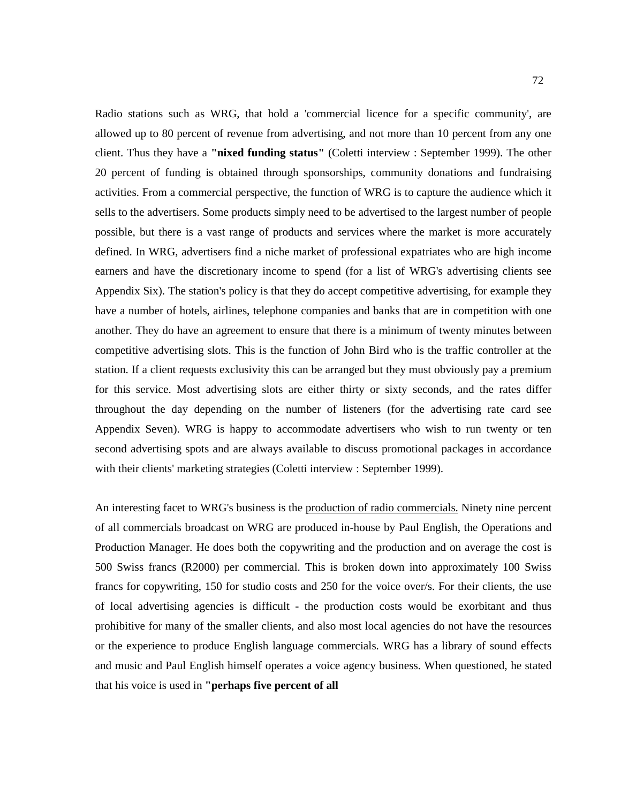Radio stations such as WRG, that hold a 'commercial licence for a specific community', are allowed up to 80 percent of revenue from advertising, and not more than 10 percent from any one client. Thus they have a **"nixed funding status"** (Coletti interview : September 1999). The other 20 percent of funding is obtained through sponsorships, community donations and fundraising activities. From a commercial perspective, the function of WRG is to capture the audience which it sells to the advertisers. Some products simply need to be advertised to the largest number of people possible, but there is a vast range of products and services where the market is more accurately defined. In WRG, advertisers find a niche market of professional expatriates who are high income earners and have the discretionary income to spend (for a list of WRG's advertising clients see Appendix Six). The station's policy is that they do accept competitive advertising, for example they have a number of hotels, airlines, telephone companies and banks that are in competition with one another. They do have an agreement to ensure that there is a minimum of twenty minutes between competitive advertising slots. This is the function of John Bird who is the traffic controller at the station. If a client requests exclusivity this can be arranged but they must obviously pay a premium for this service. Most advertising slots are either thirty or sixty seconds, and the rates differ throughout the day depending on the number of listeners (for the advertising rate card see Appendix Seven). WRG is happy to accommodate advertisers who wish to run twenty or ten second advertising spots and are always available to discuss promotional packages in accordance with their clients' marketing strategies (Coletti interview : September 1999).

An interesting facet to WRG's business is the production of radio commercials. Ninety nine percent of all commercials broadcast on WRG are produced in-house by Paul English, the Operations and Production Manager. He does both the copywriting and the production and on average the cost is 500 Swiss francs (R2000) per commercial. This is broken down into approximately 100 Swiss francs for copywriting, 150 for studio costs and 250 for the voice over/s. For their clients, the use of local advertising agencies is difficult - the production costs would be exorbitant and thus prohibitive for many of the smaller clients, and also most local agencies do not have the resources or the experience to produce English language commercials. WRG has a library of sound effects and music and Paul English himself operates a voice agency business. When questioned, he stated that his voice is used in **"perhaps five percent of all**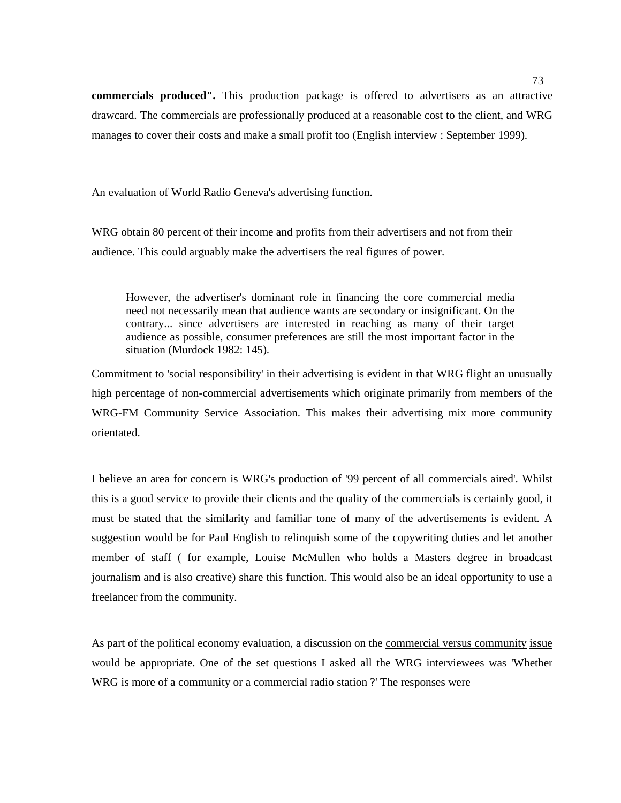**commercials produced".** This production package is offered to advertisers as an attractive drawcard. The commercials are professionally produced at a reasonable cost to the client, and WRG manages to cover their costs and make a small profit too (English interview : September 1999).

# An evaluation of World Radio Geneva's advertising function.

WRG obtain 80 percent of their income and profits from their advertisers and not from their audience. This could arguably make the advertisers the real figures of power.

However, the advertiser's dominant role in financing the core commercial media need not necessarily mean that audience wants are secondary or insignificant. On the contrary... since advertisers are interested in reaching as many of their target audience as possible, consumer preferences are still the most important factor in the situation (Murdock 1982: 145).

Commitment to 'social responsibility' in their advertising is evident in that WRG flight an unusually high percentage of non-commercial advertisements which originate primarily from members of the WRG-FM Community Service Association. This makes their advertising mix more community orientated.

I believe an area for concern is WRG's production of '99 percent of all commercials aired'. Whilst this is a good service to provide their clients and the quality of the commercials is certainly good, it must be stated that the similarity and familiar tone of many of the advertisements is evident. A suggestion would be for Paul English to relinquish some of the copywriting duties and let another member of staff ( for example, Louise McMullen who holds a Masters degree in broadcast journalism and is also creative) share this function. This would also be an ideal opportunity to use a freelancer from the community.

As part of the political economy evaluation, a discussion on the commercial versus community issue would be appropriate. One of the set questions I asked all the WRG interviewees was 'Whether WRG is more of a community or a commercial radio station ?' The responses were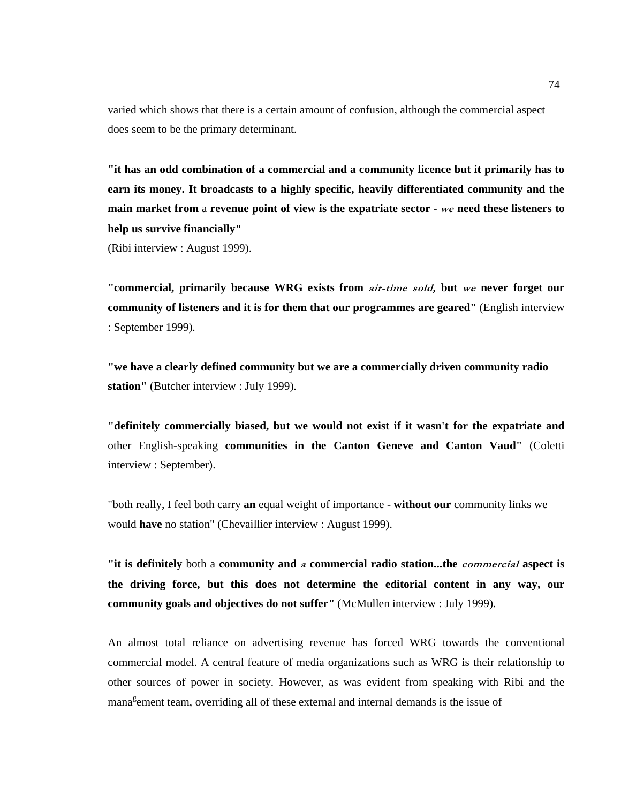varied which shows that there is a certain amount of confusion, although the commercial aspect does seem to be the primary determinant.

**"it has an odd combination of a commercial and a community licence but it primarily has to earn its money. It broadcasts to a highly specific, heavily differentiated community and the main market from** a **revenue point of view is the expatriate sector -** we **need these listeners to help us survive financially"**  (Ribi interview : August 1999).

**"commercial, primarily because WRG exists from** air-time sold, **but** we **never forget our community of listeners and it is for them that our programmes are geared"** (English interview : September 1999).

**"we have a clearly defined community but we are a commercially driven community radio station"** (Butcher interview : July 1999).

**"definitely commercially biased, but we would not exist if it wasn't for the expatriate and**  other English-speaking **communities in the Canton Geneve and Canton Vaud"** (Coletti interview : September).

"both really, I feel both carry **an** equal weight of importance - **without our** community links we would **have** no station" (Chevaillier interview : August 1999).

**"it is definitely** both a **community and** a **commercial radio station...the** commercial **aspect is the driving force, but this does not determine the editorial content in any way, our community goals and objectives do not suffer"** (McMullen interview : July 1999).

An almost total reliance on advertising revenue has forced WRG towards the conventional commercial model. A central feature of media organizations such as WRG is their relationship to other sources of power in society. However, as was evident from speaking with Ribi and the mana<sup>g</sup>ement team, overriding all of these external and internal demands is the issue of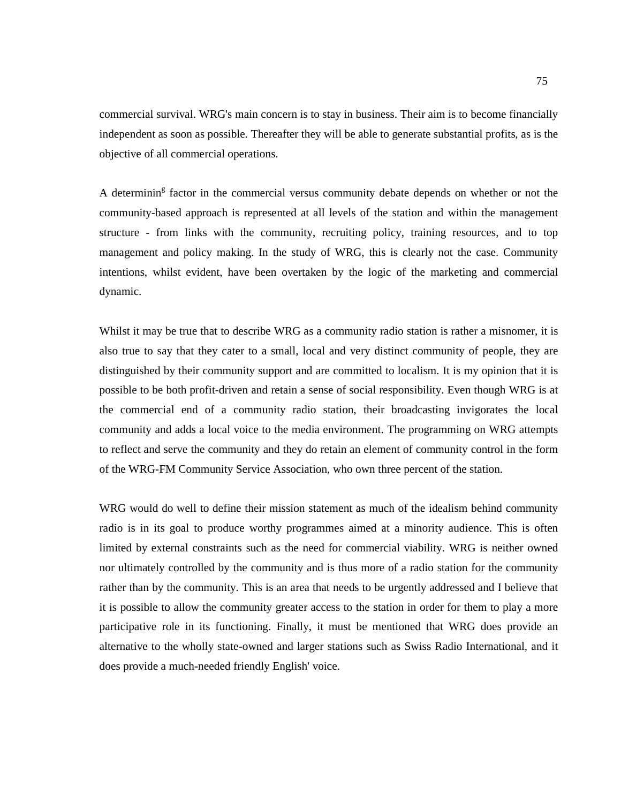commercial survival. WRG's main concern is to stay in business. Their aim is to become financially independent as soon as possible. Thereafter they will be able to generate substantial profits, as is the objective of all commercial operations.

A determinin<sup>g</sup> factor in the commercial versus community debate depends on whether or not the community-based approach is represented at all levels of the station and within the management structure - from links with the community, recruiting policy, training resources, and to top management and policy making. In the study of WRG, this is clearly not the case. Community intentions, whilst evident, have been overtaken by the logic of the marketing and commercial dynamic.

Whilst it may be true that to describe WRG as a community radio station is rather a misnomer, it is also true to say that they cater to a small, local and very distinct community of people, they are distinguished by their community support and are committed to localism. It is my opinion that it is possible to be both profit-driven and retain a sense of social responsibility. Even though WRG is at the commercial end of a community radio station, their broadcasting invigorates the local community and adds a local voice to the media environment. The programming on WRG attempts to reflect and serve the community and they do retain an element of community control in the form of the WRG-FM Community Service Association, who own three percent of the station.

WRG would do well to define their mission statement as much of the idealism behind community radio is in its goal to produce worthy programmes aimed at a minority audience. This is often limited by external constraints such as the need for commercial viability. WRG is neither owned nor ultimately controlled by the community and is thus more of a radio station for the community rather than by the community. This is an area that needs to be urgently addressed and I believe that it is possible to allow the community greater access to the station in order for them to play a more participative role in its functioning. Finally, it must be mentioned that WRG does provide an alternative to the wholly state-owned and larger stations such as Swiss Radio International, and it does provide a much-needed friendly English' voice.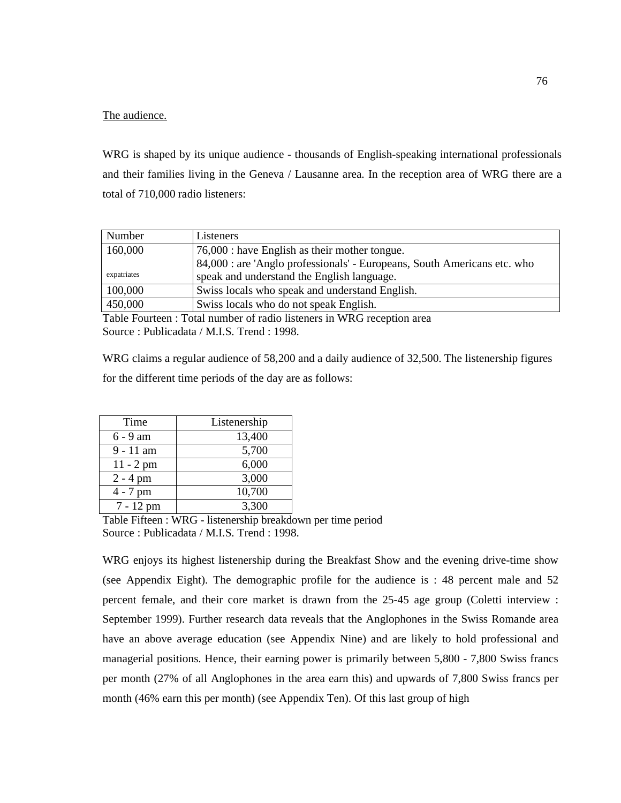# The audience.

WRG is shaped by its unique audience - thousands of English-speaking international professionals and their families living in the Geneva / Lausanne area. In the reception area of WRG there are a total of 710,000 radio listeners:

| Number      | Listeners                                                                |
|-------------|--------------------------------------------------------------------------|
| 160,000     | 76,000 : have English as their mother tongue.                            |
|             | 84,000 : are 'Anglo professionals' - Europeans, South Americans etc. who |
| expatriates | speak and understand the English language.                               |
| 100,000     | Swiss locals who speak and understand English.                           |
| 450,000     | Swiss locals who do not speak English.                                   |

Table Fourteen : Total number of radio listeners in WRG reception area Source : Publicadata / M.I.S. Trend : 1998.

WRG claims a regular audience of 58,200 and a daily audience of 32,500. The listenership figures for the different time periods of the day are as follows:

| Time        | Listenership |
|-------------|--------------|
| 6 - 9 am    | 13,400       |
| $9 - 11$ am | 5,700        |
| $11 - 2$ pm | 6,000        |
| $2 - 4$ pm  | 3,000        |
| $4 - 7$ pm  | 10,700       |
| 7 - 12 pm   | 3,300        |

Table Fifteen : WRG - listenership breakdown per time period Source : Publicadata / M.I.S. Trend : 1998.

WRG enjoys its highest listenership during the Breakfast Show and the evening drive-time show (see Appendix Eight). The demographic profile for the audience is : 48 percent male and 52 percent female, and their core market is drawn from the 25-45 age group (Coletti interview : September 1999). Further research data reveals that the Anglophones in the Swiss Romande area have an above average education (see Appendix Nine) and are likely to hold professional and managerial positions. Hence, their earning power is primarily between 5,800 - 7,800 Swiss francs per month (27% of all Anglophones in the area earn this) and upwards of 7,800 Swiss francs per month (46% earn this per month) (see Appendix Ten). Of this last group of high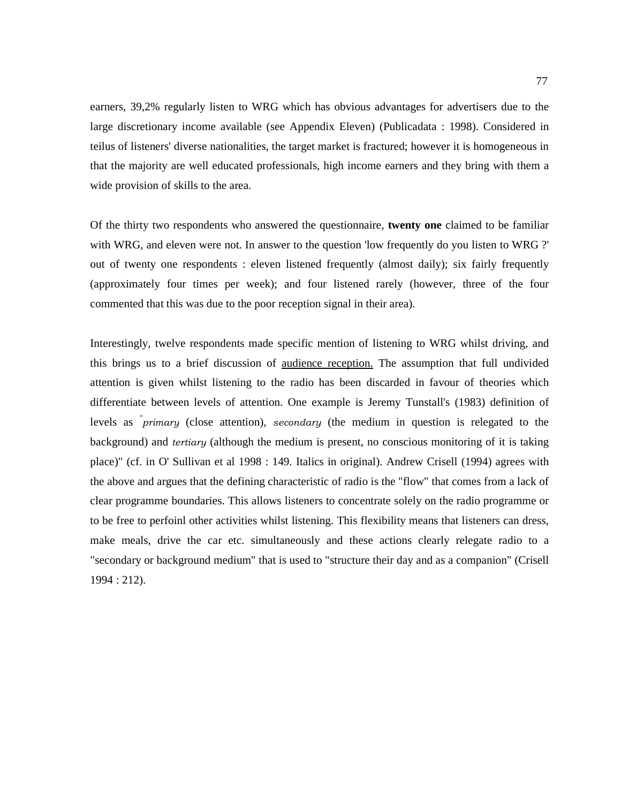earners, 39,2% regularly listen to WRG which has obvious advantages for advertisers due to the large discretionary income available (see Appendix Eleven) (Publicadata : 1998). Considered in teilus of listeners' diverse nationalities, the target market is fractured; however it is homogeneous in that the majority are well educated professionals, high income earners and they bring with them a wide provision of skills to the area.

Of the thirty two respondents who answered the questionnaire, **twenty one** claimed to be familiar with WRG, and eleven were not. In answer to the question 'low frequently do you listen to WRG ?' out of twenty one respondents : eleven listened frequently (almost daily); six fairly frequently (approximately four times per week); and four listened rarely (however, three of the four commented that this was due to the poor reception signal in their area).

Interestingly, twelve respondents made specific mention of listening to WRG whilst driving, and this brings us to a brief discussion of audience reception. The assumption that full undivided attention is given whilst listening to the radio has been discarded in favour of theories which differentiate between levels of attention. One example is Jeremy Tunstall's (1983) definition of levels as *primary* (close attention), secondary (the medium in question is relegated to the background) and tertiary (although the medium is present, no conscious monitoring of it is taking place)" (cf. in O' Sullivan et al 1998 : 149. Italics in original). Andrew Crisell (1994) agrees with the above and argues that the defining characteristic of radio is the "flow" that comes from a lack of clear programme boundaries. This allows listeners to concentrate solely on the radio programme or to be free to perfoinl other activities whilst listening. This flexibility means that listeners can dress, make meals, drive the car etc. simultaneously and these actions clearly relegate radio to a "secondary or background medium" that is used to "structure their day and as a companion" (Crisell 1994 : 212).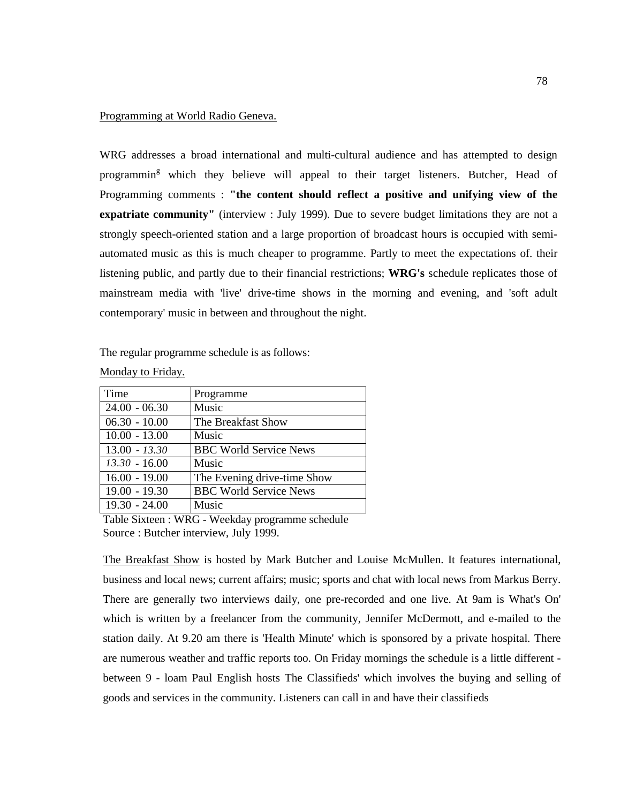# Programming at World Radio Geneva.

WRG addresses a broad international and multi-cultural audience and has attempted to design programmin<sup>g</sup> which they believe will appeal to their target listeners. Butcher, Head of Programming comments : **"the content should reflect a positive and unifying view of the expatriate community"** (interview : July 1999). Due to severe budget limitations they are not a strongly speech-oriented station and a large proportion of broadcast hours is occupied with semiautomated music as this is much cheaper to programme. Partly to meet the expectations of. their listening public, and partly due to their financial restrictions; **WRG's** schedule replicates those of mainstream media with 'live' drive-time shows in the morning and evening, and 'soft adult contemporary' music in between and throughout the night.

The regular programme schedule is as follows:

| Time            | Programme                     |
|-----------------|-------------------------------|
| $24.00 - 06.30$ | Music                         |
| $06.30 - 10.00$ | The Breakfast Show            |
| $10.00 - 13.00$ | Music                         |
| $13.00 - 13.30$ | <b>BBC World Service News</b> |
| $13.30 - 16.00$ | Music                         |
| $16.00 - 19.00$ | The Evening drive-time Show   |
| $19.00 - 19.30$ | <b>BBC World Service News</b> |
| $19.30 - 24.00$ | Music                         |

Monday to Friday.

Table Sixteen : WRG - Weekday programme schedule Source : Butcher interview, July 1999.

The Breakfast Show is hosted by Mark Butcher and Louise McMullen. It features international, business and local news; current affairs; music; sports and chat with local news from Markus Berry. There are generally two interviews daily, one pre-recorded and one live. At 9am is What's On' which is written by a freelancer from the community, Jennifer McDermott, and e-mailed to the station daily. At 9.20 am there is 'Health Minute' which is sponsored by a private hospital. There are numerous weather and traffic reports too. On Friday mornings the schedule is a little different between 9 - loam Paul English hosts The Classifieds' which involves the buying and selling of goods and services in the community. Listeners can call in and have their classifieds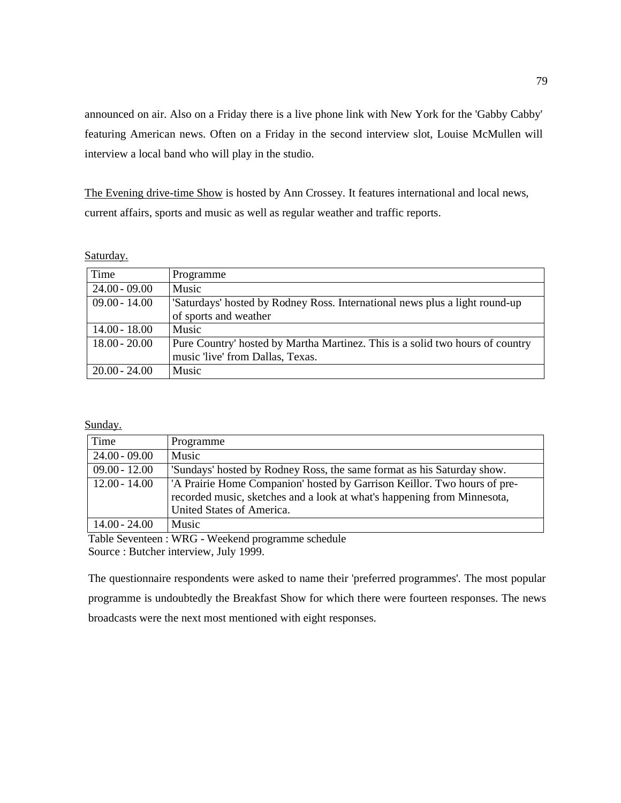announced on air. Also on a Friday there is a live phone link with New York for the 'Gabby Cabby' featuring American news. Often on a Friday in the second interview slot, Louise McMullen will interview a local band who will play in the studio.

The Evening drive-time Show is hosted by Ann Crossey. It features international and local news, current affairs, sports and music as well as regular weather and traffic reports.

## Saturday.

| Time            | Programme                                                                     |
|-----------------|-------------------------------------------------------------------------------|
| $24.00 - 09.00$ | Music                                                                         |
| $09.00 - 14.00$ | 'Saturdays' hosted by Rodney Ross. International news plus a light round-up   |
|                 | of sports and weather                                                         |
| $14.00 - 18.00$ | <b>Music</b>                                                                  |
| $18.00 - 20.00$ | Pure Country' hosted by Martha Martinez. This is a solid two hours of country |
|                 | music 'live' from Dallas, Texas.                                              |
| $20.00 - 24.00$ | <b>Music</b>                                                                  |

Sunday.

| Time            | Programme                                                                                                                                                                                    |
|-----------------|----------------------------------------------------------------------------------------------------------------------------------------------------------------------------------------------|
| $24.00 - 09.00$ | Music                                                                                                                                                                                        |
| $09.00 - 12.00$ | 'Sundays' hosted by Rodney Ross, the same format as his Saturday show.                                                                                                                       |
| $12.00 - 14.00$ | <sup>1</sup> A Prairie Home Companion' hosted by Garrison Keillor. Two hours of pre-<br>recorded music, sketches and a look at what's happening from Minnesota,<br>United States of America. |
| 14.00 - 24.00   | Music                                                                                                                                                                                        |

Table Seventeen : WRG - Weekend programme schedule Source : Butcher interview, July 1999.

The questionnaire respondents were asked to name their 'preferred programmes'. The most popular programme is undoubtedly the Breakfast Show for which there were fourteen responses. The news broadcasts were the next most mentioned with eight responses.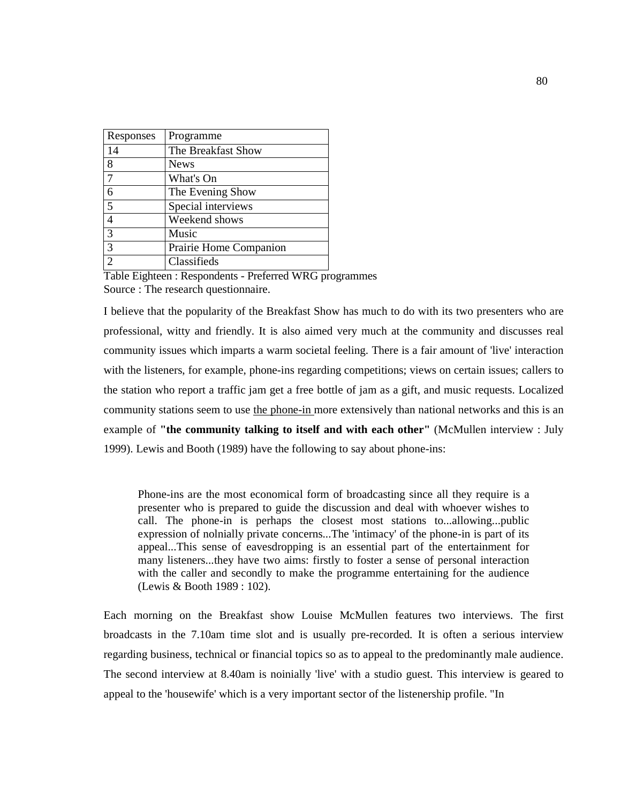| Responses      | Programme              |
|----------------|------------------------|
| 14             | The Breakfast Show     |
| 8              | <b>News</b>            |
| 7              | What's On              |
| 6              | The Evening Show       |
| 5              | Special interviews     |
| 4              | Weekend shows          |
| 3              | Music                  |
| 3              | Prairie Home Companion |
| $\mathfrak{D}$ | Classifieds            |

Table Eighteen : Respondents - Preferred WRG programmes Source : The research questionnaire.

I believe that the popularity of the Breakfast Show has much to do with its two presenters who are professional, witty and friendly. It is also aimed very much at the community and discusses real community issues which imparts a warm societal feeling. There is a fair amount of 'live' interaction with the listeners, for example, phone-ins regarding competitions; views on certain issues; callers to the station who report a traffic jam get a free bottle of jam as a gift, and music requests. Localized community stations seem to use the phone-in more extensively than national networks and this is an example of "the community talking to itself and with each other" (McMullen interview : July 1999). Lewis and Booth (1989) have the following to say about phone-ins:

Phone-ins are the most economical form of broadcasting since all they require is a presenter who is prepared to guide the discussion and deal with whoever wishes to call. The phone-in is perhaps the closest most stations to...allowing...public expression of nolnially private concerns...The 'intimacy' of the phone-in is part of its appeal...This sense of eavesdropping is an essential part of the entertainment for many listeners...they have two aims: firstly to foster a sense of personal interaction with the caller and secondly to make the programme entertaining for the audience (Lewis & Booth 1989 : 102).

Each morning on the Breakfast show Louise McMullen features two interviews. The first broadcasts in the 7.10am time slot and is usually pre-recorded. It is often a serious interview regarding business, technical or financial topics so as to appeal to the predominantly male audience. The second interview at 8.40am is noinially 'live' with a studio guest. This interview is geared to appeal to the 'housewife' which is a very important sector of the listenership profile. "In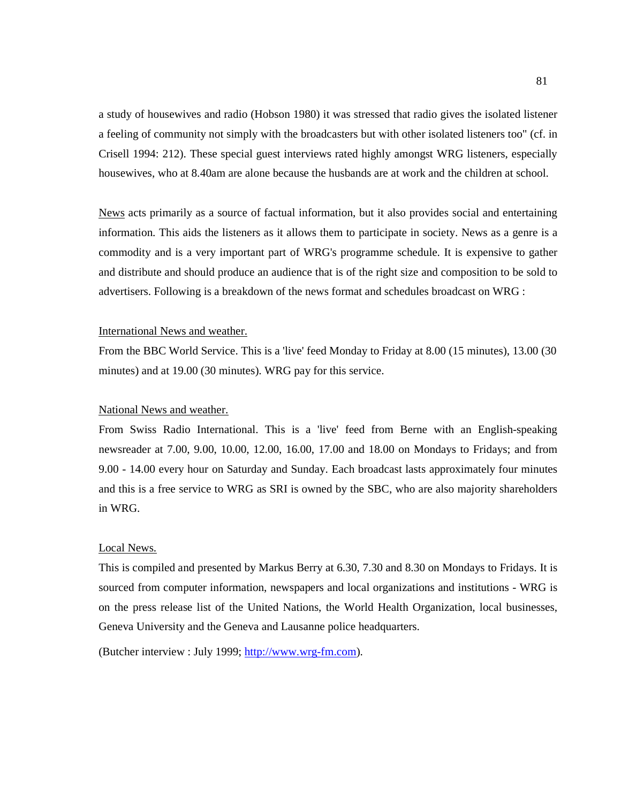a study of housewives and radio (Hobson 1980) it was stressed that radio gives the isolated listener a feeling of community not simply with the broadcasters but with other isolated listeners too" (cf. in Crisell 1994: 212). These special guest interviews rated highly amongst WRG listeners, especially housewives, who at 8.40am are alone because the husbands are at work and the children at school.

News acts primarily as a source of factual information, but it also provides social and entertaining information. This aids the listeners as it allows them to participate in society. News as a genre is a commodity and is a very important part of WRG's programme schedule. It is expensive to gather and distribute and should produce an audience that is of the right size and composition to be sold to advertisers. Following is a breakdown of the news format and schedules broadcast on WRG :

## International News and weather.

From the BBC World Service. This is a 'live' feed Monday to Friday at 8.00 (15 minutes), 13.00 (30 minutes) and at 19.00 (30 minutes). WRG pay for this service.

# National News and weather.

From Swiss Radio International. This is a 'live' feed from Berne with an English-speaking newsreader at 7.00, 9.00, 10.00, 12.00, 16.00, 17.00 and 18.00 on Mondays to Fridays; and from 9.00 - 14.00 every hour on Saturday and Sunday. Each broadcast lasts approximately four minutes and this is a free service to WRG as SRI is owned by the SBC, who are also majority shareholders in WRG.

# Local News.

This is compiled and presented by Markus Berry at 6.30, 7.30 and 8.30 on Mondays to Fridays. It is sourced from computer information, newspapers and local organizations and institutions - WRG is on the press release list of the United Nations, the World Health Organization, local businesses, Geneva University and the Geneva and Lausanne police headquarters.

(Butcher interview : July 1999; http://www.wrg-fm.com).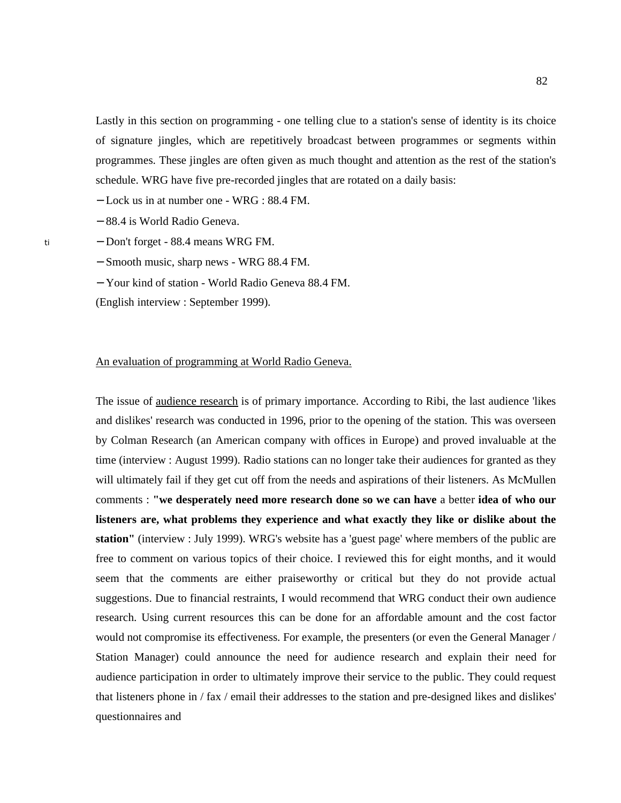Lastly in this section on programming - one telling clue to a station's sense of identity is its choice of signature jingles, which are repetitively broadcast between programmes or segments within programmes. These jingles are often given as much thought and attention as the rest of the station's schedule. WRG have five pre-recorded jingles that are rotated on a daily basis:

− Lock us in at number one - WRG : 88.4 FM.

− 88.4 is World Radio Geneva.

− Don't forget - 88.4 means WRG FM.

− Smooth music, sharp news - WRG 88.4 FM.

− Your kind of station - World Radio Geneva 88.4 FM.

(English interview : September 1999).

### An evaluation of programming at World Radio Geneva.

The issue of audience research is of primary importance. According to Ribi, the last audience 'likes and dislikes' research was conducted in 1996, prior to the opening of the station. This was overseen by Colman Research (an American company with offices in Europe) and proved invaluable at the time (interview : August 1999). Radio stations can no longer take their audiences for granted as they will ultimately fail if they get cut off from the needs and aspirations of their listeners. As McMullen comments : **"we desperately need more research done so we can have** a better **idea of who our listeners are, what problems they experience and what exactly they like or dislike about the station"** (interview : July 1999). WRG's website has a 'guest page' where members of the public are free to comment on various topics of their choice. I reviewed this for eight months, and it would seem that the comments are either praiseworthy or critical but they do not provide actual suggestions. Due to financial restraints, I would recommend that WRG conduct their own audience research. Using current resources this can be done for an affordable amount and the cost factor would not compromise its effectiveness. For example, the presenters (or even the General Manager / Station Manager) could announce the need for audience research and explain their need for audience participation in order to ultimately improve their service to the public. They could request that listeners phone in / fax / email their addresses to the station and pre-designed likes and dislikes' questionnaires and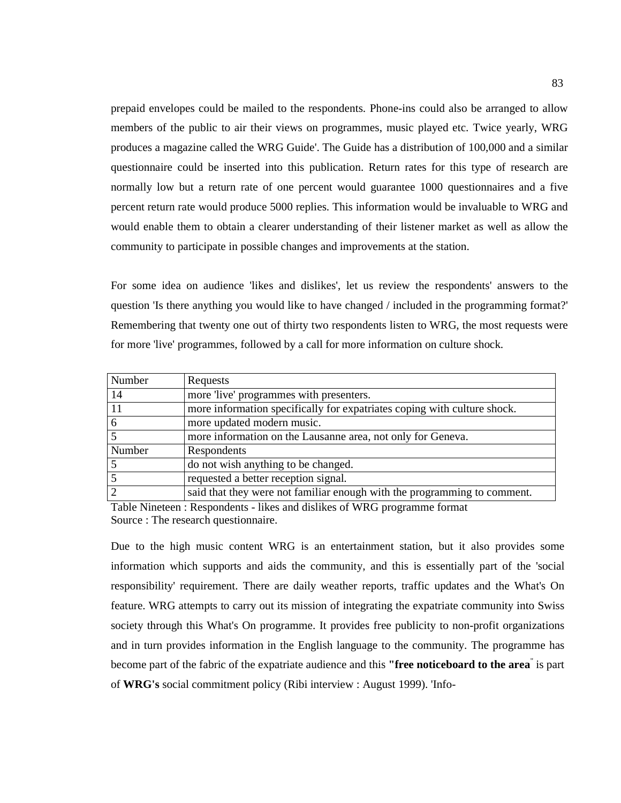prepaid envelopes could be mailed to the respondents. Phone-ins could also be arranged to allow members of the public to air their views on programmes, music played etc. Twice yearly, WRG produces a magazine called the WRG Guide'. The Guide has a distribution of 100,000 and a similar questionnaire could be inserted into this publication. Return rates for this type of research are normally low but a return rate of one percent would guarantee 1000 questionnaires and a five percent return rate would produce 5000 replies. This information would be invaluable to WRG and would enable them to obtain a clearer understanding of their listener market as well as allow the community to participate in possible changes and improvements at the station.

For some idea on audience 'likes and dislikes', let us review the respondents' answers to the question 'Is there anything you would like to have changed / included in the programming format?' Remembering that twenty one out of thirty two respondents listen to WRG, the most requests were for more 'live' programmes, followed by a call for more information on culture shock.

| Requests                                                                 |
|--------------------------------------------------------------------------|
| more 'live' programmes with presenters.                                  |
| more information specifically for expatriates coping with culture shock. |
| more updated modern music.                                               |
| more information on the Lausanne area, not only for Geneva.              |
| Respondents                                                              |
| do not wish anything to be changed.                                      |
| requested a better reception signal.                                     |
| said that they were not familiar enough with the programming to comment. |
|                                                                          |

Table Nineteen : Respondents - likes and dislikes of WRG programme format Source : The research questionnaire.

Due to the high music content WRG is an entertainment station, but it also provides some information which supports and aids the community, and this is essentially part of the 'social responsibility' requirement. There are daily weather reports, traffic updates and the What's On feature. WRG attempts to carry out its mission of integrating the expatriate community into Swiss society through this What's On programme. It provides free publicity to non-profit organizations and in turn provides information in the English language to the community. The programme has become part of the fabric of the expatriate audience and this **"free noticeboard to the area**" is part of **WRG's** social commitment policy (Ribi interview : August 1999). 'Info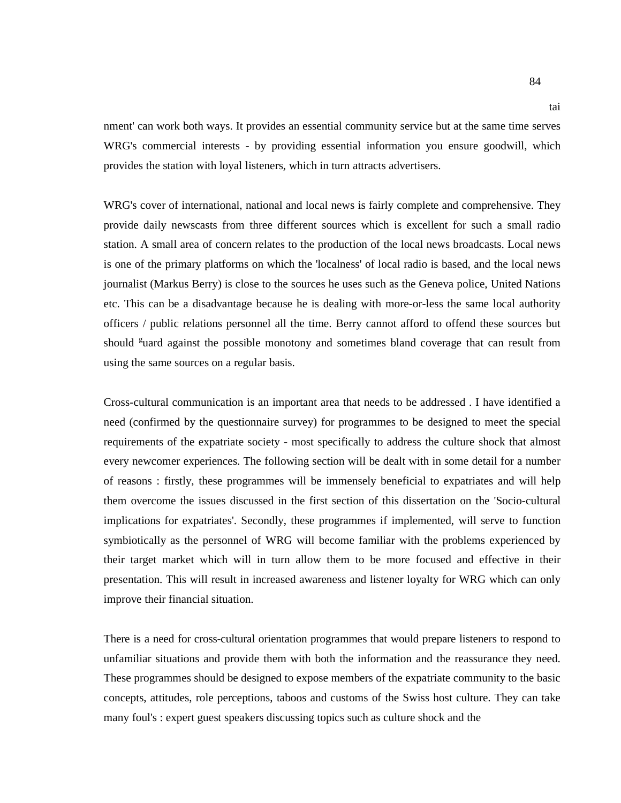nment' can work both ways. It provides an essential community service but at the same time serves WRG's commercial interests - by providing essential information you ensure goodwill, which provides the station with loyal listeners, which in turn attracts advertisers.

WRG's cover of international, national and local news is fairly complete and comprehensive. They provide daily newscasts from three different sources which is excellent for such a small radio station. A small area of concern relates to the production of the local news broadcasts. Local news is one of the primary platforms on which the 'localness' of local radio is based, and the local news journalist (Markus Berry) is close to the sources he uses such as the Geneva police, United Nations etc. This can be a disadvantage because he is dealing with more-or-less the same local authority officers / public relations personnel all the time. Berry cannot afford to offend these sources but should <sup>g</sup>uard against the possible monotony and sometimes bland coverage that can result from using the same sources on a regular basis.

Cross-cultural communication is an important area that needs to be addressed . I have identified a need (confirmed by the questionnaire survey) for programmes to be designed to meet the special requirements of the expatriate society - most specifically to address the culture shock that almost every newcomer experiences. The following section will be dealt with in some detail for a number of reasons : firstly, these programmes will be immensely beneficial to expatriates and will help them overcome the issues discussed in the first section of this dissertation on the 'Socio-cultural implications for expatriates'. Secondly, these programmes if implemented, will serve to function symbiotically as the personnel of WRG will become familiar with the problems experienced by their target market which will in turn allow them to be more focused and effective in their presentation. This will result in increased awareness and listener loyalty for WRG which can only improve their financial situation.

There is a need for cross-cultural orientation programmes that would prepare listeners to respond to unfamiliar situations and provide them with both the information and the reassurance they need. These programmes should be designed to expose members of the expatriate community to the basic concepts, attitudes, role perceptions, taboos and customs of the Swiss host culture. They can take many foul's : expert guest speakers discussing topics such as culture shock and the

tai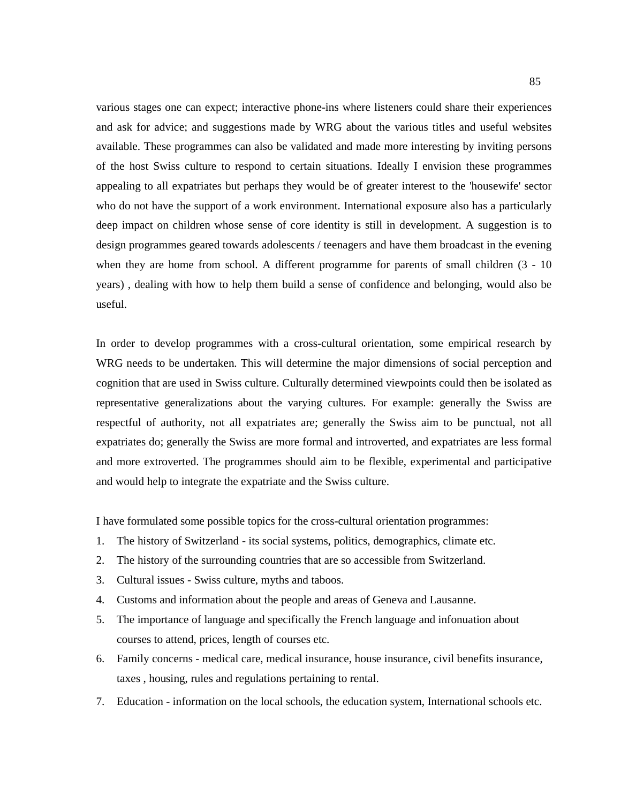various stages one can expect; interactive phone-ins where listeners could share their experiences and ask for advice; and suggestions made by WRG about the various titles and useful websites available. These programmes can also be validated and made more interesting by inviting persons of the host Swiss culture to respond to certain situations. Ideally I envision these programmes appealing to all expatriates but perhaps they would be of greater interest to the 'housewife' sector who do not have the support of a work environment. International exposure also has a particularly deep impact on children whose sense of core identity is still in development. A suggestion is to design programmes geared towards adolescents / teenagers and have them broadcast in the evening when they are home from school. A different programme for parents of small children  $(3 - 10)$ years) , dealing with how to help them build a sense of confidence and belonging, would also be useful.

In order to develop programmes with a cross-cultural orientation, some empirical research by WRG needs to be undertaken. This will determine the major dimensions of social perception and cognition that are used in Swiss culture. Culturally determined viewpoints could then be isolated as representative generalizations about the varying cultures. For example: generally the Swiss are respectful of authority, not all expatriates are; generally the Swiss aim to be punctual, not all expatriates do; generally the Swiss are more formal and introverted, and expatriates are less formal and more extroverted. The programmes should aim to be flexible, experimental and participative and would help to integrate the expatriate and the Swiss culture.

I have formulated some possible topics for the cross-cultural orientation programmes:

- 1. The history of Switzerland its social systems, politics, demographics, climate etc.
- 2. The history of the surrounding countries that are so accessible from Switzerland.
- 3. Cultural issues Swiss culture, myths and taboos.
- 4. Customs and information about the people and areas of Geneva and Lausanne.
- 5. The importance of language and specifically the French language and infonuation about courses to attend, prices, length of courses etc.
- 6. Family concerns medical care, medical insurance, house insurance, civil benefits insurance, taxes , housing, rules and regulations pertaining to rental.
- 7. Education information on the local schools, the education system, International schools etc.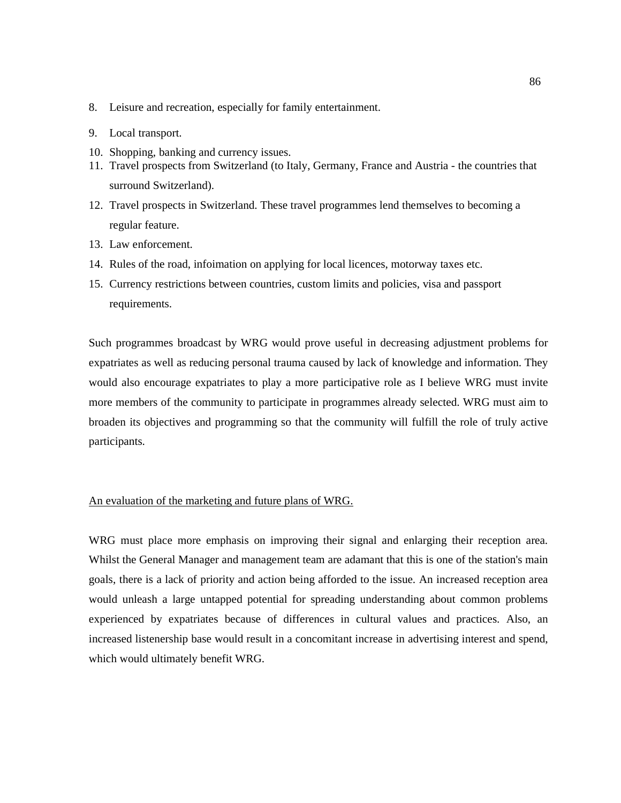- 8. Leisure and recreation, especially for family entertainment.
- 9. Local transport.
- 10. Shopping, banking and currency issues.
- 11. Travel prospects from Switzerland (to Italy, Germany, France and Austria the countries that surround Switzerland).
- 12. Travel prospects in Switzerland. These travel programmes lend themselves to becoming a regular feature.
- 13. Law enforcement.
- 14. Rules of the road, infoimation on applying for local licences, motorway taxes etc.
- 15. Currency restrictions between countries, custom limits and policies, visa and passport requirements.

Such programmes broadcast by WRG would prove useful in decreasing adjustment problems for expatriates as well as reducing personal trauma caused by lack of knowledge and information. They would also encourage expatriates to play a more participative role as I believe WRG must invite more members of the community to participate in programmes already selected. WRG must aim to broaden its objectives and programming so that the community will fulfill the role of truly active participants.

# An evaluation of the marketing and future plans of WRG.

WRG must place more emphasis on improving their signal and enlarging their reception area. Whilst the General Manager and management team are adamant that this is one of the station's main goals, there is a lack of priority and action being afforded to the issue. An increased reception area would unleash a large untapped potential for spreading understanding about common problems experienced by expatriates because of differences in cultural values and practices. Also, an increased listenership base would result in a concomitant increase in advertising interest and spend, which would ultimately benefit WRG.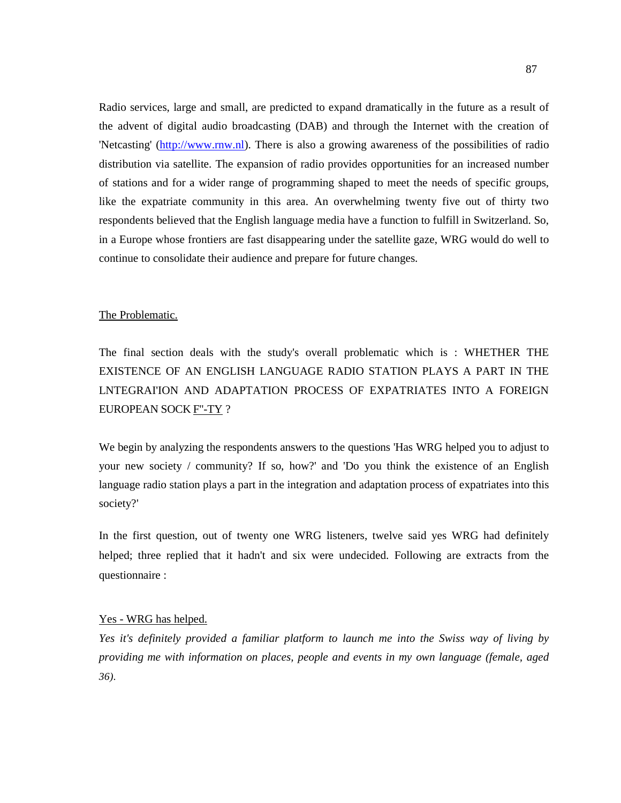Radio services, large and small, are predicted to expand dramatically in the future as a result of the advent of digital audio broadcasting (DAB) and through the Internet with the creation of 'Netcasting' (http://www.rnw.nl). There is also a growing awareness of the possibilities of radio distribution via satellite. The expansion of radio provides opportunities for an increased number of stations and for a wider range of programming shaped to meet the needs of specific groups, like the expatriate community in this area. An overwhelming twenty five out of thirty two respondents believed that the English language media have a function to fulfill in Switzerland. So, in a Europe whose frontiers are fast disappearing under the satellite gaze, WRG would do well to continue to consolidate their audience and prepare for future changes.

## The Problematic.

The final section deals with the study's overall problematic which is : WHETHER THE EXISTENCE OF AN ENGLISH LANGUAGE RADIO STATION PLAYS A PART IN THE LNTEGRAI'ION AND ADAPTATION PROCESS OF EXPATRIATES INTO A FOREIGN EUROPEAN SOCK F''-TY ?

We begin by analyzing the respondents answers to the questions 'Has WRG helped you to adjust to your new society / community? If so, how?' and 'Do you think the existence of an English language radio station plays a part in the integration and adaptation process of expatriates into this society?'

In the first question, out of twenty one WRG listeners, twelve said yes WRG had definitely helped; three replied that it hadn't and six were undecided. Following are extracts from the questionnaire :

## Yes - WRG has helped.

*Yes it's definitely provided a familiar platform to launch me into the Swiss way of living by providing me with information on places, people and events in my own language (female, aged 36).*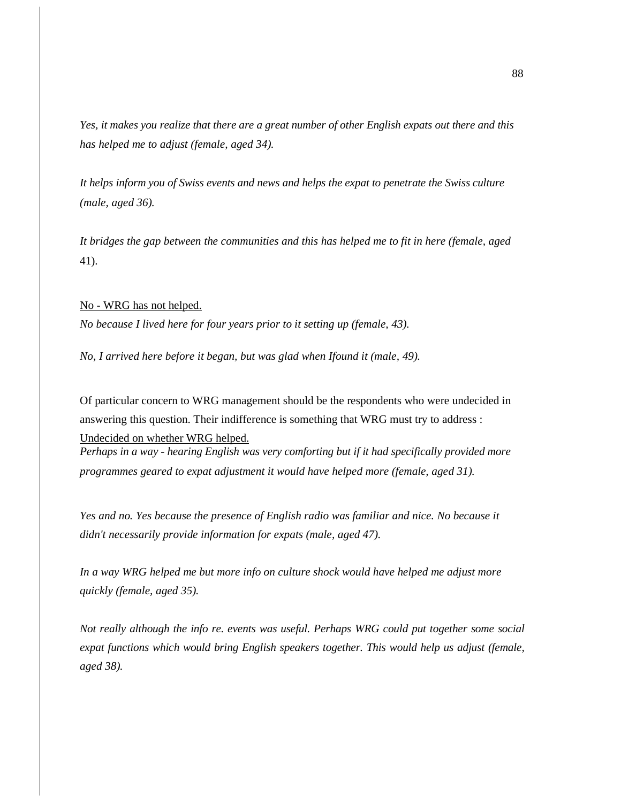*Yes, it makes you realize that there are a great number of other English expats out there and this has helped me to adjust (female, aged 34).* 

*It helps inform you of Swiss events and news and helps the expat to penetrate the Swiss culture (male, aged 36).* 

*It bridges the gap between the communities and this has helped me to fit in here (female, aged*  41).

No - WRG has not helped. *No because I lived here for four years prior to it setting up (female, 43).* 

*No, I arrived here before it began, but was glad when Ifound it (male, 49).* 

Of particular concern to WRG management should be the respondents who were undecided in answering this question. Their indifference is something that WRG must try to address :

Undecided on whether WRG helped. *Perhaps in a way - hearing English was very comforting but if it had specifically provided more* 

*programmes geared to expat adjustment it would have helped more (female, aged 31).* 

*Yes and no. Yes because the presence of English radio was familiar and nice. No because it didn't necessarily provide information for expats (male, aged 47).* 

*In a way WRG helped me but more info on culture shock would have helped me adjust more quickly (female, aged 35).* 

*Not really although the info re. events was useful. Perhaps WRG could put together some social expat functions which would bring English speakers together. This would help us adjust (female, aged 38).*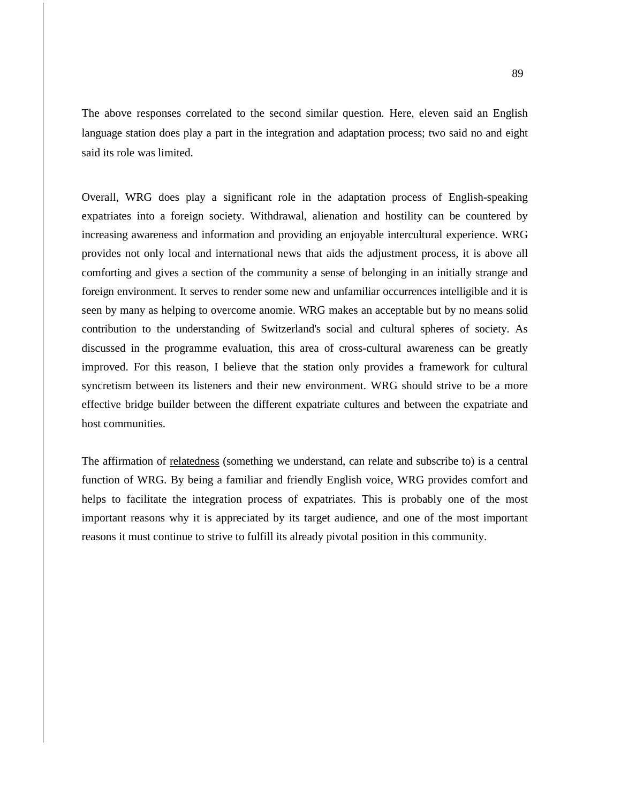The above responses correlated to the second similar question. Here, eleven said an English language station does play a part in the integration and adaptation process; two said no and eight said its role was limited.

Overall, WRG does play a significant role in the adaptation process of English-speaking expatriates into a foreign society. Withdrawal, alienation and hostility can be countered by increasing awareness and information and providing an enjoyable intercultural experience. WRG provides not only local and international news that aids the adjustment process, it is above all comforting and gives a section of the community a sense of belonging in an initially strange and foreign environment. It serves to render some new and unfamiliar occurrences intelligible and it is seen by many as helping to overcome anomie. WRG makes an acceptable but by no means solid contribution to the understanding of Switzerland's social and cultural spheres of society. As discussed in the programme evaluation, this area of cross-cultural awareness can be greatly improved. For this reason, I believe that the station only provides a framework for cultural syncretism between its listeners and their new environment. WRG should strive to be a more effective bridge builder between the different expatriate cultures and between the expatriate and host communities.

The affirmation of relatedness (something we understand, can relate and subscribe to) is a central function of WRG. By being a familiar and friendly English voice, WRG provides comfort and helps to facilitate the integration process of expatriates. This is probably one of the most important reasons why it is appreciated by its target audience, and one of the most important reasons it must continue to strive to fulfill its already pivotal position in this community.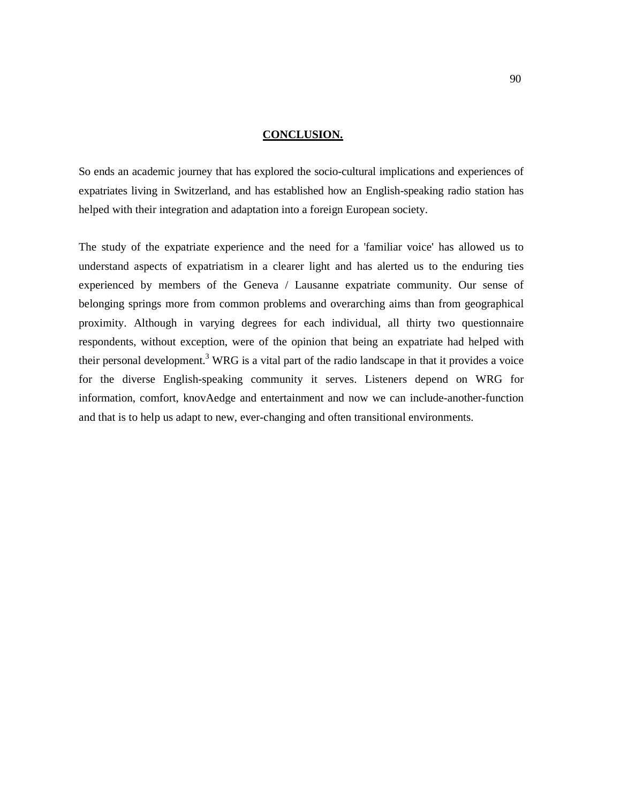## **CONCLUSION.**

So ends an academic journey that has explored the socio-cultural implications and experiences of expatriates living in Switzerland, and has established how an English-speaking radio station has helped with their integration and adaptation into a foreign European society.

The study of the expatriate experience and the need for a 'familiar voice' has allowed us to understand aspects of expatriatism in a clearer light and has alerted us to the enduring ties experienced by members of the Geneva / Lausanne expatriate community. Our sense of belonging springs more from common problems and overarching aims than from geographical proximity. Although in varying degrees for each individual, all thirty two questionnaire respondents, without exception, were of the opinion that being an expatriate had helped with their personal development.<sup>3</sup> WRG is a vital part of the radio landscape in that it provides a voice for the diverse English-speaking community it serves. Listeners depend on WRG for information, comfort, knovAedge and entertainment and now we can include-another-function and that is to help us adapt to new, ever-changing and often transitional environments.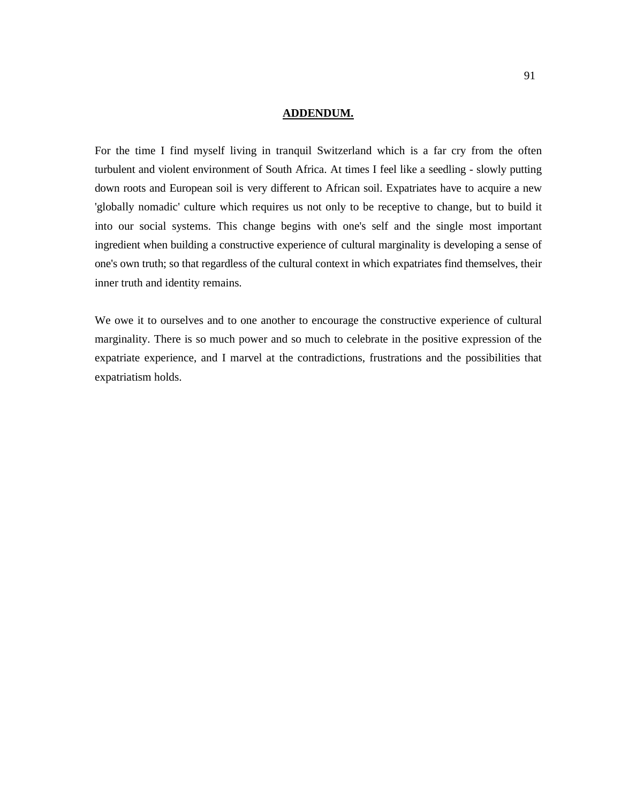## **ADDENDUM.**

For the time I find myself living in tranquil Switzerland which is a far cry from the often turbulent and violent environment of South Africa. At times I feel like a seedling - slowly putting down roots and European soil is very different to African soil. Expatriates have to acquire a new 'globally nomadic' culture which requires us not only to be receptive to change, but to build it into our social systems. This change begins with one's self and the single most important ingredient when building a constructive experience of cultural marginality is developing a sense of one's own truth; so that regardless of the cultural context in which expatriates find themselves, their inner truth and identity remains.

We owe it to ourselves and to one another to encourage the constructive experience of cultural marginality. There is so much power and so much to celebrate in the positive expression of the expatriate experience, and I marvel at the contradictions, frustrations and the possibilities that expatriatism holds.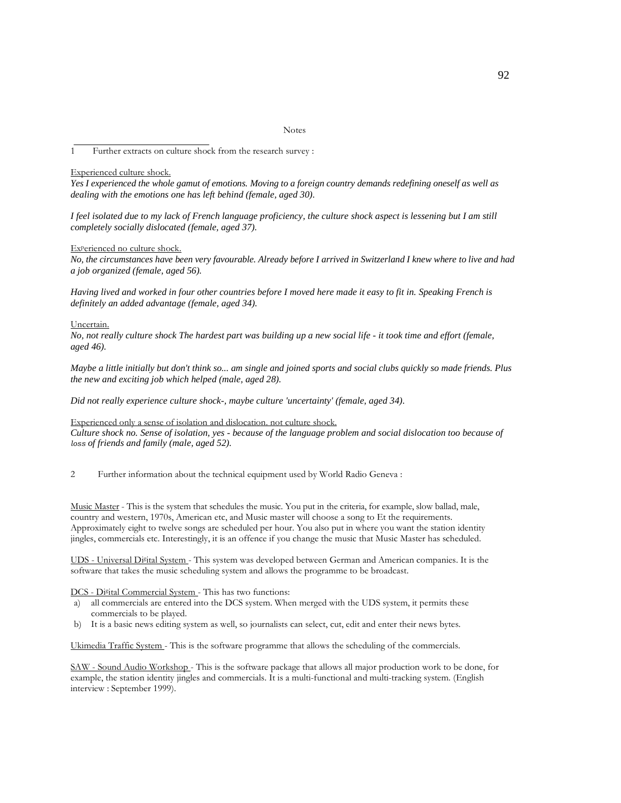Notes

1 Further extracts on culture shock from the research survey :

#### Experienced culture shock.

*Yes I experienced the whole gamut of emotions. Moving to a foreign country demands redefining oneself as well as dealing with the emotions one has left behind (female, aged 30).* 

*I feel isolated due to my lack of French language proficiency, the culture shock aspect is lessening but I am still completely socially dislocated (female, aged 37).* 

#### Ex<sup>p</sup>erienced no culture shock.

*No, the circumstances have been very favourable. Already before I arrived in Switzerland I knew where to live and had a job organized (female, aged 56).* 

*Having lived and worked in four other countries before I moved here made it easy to fit in. Speaking French is definitely an added advantage (female, aged 34).* 

#### Uncertain.

*No, not really culture shock The hardest part was building up a new social life - it took time and effort (female, aged 46).* 

*Maybe a little initially but don't think so... am single and joined sports and social clubs quickly so made friends. Plus the new and exciting job which helped (male, aged 28).* 

*Did not really experience culture shock-, maybe culture 'uncertainty' (female, aged 34).* 

#### Experienced only a sense of isolation and dislocation. not culture shock.

*Culture shock no. Sense of isolation, yes - because of the language problem and social dislocation too because of*  loss *of friends and family (male, aged 52).* 

2 Further information about the technical equipment used by World Radio Geneva :

Music Master - This is the system that schedules the music. You put in the criteria, for example, slow ballad, male, country and western, 1970s, American etc, and Music master will choose a song to Et the requirements. Approximately eight to twelve songs are scheduled per hour. You also put in where you want the station identity jingles, commercials etc. Interestingly, it is an offence if you change the music that Music Master has scheduled.

UDS - Universal Di<sup>g</sup>ital System - This system was developed between German and American companies. It is the software that takes the music scheduling system and allows the programme to be broadcast.

#### DCS - Di<sup>g</sup>ital Commercial System - This has two functions:

- a) all commercials are entered into the DCS system. When merged with the UDS system, it permits these commercials to be played.
- b) It is a basic news editing system as well, so journalists can select, cut, edit and enter their news bytes.

Ukimedia Traffic System - This is the software programme that allows the scheduling of the commercials.

SAW - Sound Audio Workshop - This is the software package that allows all major production work to be done, for example, the station identity jingles and commercials. It is a multi-functional and multi-tracking system. (English interview : September 1999).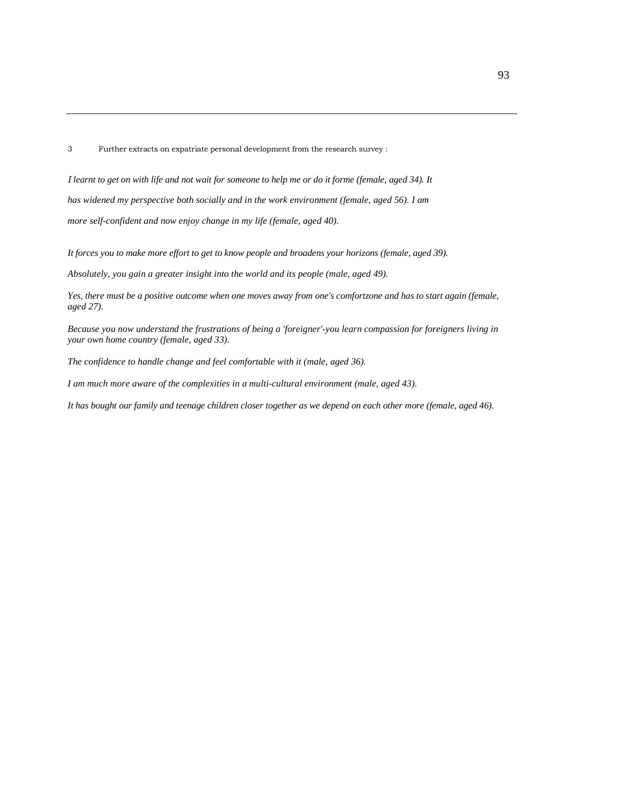3 Further extracts on expatriate personal development from the research survey :

I *learnt to get on with life and not wait for someone to help me or do it forme (female, aged 34). It has widened my perspective both socially and in the work environment (female, aged 56). I am more self-confident and now enjoy change in my life (female, aged 40).* 

*It forces you to make more effort to get to know people and broadens your horizons (female, aged 39).* 

*Absolutely, you gain a greater insight into the world and its people (male, aged 49).* 

*Yes, there must be a positive outcome when one moves away from one's comfortzone and has to start again (female, aged 27).* 

*Because you now understand the frustrations of being a 'foreigner'-you learn compassion for foreigners living in your own home country (female, aged 33).* 

*The confidence to handle change and feel comfortable with it (male, aged 36).* 

*I am much more aware of the complexities in a multi-cultural environment (male, aged 43).* 

*It has bought our family and teenage children closer together as we depend on each other more (female, aged 46).*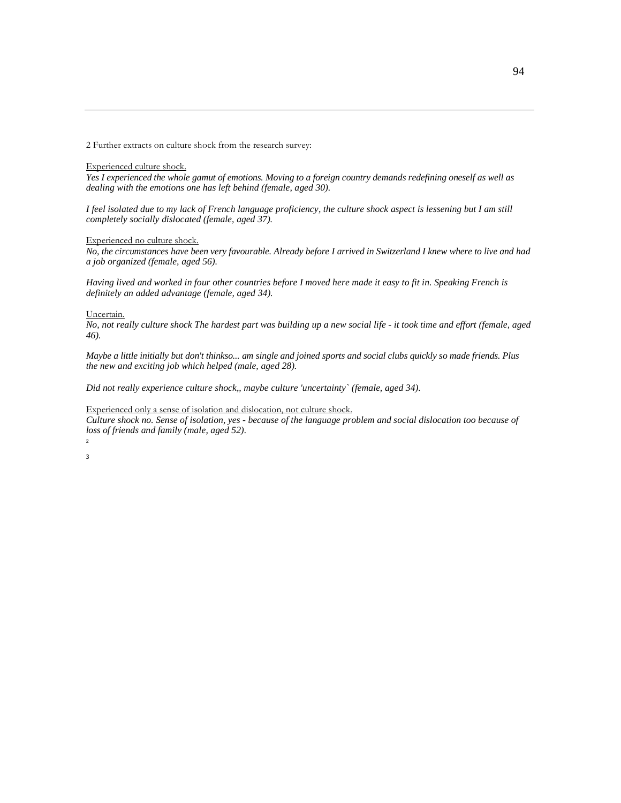2 Further extracts on culture shock from the research survey:

#### Experienced culture shock.

*Yes I experienced the whole gamut of emotions. Moving to a foreign country demands redefining oneself as well as dealing with the emotions one has left behind (female, aged 30).* 

*I feel isolated due to my lack of French language proficiency, the culture shock aspect is lessening but I am still completely socially dislocated (female, aged 37).* 

Experienced no culture shock.

*No, the circumstances have been very favourable. Already before I arrived in Switzerland I knew where to live and had a job organized (female, aged 56).* 

*Having lived and worked in four other countries before I moved here made it easy to fit in. Speaking French is definitely an added advantage (female, aged 34).* 

#### Uncertain.

*No, not really culture shock The hardest part was building up a new social life - it took time and effort (female, aged 46).* 

*Maybe a little initially but don't thinkso... am single and joined sports and social clubs quickly so made friends. Plus the new and exciting job which helped (male, aged 28).* 

*Did not really experience culture shock,, maybe culture 'uncertainty` (female, aged 34).* 

#### Experienced only a sense of isolation and dislocation, not culture shock.

*Culture shock no. Sense of isolation, yes - because of the language problem and social dislocation too because of loss of friends and family (male, aged 52).* 

2 3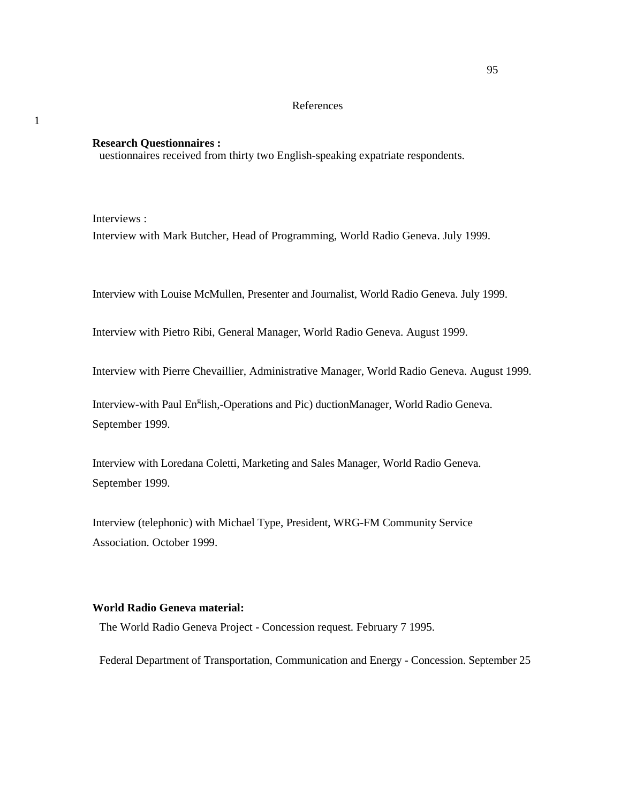# References

## **Research Questionnaires :**

uestionnaires received from thirty two English-speaking expatriate respondents.

Interviews :

1

Interview with Mark Butcher, Head of Programming, World Radio Geneva. July 1999.

Interview with Louise McMullen, Presenter and Journalist, World Radio Geneva. July 1999.

Interview with Pietro Ribi, General Manager, World Radio Geneva. August 1999.

Interview with Pierre Chevaillier, Administrative Manager, World Radio Geneva. August 1999.

Interview-with Paul En<sup>g</sup>lish,-Operations and Pic) ductionManager, World Radio Geneva. September 1999.

Interview with Loredana Coletti, Marketing and Sales Manager, World Radio Geneva. September 1999.

Interview (telephonic) with Michael Type, President, WRG-FM Community Service Association. October 1999.

# **World Radio Geneva material:**

The World Radio Geneva Project - Concession request. February 7 1995.

Federal Department of Transportation, Communication and Energy - Concession. September 25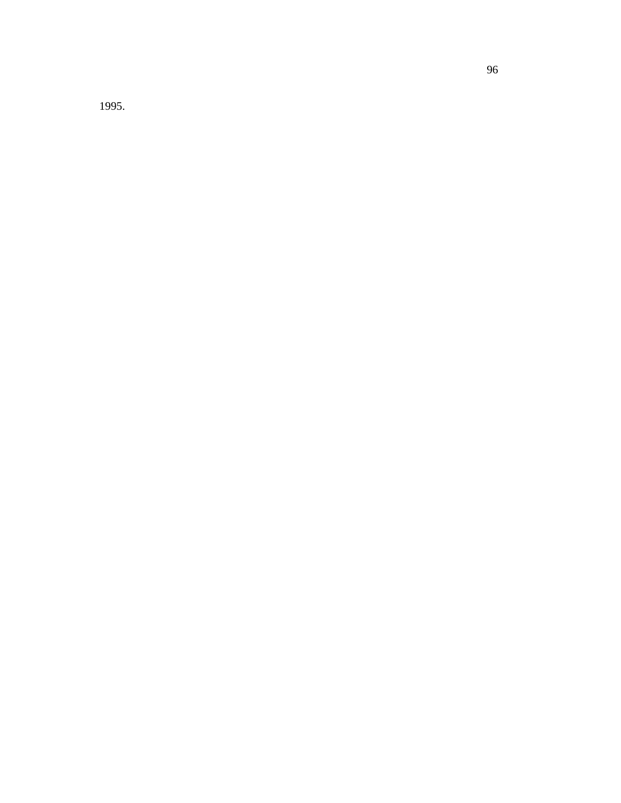1995.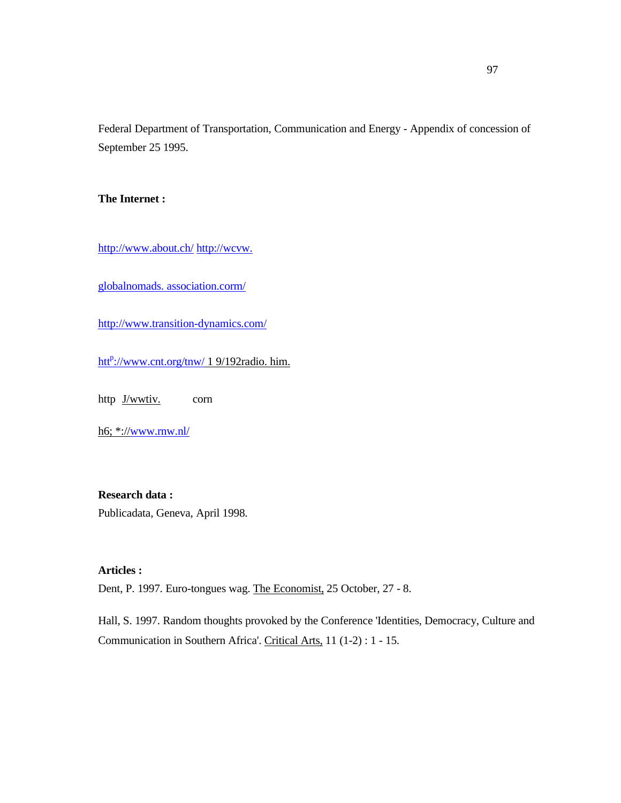Federal Department of Transportation, Communication and Energy - Appendix of concession of September 25 1995.

**The Internet :** 

http://www.about.ch/ http://wcvw.

globalnomads. association.corm/

http://www.transition-dynamics.com/

htt<sup>p</sup>://www.cnt.org/tnw/ 1 9/192radio. him.

http <u>J/wwtiv.</u> corn

h6; \*://www.rnw.nl/

# **Research data :**

Publicadata, Geneva, April 1998.

# **Articles :**

Dent, P. 1997. Euro-tongues wag. The Economist, 25 October, 27 - 8.

Hall, S. 1997. Random thoughts provoked by the Conference 'Identities, Democracy, Culture and Communication in Southern Africa'. Critical Arts, 11 (1-2) : 1 - 15.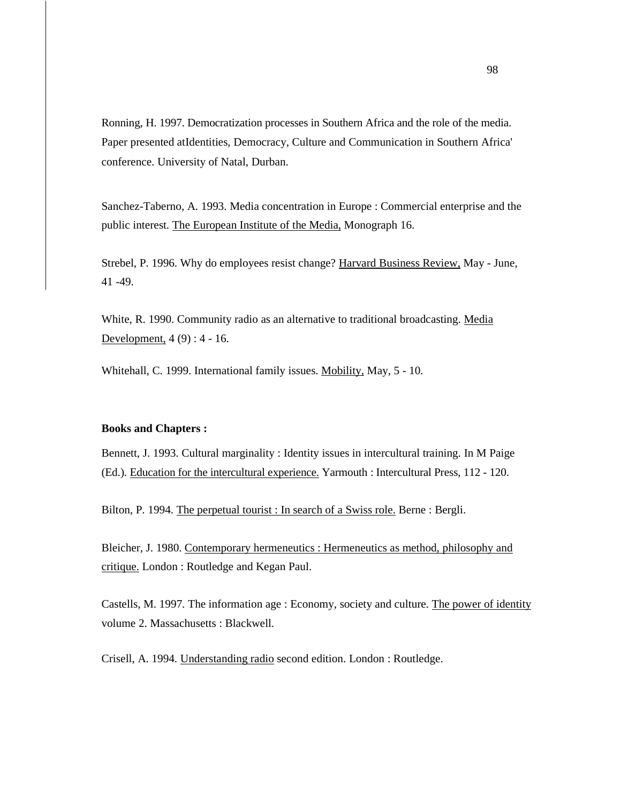Ronning, H. 1997. Democratization processes in Southern Africa and the role of the media. Paper presented atIdentities, Democracy, Culture and Communication in Southern Africa' conference. University of Natal, Durban.

Sanchez-Taberno, A. 1993. Media concentration in Europe : Commercial enterprise and the public interest. The European Institute of the Media, Monograph 16.

Strebel, P. 1996. Why do employees resist change? Harvard Business Review, May - June, 41 -49.

White, R. 1990. Community radio as an alternative to traditional broadcasting. Media Development, 4 (9) : 4 - 16.

Whitehall, C. 1999. International family issues. Mobility, May, 5 - 10.

### **Books and Chapters :**

Bennett, J. 1993. Cultural marginality : Identity issues in intercultural training. In M Paige (Ed.). Education for the intercultural experience. Yarmouth : Intercultural Press, 112 - 120.

Bilton, P. 1994. The perpetual tourist : In search of a Swiss role. Berne : Bergli.

Bleicher, J. 1980. Contemporary hermeneutics : Hermeneutics as method, philosophy and critique. London : Routledge and Kegan Paul.

Castells, M. 1997. The information age : Economy, society and culture. The power of identity volume 2. Massachusetts : Blackwell.

Crisell, A. 1994. Understanding radio second edition. London : Routledge.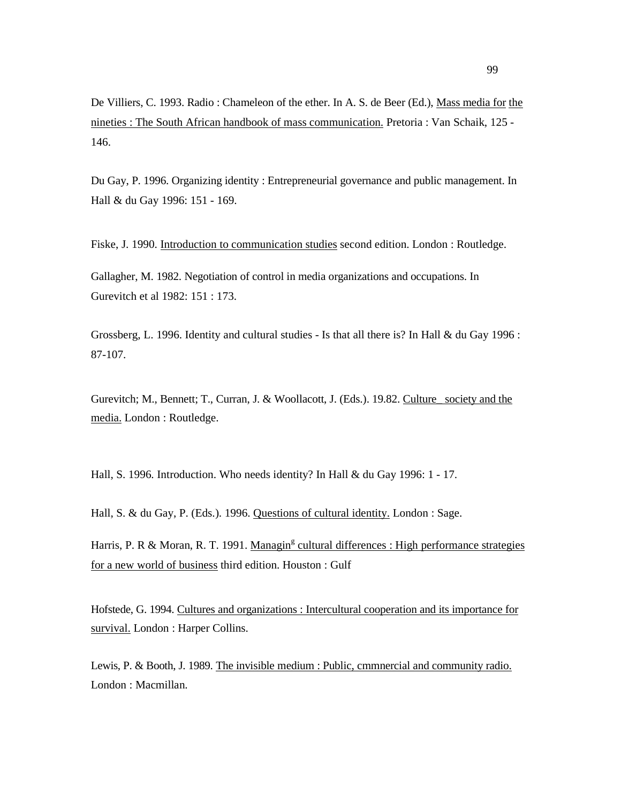De Villiers, C. 1993. Radio : Chameleon of the ether. In A. S. de Beer (Ed.), Mass media for the nineties : The South African handbook of mass communication. Pretoria : Van Schaik, 125 - 146.

Du Gay, P. 1996. Organizing identity : Entrepreneurial governance and public management. In Hall & du Gay 1996: 151 - 169.

Fiske, J. 1990. Introduction to communication studies second edition. London : Routledge.

Gallagher, M. 1982. Negotiation of control in media organizations and occupations. In Gurevitch et al 1982: 151 : 173.

Grossberg, L. 1996. Identity and cultural studies - Is that all there is? In Hall & du Gay 1996 : 87-107.

Gurevitch; M., Bennett; T., Curran, J. & Woollacott, J. (Eds.). 19.82. Culture society and the media. London : Routledge.

Hall, S. 1996. Introduction. Who needs identity? In Hall & du Gay 1996: 1 - 17.

Hall, S. & du Gay, P. (Eds.). 1996. Questions of cultural identity. London : Sage.

Harris, P. R & Moran, R. T. 1991. Managin<sup>g</sup> cultural differences : High performance strategies for a new world of business third edition. Houston : Gulf

Hofstede, G. 1994. Cultures and organizations : Intercultural cooperation and its importance for survival. London : Harper Collins.

Lewis, P. & Booth, J. 1989. The invisible medium : Public, cmmnercial and community radio. London : Macmillan.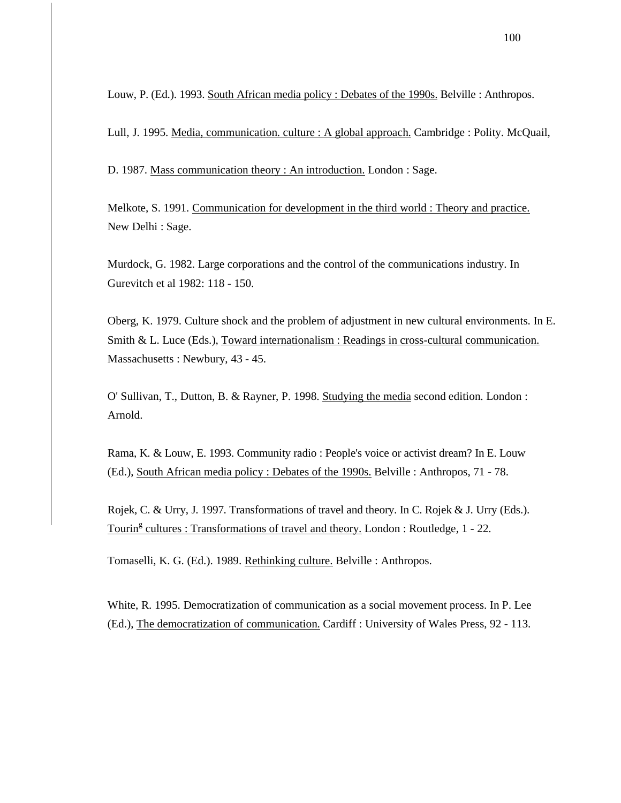Louw, P. (Ed.). 1993. South African media policy : Debates of the 1990s. Belville : Anthropos.

Lull, J. 1995. Media, communication. culture : A global approach. Cambridge : Polity. McQuail,

D. 1987. Mass communication theory : An introduction. London : Sage.

Melkote, S. 1991. Communication for development in the third world : Theory and practice. New Delhi : Sage.

Murdock, G. 1982. Large corporations and the control of the communications industry. In Gurevitch et al 1982: 118 - 150.

Oberg, K. 1979. Culture shock and the problem of adjustment in new cultural environments. In E. Smith & L. Luce (Eds.), Toward internationalism : Readings in cross-cultural communication. Massachusetts : Newbury, 43 - 45.

O' Sullivan, T., Dutton, B. & Rayner, P. 1998. Studying the media second edition. London : Arnold.

Rama, K. & Louw, E. 1993. Community radio : People's voice or activist dream? In E. Louw (Ed.), South African media policy : Debates of the 1990s. Belville : Anthropos, 71 - 78.

Rojek, C. & Urry, J. 1997. Transformations of travel and theory. In C. Rojek & J. Urry (Eds.). Tourin<sup>g</sup> cultures : Transformations of travel and theory. London : Routledge, 1 - 22.

Tomaselli, K. G. (Ed.). 1989. Rethinking culture. Belville : Anthropos.

White, R. 1995. Democratization of communication as a social movement process. In P. Lee (Ed.), The democratization of communication. Cardiff : University of Wales Press, 92 - 113.